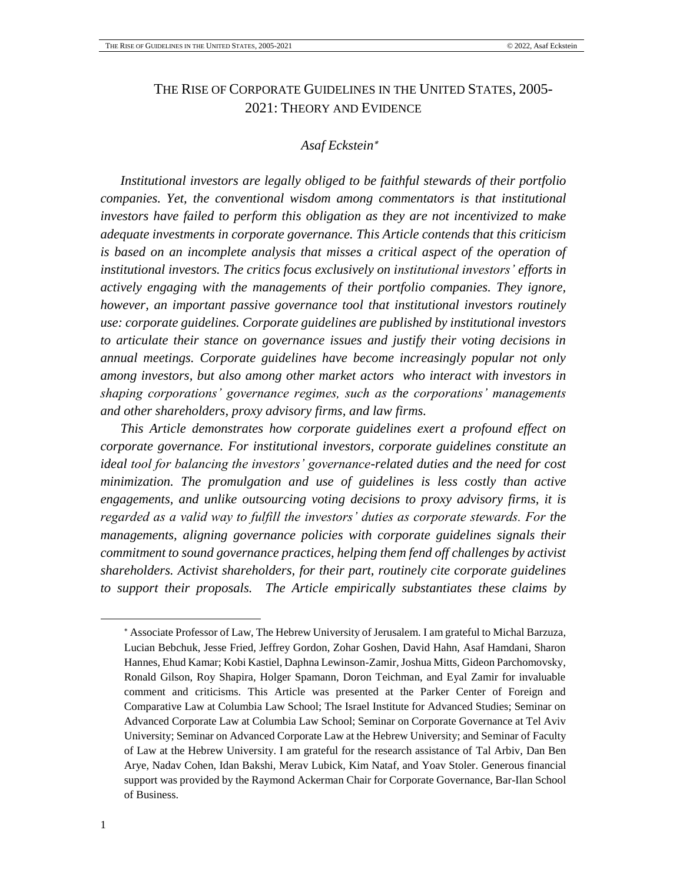# THE RISE OF CORPORATE GUIDELINES IN THE UNITED STATES, 2005- 2021: THEORY AND EVIDENCE

## *Asaf Eckstein*

*Institutional investors are legally obliged to be faithful stewards of their portfolio companies. Yet, the conventional wisdom among commentators is that institutional investors have failed to perform this obligation as they are not incentivized to make adequate investments in corporate governance. This Article contends that this criticism is based on an incomplete analysis that misses a critical aspect of the operation of institutional investors. The critics focus exclusively on institutional investors' efforts in actively engaging with the managements of their portfolio companies. They ignore, however, an important passive governance tool that institutional investors routinely use: corporate guidelines. Corporate guidelines are published by institutional investors to articulate their stance on governance issues and justify their voting decisions in annual meetings. Corporate guidelines have become increasingly popular not only among investors, but also among other market actors who interact with investors in shaping corporations' governance regimes, such as the corporations' managements and other shareholders, proxy advisory firms, and law firms.* 

*This Article demonstrates how corporate guidelines exert a profound effect on corporate governance. For institutional investors, corporate guidelines constitute an ideal tool for balancing the investors' governance-related duties and the need for cost minimization. The promulgation and use of guidelines is less costly than active engagements, and unlike outsourcing voting decisions to proxy advisory firms, it is regarded as a valid way to fulfill the investors' duties as corporate stewards. For the managements, aligning governance policies with corporate guidelines signals their commitment to sound governance practices, helping them fend off challenges by activist shareholders. Activist shareholders, for their part, routinely cite corporate guidelines to support their proposals. The Article empirically substantiates these claims by* 

Associate Professor of Law, The Hebrew University of Jerusalem. I am grateful to Michal Barzuza, Lucian Bebchuk, Jesse Fried, Jeffrey Gordon, Zohar Goshen, David Hahn, Asaf Hamdani, Sharon Hannes, Ehud Kamar; Kobi Kastiel, Daphna Lewinson-Zamir, Joshua Mitts, Gideon Parchomovsky, Ronald Gilson, Roy Shapira, Holger Spamann, Doron Teichman, and Eyal Zamir for invaluable comment and criticisms. This Article was presented at the Parker Center of Foreign and Comparative Law at Columbia Law School; The Israel Institute for Advanced Studies; Seminar on Advanced Corporate Law at Columbia Law School; Seminar on Corporate Governance at Tel Aviv University; Seminar on Advanced Corporate Law at the Hebrew University; and Seminar of Faculty of Law at the Hebrew University. I am grateful for the research assistance of Tal Arbiv, Dan Ben Arye, Nadav Cohen, Idan Bakshi, Merav Lubick, Kim Nataf, and Yoav Stoler. Generous financial support was provided by the Raymond Ackerman Chair for Corporate Governance, Bar-Ilan School of Business.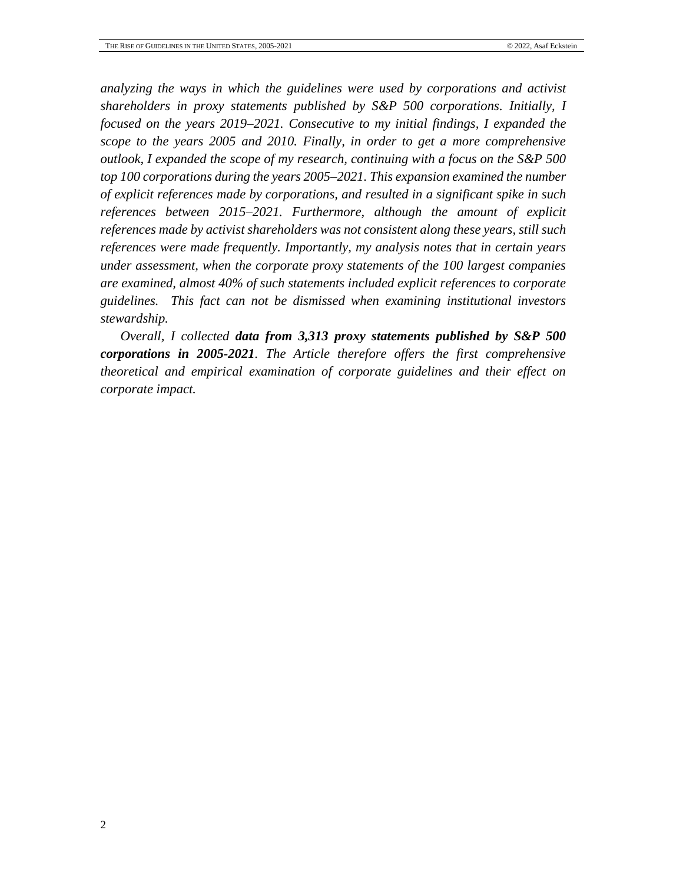*analyzing the ways in which the guidelines were used by corporations and activist shareholders in proxy statements published by S&P 500 corporations. Initially, I focused on the years 2019–2021. Consecutive to my initial findings, I expanded the scope to the years 2005 and 2010. Finally, in order to get a more comprehensive outlook, I expanded the scope of my research, continuing with a focus on the S&P 500 top 100 corporations during the years 2005–2021. This expansion examined the number of explicit references made by corporations, and resulted in a significant spike in such references between 2015–2021. Furthermore, although the amount of explicit references made by activist shareholders was not consistent along these years, still such references were made frequently. Importantly, my analysis notes that in certain years under assessment, when the corporate proxy statements of the 100 largest companies are examined, almost 40% of such statements included explicit references to corporate guidelines. This fact can not be dismissed when examining institutional investors stewardship.*

*Overall, I collected data from 3,313 proxy statements published by S&P 500 corporations in 2005-2021. The Article therefore offers the first comprehensive theoretical and empirical examination of corporate guidelines and their effect on corporate impact.*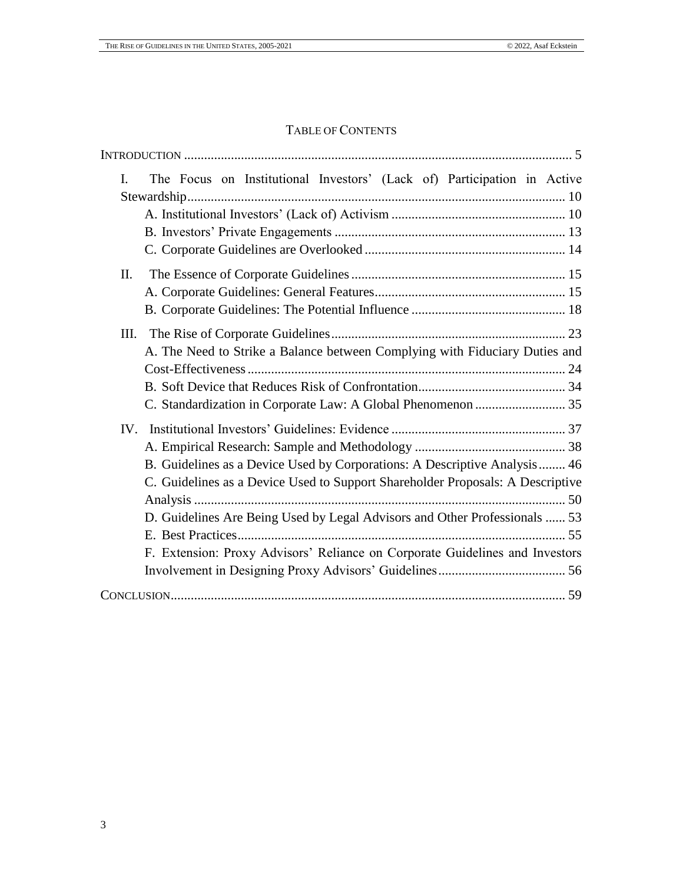## TABLE OF CONTENTS

| The Focus on Institutional Investors' (Lack of) Participation in Active<br>I.  |
|--------------------------------------------------------------------------------|
|                                                                                |
|                                                                                |
|                                                                                |
|                                                                                |
| Π.                                                                             |
|                                                                                |
|                                                                                |
| III.                                                                           |
| A. The Need to Strike a Balance between Complying with Fiduciary Duties and    |
|                                                                                |
|                                                                                |
|                                                                                |
|                                                                                |
|                                                                                |
| B. Guidelines as a Device Used by Corporations: A Descriptive Analysis 46      |
| C. Guidelines as a Device Used to Support Shareholder Proposals: A Descriptive |
| D. Guidelines Are Being Used by Legal Advisors and Other Professionals  53     |
|                                                                                |
| F. Extension: Proxy Advisors' Reliance on Corporate Guidelines and Investors   |
|                                                                                |
|                                                                                |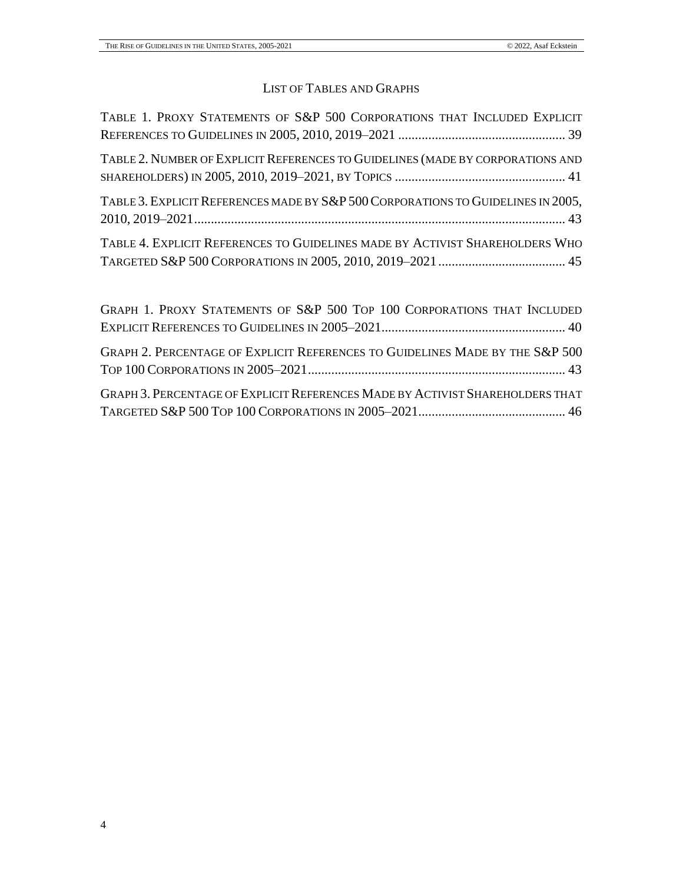# LIST OF TABLES AND GRAPHS

| TABLE 1. PROXY STATEMENTS OF S&P 500 CORPORATIONS THAT INCLUDED EXPLICIT         |
|----------------------------------------------------------------------------------|
| TABLE 2. NUMBER OF EXPLICIT REFERENCES TO GUIDELINES (MADE BY CORPORATIONS AND   |
| TABLE 3. EXPLICIT REFERENCES MADE BY S&P 500 CORPORATIONS TO GUIDELINES IN 2005, |
| TABLE 4. EXPLICIT REFERENCES TO GUIDELINES MADE BY ACTIVIST SHAREHOLDERS WHO     |

| GRAPH 1. PROXY STATEMENTS OF S&P 500 TOP 100 CORPORATIONS THAT INCLUDED              |  |
|--------------------------------------------------------------------------------------|--|
|                                                                                      |  |
| GRAPH 2. PERCENTAGE OF EXPLICIT REFERENCES TO GUIDELINES MADE BY THE S&P 500         |  |
| <b>GRAPH 3. PERCENTAGE OF EXPLICIT REFERENCES MADE BY ACTIVIST SHAREHOLDERS THAT</b> |  |
|                                                                                      |  |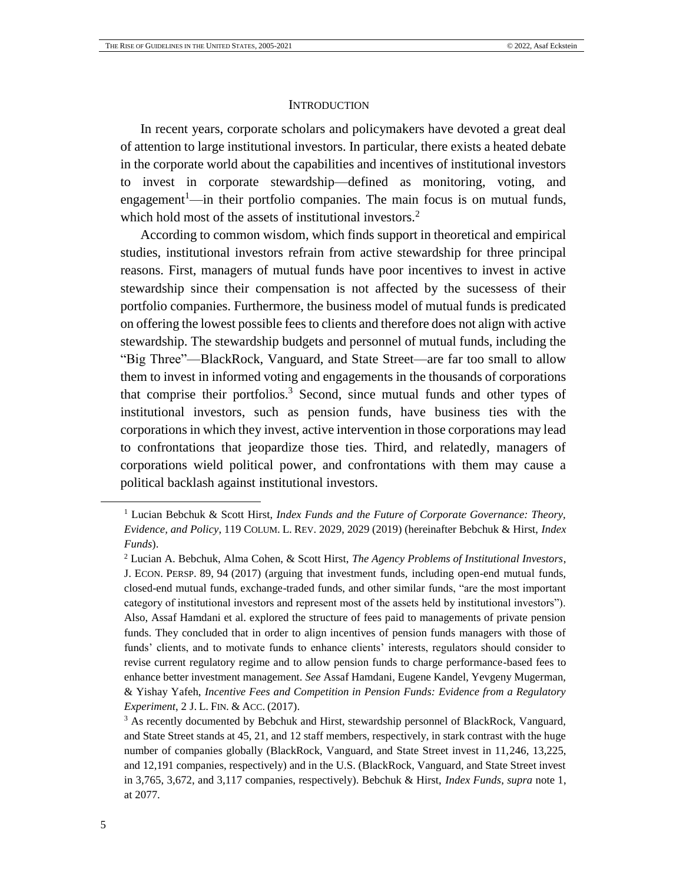#### <span id="page-4-2"></span><span id="page-4-0"></span>**INTRODUCTION**

In recent years, corporate scholars and policymakers have devoted a great deal of attention to large institutional investors. In particular, there exists a heated debate in the corporate world about the capabilities and incentives of institutional investors to invest in corporate stewardship—defined as monitoring, voting, and engagement<sup>1</sup>—in their portfolio companies. The main focus is on mutual funds, which hold most of the assets of institutional investors.<sup>2</sup>

<span id="page-4-1"></span>According to common wisdom, which finds support in theoretical and empirical studies, institutional investors refrain from active stewardship for three principal reasons. First, managers of mutual funds have poor incentives to invest in active stewardship since their compensation is not affected by the sucessess of their portfolio companies. Furthermore, the business model of mutual funds is predicated on offering the lowest possible fees to clients and therefore does not align with active stewardship. The stewardship budgets and personnel of mutual funds, including the "Big Three"—BlackRock, Vanguard, and State Street—are far too small to allow them to invest in informed voting and engagements in the thousands of corporations that comprise their portfolios. <sup>3</sup> Second, since mutual funds and other types of institutional investors, such as pension funds, have business ties with the corporations in which they invest, active intervention in those corporations may lead to confrontations that jeopardize those ties. Third, and relatedly, managers of corporations wield political power, and confrontations with them may cause a political backlash against institutional investors.

l

<sup>1</sup> Lucian Bebchuk & Scott Hirst, *Index Funds and the Future of Corporate Governance: Theory, Evidence, and Policy*, 119 COLUM. L. REV. 2029, 2029 (2019) (hereinafter Bebchuk & Hirst, *Index Funds*).

<sup>2</sup> Lucian A. Bebchuk, Alma Cohen, & Scott Hirst, *The Agency Problems of Institutional Investors*, J. ECON. PERSP. 89, 94 (2017) (arguing that investment funds, including open-end mutual funds, closed-end mutual funds, exchange-traded funds, and other similar funds, "are the most important category of institutional investors and represent most of the assets held by institutional investors"). Also, Assaf Hamdani et al. explored the structure of fees paid to managements of private pension funds. They concluded that in order to align incentives of pension funds managers with those of funds' clients, and to motivate funds to enhance clients' interests, regulators should consider to revise current regulatory regime and to allow pension funds to charge performance-based fees to enhance better investment management. *See* Assaf Hamdani, Eugene Kandel, Yevgeny Mugerman, & Yishay Yafeh, *Incentive Fees and Competition in Pension Funds: Evidence from a Regulatory Experiment*, 2 J. L. FIN. & ACC. (2017).

<sup>&</sup>lt;sup>3</sup> As recently documented by Bebchuk and Hirst, stewardship personnel of BlackRock, Vanguard, and State Street stands at 45, 21, and 12 staff members, respectively, in stark contrast with the huge number of companies globally (BlackRock, Vanguard, and State Street invest in 11,246, 13,225, and 12,191 companies, respectively) and in the U.S. (BlackRock, Vanguard, and State Street invest in 3,765, 3,672, and 3,117 companies, respectively). Bebchuk & Hirst, *Index Funds*, *supra* note [1,](#page-4-1) at 2077.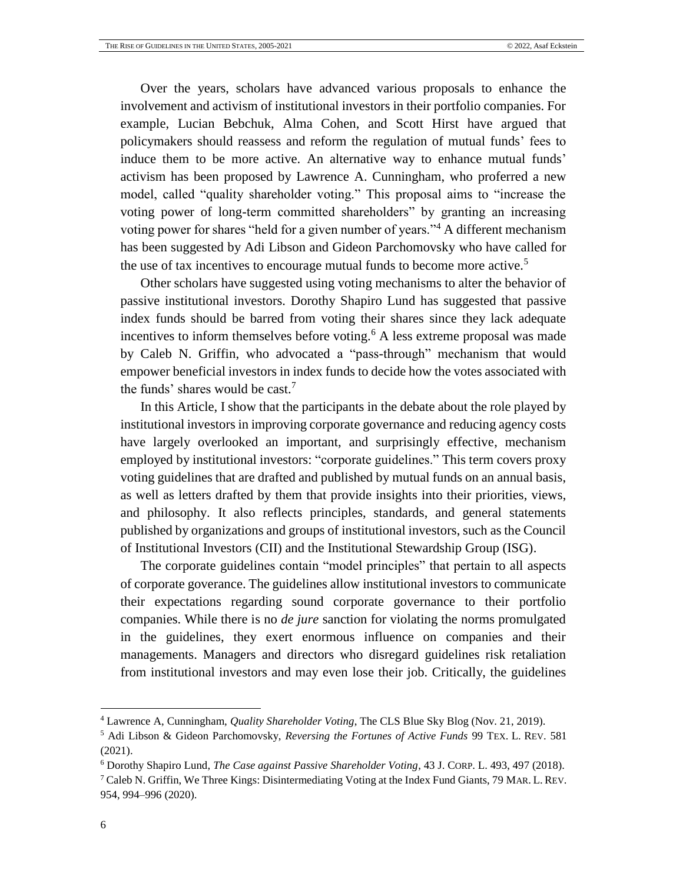Over the years, scholars have advanced various proposals to enhance the involvement and activism of institutional investors in their portfolio companies. For example, Lucian Bebchuk, Alma Cohen, and Scott Hirst have argued that policymakers should reassess and reform the regulation of mutual funds' fees to induce them to be more active. An alternative way to enhance mutual funds' activism has been proposed by Lawrence A. Cunningham, who proferred a new model, called "quality shareholder voting." This proposal aims to "increase the voting power of long-term committed shareholders" by granting an increasing voting power for shares "held for a given number of years."<sup>4</sup> A different mechanism has been suggested by Adi Libson and Gideon Parchomovsky who have called for the use of tax incentives to encourage mutual funds to become more active.<sup>5</sup>

<span id="page-5-0"></span>Other scholars have suggested using voting mechanisms to alter the behavior of passive institutional investors. Dorothy Shapiro Lund has suggested that passive index funds should be barred from voting their shares since they lack adequate incentives to inform themselves before voting.<sup>6</sup> A less extreme proposal was made by Caleb N. Griffin, who advocated a "pass-through" mechanism that would empower beneficial investors in index funds to decide how the votes associated with the funds' shares would be cast.<sup>7</sup>

In this Article, I show that the participants in the debate about the role played by institutional investors in improving corporate governance and reducing agency costs have largely overlooked an important, and surprisingly effective, mechanism employed by institutional investors: "corporate guidelines." This term covers proxy voting guidelines that are drafted and published by mutual funds on an annual basis, as well as letters drafted by them that provide insights into their priorities, views, and philosophy. It also reflects principles, standards, and general statements published by organizations and groups of institutional investors, such as the Council of Institutional Investors (CII) and the Institutional Stewardship Group (ISG).

The corporate guidelines contain "model principles" that pertain to all aspects of corporate goverance. The guidelines allow institutional investors to communicate their expectations regarding sound corporate governance to their portfolio companies. While there is no *de jure* sanction for violating the norms promulgated in the guidelines, they exert enormous influence on companies and their managements. Managers and directors who disregard guidelines risk retaliation from institutional investors and may even lose their job. Critically, the guidelines

<sup>4</sup> Lawrence A, Cunningham, *Quality Shareholder Voting*, The CLS Blue Sky Blog (Nov. 21, 2019).

<sup>5</sup> Adi Libson & Gideon Parchomovsky, *Reversing the Fortunes of Active Funds* 99 TEX. L. REV. 581 (2021).

<sup>6</sup> Dorothy Shapiro Lund, *The Case against Passive Shareholder Voting*, 43 J. CORP. L. 493, 497 (2018).

<sup>&</sup>lt;sup>7</sup> Caleb N. Griffin, We Three Kings: Disintermediating Voting at the Index Fund Giants, 79 MAR. L. REV. 954, 994–996 (2020).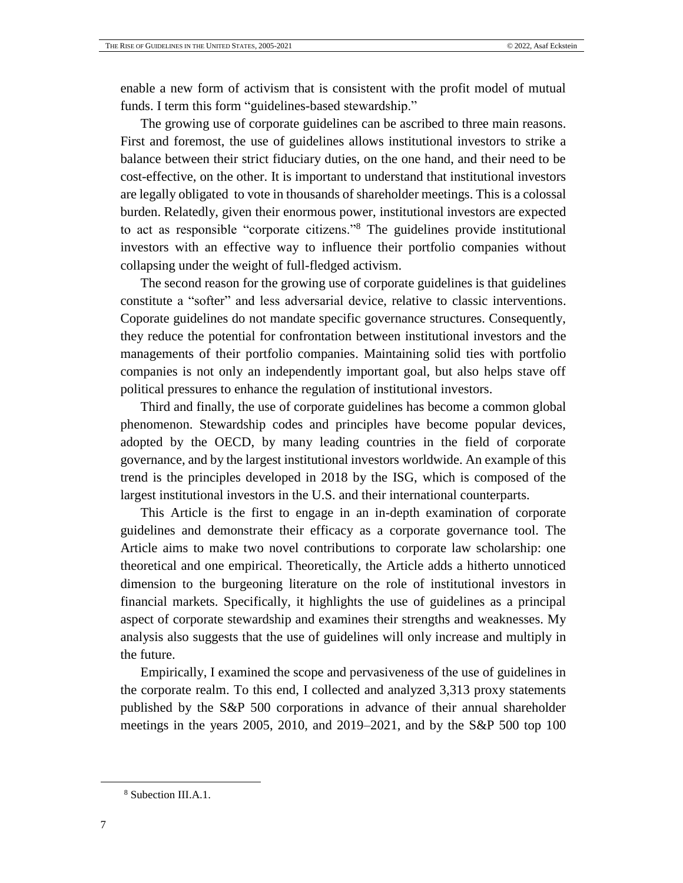enable a new form of activism that is consistent with the profit model of mutual funds. I term this form "guidelines-based stewardship."

The growing use of corporate guidelines can be ascribed to three main reasons. First and foremost, the use of guidelines allows institutional investors to strike a balance between their strict fiduciary duties, on the one hand, and their need to be cost-effective, on the other. It is important to understand that institutional investors are legally obligated to vote in thousands of shareholder meetings. This is a colossal burden. Relatedly, given their enormous power, institutional investors are expected to act as responsible "corporate citizens."<sup>8</sup> The guidelines provide institutional investors with an effective way to influence their portfolio companies without collapsing under the weight of full-fledged activism.

The second reason for the growing use of corporate guidelines is that guidelines constitute a "softer" and less adversarial device, relative to classic interventions. Coporate guidelines do not mandate specific governance structures. Consequently, they reduce the potential for confrontation between institutional investors and the managements of their portfolio companies. Maintaining solid ties with portfolio companies is not only an independently important goal, but also helps stave off political pressures to enhance the regulation of institutional investors.

Third and finally, the use of corporate guidelines has become a common global phenomenon. Stewardship codes and principles have become popular devices, adopted by the OECD, by many leading countries in the field of corporate governance, and by the largest institutional investors worldwide. An example of this trend is the principles developed in 2018 by the ISG, which is composed of the largest institutional investors in the U.S. and their international counterparts.

This Article is the first to engage in an in-depth examination of corporate guidelines and demonstrate their efficacy as a corporate governance tool. The Article aims to make two novel contributions to corporate law scholarship: one theoretical and one empirical. Theoretically, the Article adds a hitherto unnoticed dimension to the burgeoning literature on the role of institutional investors in financial markets. Specifically, it highlights the use of guidelines as a principal aspect of corporate stewardship and examines their strengths and weaknesses. My analysis also suggests that the use of guidelines will only increase and multiply in the future.

Empirically, I examined the scope and pervasiveness of the use of guidelines in the corporate realm. To this end, I collected and analyzed 3,313 proxy statements published by the S&P 500 corporations in advance of their annual shareholder meetings in the years 2005, 2010, and 2019–2021, and by the S&P 500 top 100

<sup>8</sup> Subection III.A.1.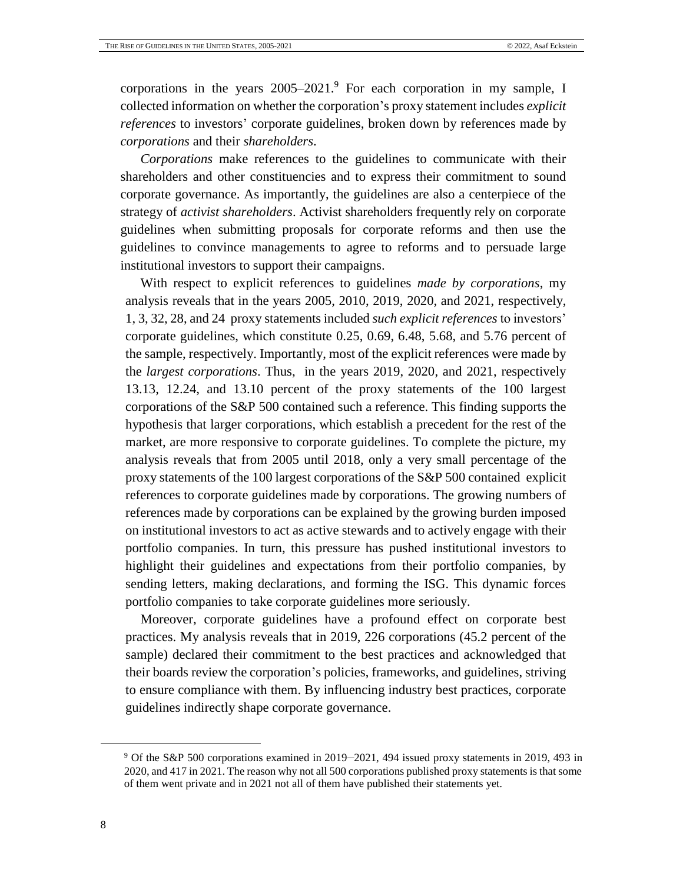corporations in the years 2005–2021. <sup>9</sup> For each corporation in my sample, I collected information on whether the corporation's proxy statement includes *explicit references* to investors' corporate guidelines, broken down by references made by *corporations* and their *shareholders*.

*Corporations* make references to the guidelines to communicate with their shareholders and other constituencies and to express their commitment to sound corporate governance. As importantly, the guidelines are also a centerpiece of the strategy of *activist shareholders*. Activist shareholders frequently rely on corporate guidelines when submitting proposals for corporate reforms and then use the guidelines to convince managements to agree to reforms and to persuade large institutional investors to support their campaigns.

With respect to explicit references to guidelines *made by corporations*, my analysis reveals that in the years 2005, 2010, 2019, 2020, and 2021, respectively, 1, 3, 32, 28, and 24 proxy statements included *such explicit references* to investors' corporate guidelines, which constitute 0.25, 0.69, 6.48, 5.68, and 5.76 percent of the sample, respectively. Importantly, most of the explicit references were made by the *largest corporations*. Thus, in the years 2019, 2020, and 2021, respectively 13.13, 12.24, and 13.10 percent of the proxy statements of the 100 largest corporations of the S&P 500 contained such a reference. This finding supports the hypothesis that larger corporations, which establish a precedent for the rest of the market, are more responsive to corporate guidelines. To complete the picture, my analysis reveals that from 2005 until 2018, only a very small percentage of the proxy statements of the 100 largest corporations of the S&P 500 contained explicit references to corporate guidelines made by corporations. The growing numbers of references made by corporations can be explained by the growing burden imposed on institutional investors to act as active stewards and to actively engage with their portfolio companies. In turn, this pressure has pushed institutional investors to highlight their guidelines and expectations from their portfolio companies, by sending letters, making declarations, and forming the ISG. This dynamic forces portfolio companies to take corporate guidelines more seriously.

Moreover, corporate guidelines have a profound effect on corporate best practices. My analysis reveals that in 2019, 226 corporations (45.2 percent of the sample) declared their commitment to the best practices and acknowledged that their boards review the corporation's policies, frameworks, and guidelines, striving to ensure compliance with them. By influencing industry best practices, corporate guidelines indirectly shape corporate governance.

<sup>9</sup> Of the S&P 500 corporations examined in 2019–2021, 494 issued proxy statements in 2019, 493 in 2020, and 417 in 2021. The reason why not all 500 corporations published proxy statements is that some of them went private and in 2021 not all of them have published their statements yet.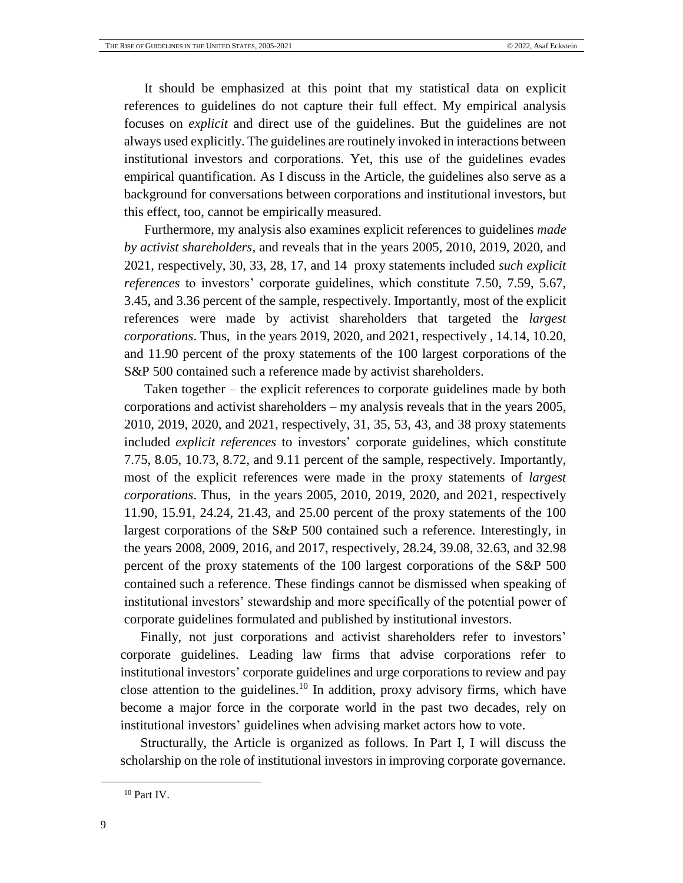It should be emphasized at this point that my statistical data on explicit references to guidelines do not capture their full effect. My empirical analysis focuses on *explicit* and direct use of the guidelines. But the guidelines are not always used explicitly. The guidelines are routinely invoked in interactions between institutional investors and corporations. Yet, this use of the guidelines evades empirical quantification. As I discuss in the Article, the guidelines also serve as a background for conversations between corporations and institutional investors, but this effect, too, cannot be empirically measured.

Furthermore, my analysis also examines explicit references to guidelines *made by activist shareholders*, and reveals that in the years 2005, 2010, 2019, 2020, and 2021, respectively, 30, 33, 28, 17, and 14 proxy statements included *such explicit references* to investors' corporate guidelines, which constitute 7.50, 7.59, 5.67, 3.45, and 3.36 percent of the sample, respectively. Importantly, most of the explicit references were made by activist shareholders that targeted the *largest corporations*. Thus, in the years 2019, 2020, and 2021, respectively , 14.14, 10.20, and 11.90 percent of the proxy statements of the 100 largest corporations of the S&P 500 contained such a reference made by activist shareholders.

Taken together – the explicit references to corporate guidelines made by both corporations and activist shareholders – my analysis reveals that in the years 2005, 2010, 2019, 2020, and 2021, respectively, 31, 35, 53, 43, and 38 proxy statements included *explicit references* to investors' corporate guidelines, which constitute 7.75, 8.05, 10.73, 8.72, and 9.11 percent of the sample, respectively. Importantly, most of the explicit references were made in the proxy statements of *largest corporations*. Thus, in the years 2005, 2010, 2019, 2020, and 2021, respectively 11.90, 15.91, 24.24, 21.43, and 25.00 percent of the proxy statements of the 100 largest corporations of the S&P 500 contained such a reference. Interestingly, in the years 2008, 2009, 2016, and 2017, respectively, 28.24, 39.08, 32.63, and 32.98 percent of the proxy statements of the 100 largest corporations of the S&P 500 contained such a reference. These findings cannot be dismissed when speaking of institutional investors' stewardship and more specifically of the potential power of corporate guidelines formulated and published by institutional investors.

Finally, not just corporations and activist shareholders refer to investors' corporate guidelines. Leading law firms that advise corporations refer to institutional investors' corporate guidelines and urge corporations to review and pay close attention to the guidelines.<sup>10</sup> In addition, proxy advisory firms, which have become a major force in the corporate world in the past two decades, rely on institutional investors' guidelines when advising market actors how to vote.

Structurally, the Article is organized as follows. In Part I, I will discuss the scholarship on the role of institutional investors in improving corporate governance.

<sup>10</sup> Part IV.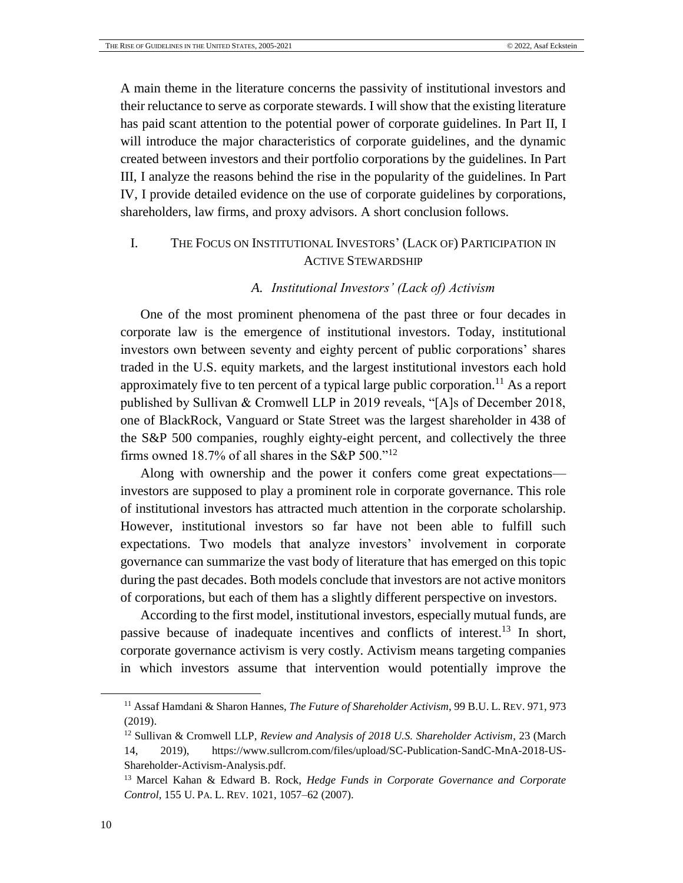A main theme in the literature concerns the passivity of institutional investors and their reluctance to serve as corporate stewards. I will show that the existing literature has paid scant attention to the potential power of corporate guidelines. In Part II, I will introduce the major characteristics of corporate guidelines, and the dynamic created between investors and their portfolio corporations by the guidelines. In Part III, I analyze the reasons behind the rise in the popularity of the guidelines. In Part IV, I provide detailed evidence on the use of corporate guidelines by corporations, shareholders, law firms, and proxy advisors. A short conclusion follows.

## <span id="page-9-0"></span>I. THE FOCUS ON INSTITUTIONAL INVESTORS' (LACK OF) PARTICIPATION IN ACTIVE STEWARDSHIP

## <span id="page-9-4"></span><span id="page-9-2"></span>*A. Institutional Investors' (Lack of) Activism*

<span id="page-9-1"></span>One of the most prominent phenomena of the past three or four decades in corporate law is the emergence of institutional investors. Today, institutional investors own between seventy and eighty percent of public corporations' shares traded in the U.S. equity markets, and the largest institutional investors each hold approximately five to ten percent of a typical large public corporation.<sup>11</sup> As a report published by Sullivan & Cromwell LLP in 2019 reveals, "[A]s of December 2018, one of BlackRock, Vanguard or State Street was the largest shareholder in 438 of the S&P 500 companies, roughly eighty-eight percent, and collectively the three firms owned 18.7% of all shares in the S&P  $500.^{12}$ 

Along with ownership and the power it confers come great expectations investors are supposed to play a prominent role in corporate governance. This role of institutional investors has attracted much attention in the corporate scholarship. However, institutional investors so far have not been able to fulfill such expectations. Two models that analyze investors' involvement in corporate governance can summarize the vast body of literature that has emerged on this topic during the past decades. Both models conclude that investors are not active monitors of corporations, but each of them has a slightly different perspective on investors.

<span id="page-9-3"></span>According to the first model, institutional investors, especially mutual funds, are passive because of inadequate incentives and conflicts of interest.<sup>13</sup> In short, corporate governance activism is very costly. Activism means targeting companies in which investors assume that intervention would potentially improve the

<sup>11</sup> Assaf Hamdani & Sharon Hannes, *The Future of Shareholder Activism*, 99 B.U. L. REV. 971, 973 (2019).

<sup>12</sup> Sullivan & Cromwell LLP, *Review and Analysis of 2018 U.S. Shareholder Activism*, 23 (March 14, 2019), [https://www.sullcrom.com/files/upload/SC-Publication-SandC-MnA-2018-US-](https://www.sullcrom.com/files/upload/SC-Publication-SandC-MnA-2018-US-Shareholder-Activism-Analysis.pdf)[Shareholder-Activism-Analysis.pdf.](https://www.sullcrom.com/files/upload/SC-Publication-SandC-MnA-2018-US-Shareholder-Activism-Analysis.pdf)

<sup>13</sup> Marcel Kahan & Edward B. Rock, *Hedge Funds in Corporate Governance and Corporate Control*, 155 U. PA. L. REV. 1021, 1057–62 (2007).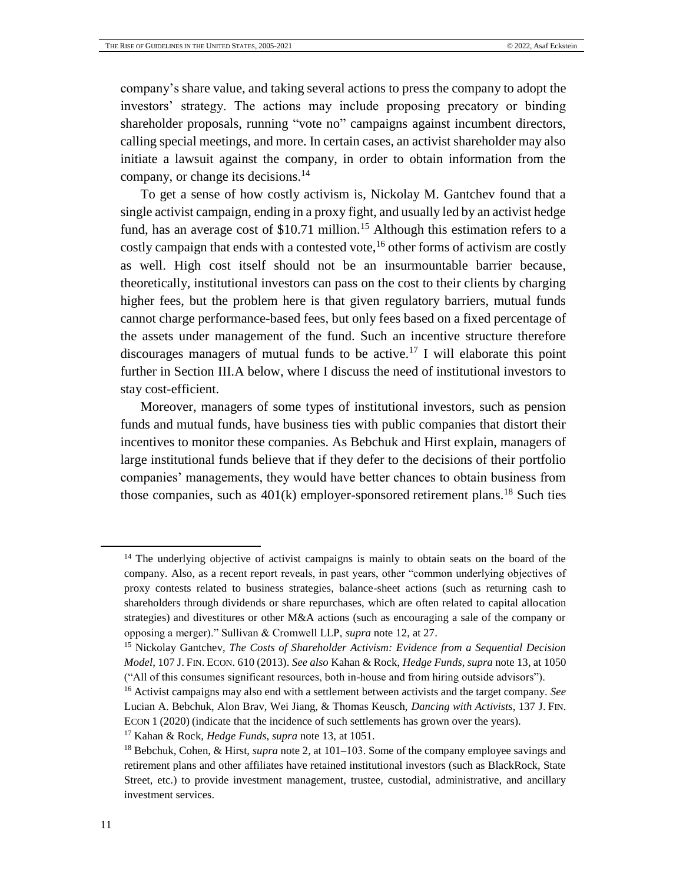company's share value, and taking several actions to press the company to adopt the investors' strategy. The actions may include proposing precatory or binding shareholder proposals, running "vote no" campaigns against incumbent directors, calling special meetings, and more. In certain cases, an activist shareholder may also initiate a lawsuit against the company, in order to obtain information from the company, or change its decisions.<sup>14</sup>

To get a sense of how costly activism is, Nickolay M. Gantchev found that a single activist campaign, ending in a proxy fight, and usually led by an activist hedge fund, has an average cost of  $$10.71$  million.<sup>15</sup> Although this estimation refers to a costly campaign that ends with a contested vote,<sup>16</sup> other forms of activism are costly as well. High cost itself should not be an insurmountable barrier because, theoretically, institutional investors can pass on the cost to their clients by charging higher fees, but the problem here is that given regulatory barriers, mutual funds cannot charge performance-based fees, but only fees based on a fixed percentage of the assets under management of the fund. Such an incentive structure therefore discourages managers of mutual funds to be active.<sup>17</sup> I will elaborate this point further in Section III.A below, where I discuss the need of institutional investors to stay cost-efficient.

Moreover, managers of some types of institutional investors, such as pension funds and mutual funds, have business ties with public companies that distort their incentives to monitor these companies. As Bebchuk and Hirst explain, managers of large institutional funds believe that if they defer to the decisions of their portfolio companies' managements, they would have better chances to obtain business from those companies, such as  $401(k)$  employer-sponsored [retirement plans](https://www.investopedia.com/terms/r/retirement-planning.asp).<sup>18</sup> Such ties

<sup>&</sup>lt;sup>14</sup> The underlying objective of activist campaigns is mainly to obtain seats on the board of the company. Also, as a recent report reveals, in past years, other "common underlying objectives of proxy contests related to business strategies, balance-sheet actions (such as returning cash to shareholders through dividends or share repurchases, which are often related to capital allocation strategies) and divestitures or other M&A actions (such as encouraging a sale of the company or opposing a merger)." Sullivan & Cromwell LLP, *supra* note [12,](#page-9-2) at 27.

<sup>15</sup> Nickolay Gantchev, *The Costs of Shareholder Activism: Evidence from a Sequential Decision Model*, 107 J. FIN. ECON. 610 (2013). *See also* Kahan & Rock, *Hedge Funds*, *supra* not[e 13,](#page-9-3) at 1050 ("All of this consumes significant resources, both in-house and from hiring outside advisors").

<sup>16</sup> Activist campaigns may also end with a settlement between activists and the target company. *See* Lucian A. Bebchuk, Alon Brav, Wei Jiang, & Thomas Keusch, *Dancing with Activists*, 137 J. FIN. ECON 1 (2020) (indicate that the incidence of such settlements has grown over the years).

<sup>17</sup> Kahan & Rock, *Hedge Funds*, *supra* note [13,](#page-9-3) at 1051.

<sup>18</sup> Bebchuk, Cohen, & Hirst, *supra* note [2,](#page-4-2) at 101–103. Some of the company employee savings and retirement plans and other affiliates have retained institutional investors (such as BlackRock, State Street, etc.) to provide investment management, trustee, custodial, administrative, and ancillary investment services.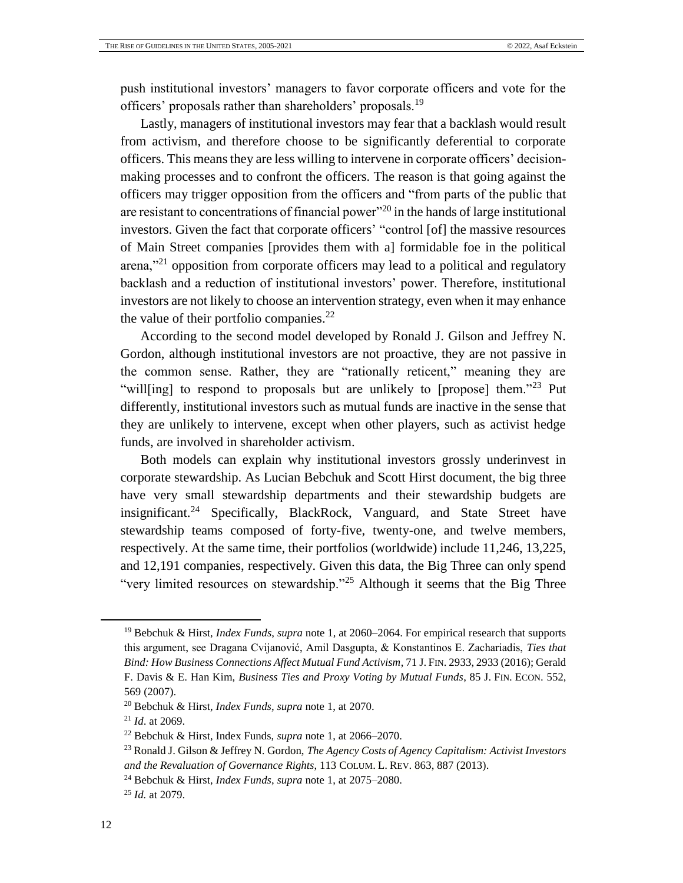push institutional investors' managers to favor corporate officers and vote for the officers' proposals rather than shareholders' proposals.<sup>19</sup>

Lastly, managers of institutional investors may fear that a backlash would result from activism, and therefore choose to be significantly deferential to corporate officers. This means they are less willing to intervene in corporate officers' decisionmaking processes and to confront the officers. The reason is that going against the officers may trigger opposition from the officers and "from parts of the public that are resistant to concentrations of financial power"<sup>20</sup> in the hands of large institutional investors. Given the fact that corporate officers' "control [of] the massive resources of Main Street companies [provides them with a] formidable foe in the political arena,"<sup>21</sup> opposition from corporate officers may lead to a political and regulatory backlash and a reduction of institutional investors' power. Therefore, institutional investors are not likely to choose an intervention strategy, even when it may enhance the value of their portfolio companies. $^{22}$ 

According to the second model developed by Ronald J. Gilson and Jeffrey N. Gordon, although institutional investors are not proactive, they are not passive in the common sense. Rather, they are "rationally reticent," meaning they are "will[ing] to respond to proposals but are unlikely to [propose] them."<sup>23</sup> Put differently, institutional investors such as mutual funds are inactive in the sense that they are unlikely to intervene, except when other players, such as activist hedge funds, are involved in shareholder activism.

Both models can explain why institutional investors grossly underinvest in corporate stewardship. As Lucian Bebchuk and Scott Hirst document, the big three have very small stewardship departments and their stewardship budgets are insignificant.<sup>24</sup> Specifically, BlackRock, Vanguard, and State Street have stewardship teams composed of forty-five, twenty-one, and twelve members, respectively. At the same time, their portfolios (worldwide) include 11,246, 13,225, and 12,191 companies, respectively. Given this data, the Big Three can only spend "very limited resources on stewardship."<sup>25</sup> Although it seems that the Big Three

<sup>19</sup> Bebchuk & Hirst, *Index Funds*, *supra* not[e 1,](#page-4-1) at 2060–2064. For empirical research that supports this argument, see Dragana Cvijanović, Amil Dasgupta, & Konstantinos E. Zachariadis, *Ties that Bind: How Business Connections Affect Mutual Fund Activism*, 71 J. FIN. 2933, 2933 (2016); Gerald F. Davis & E. Han Kim, *Business Ties and Proxy Voting by Mutual Funds*, 85 J. FIN. ECON. 552, 569 (2007).

<sup>20</sup> Bebchuk & Hirst, *Index Funds*, *supra* note [1,](#page-4-1) at 2070.

<sup>21</sup> *Id*. at 2069.

<sup>22</sup> Bebchuk & Hirst, Index Funds, *supra* note [1,](#page-4-1) at 2066–2070.

<sup>23</sup> Ronald J. Gilson & Jeffrey N. Gordon, *The Agency Costs of Agency Capitalism: Activist Investors and the Revaluation of Governance Rights*, 113 COLUM. L. REV. 863, 887 (2013).

<sup>24</sup> Bebchuk & Hirst, *Index Funds*, *supra* note [1,](#page-4-1) at 2075–2080.

<sup>25</sup> *Id.* at 2079.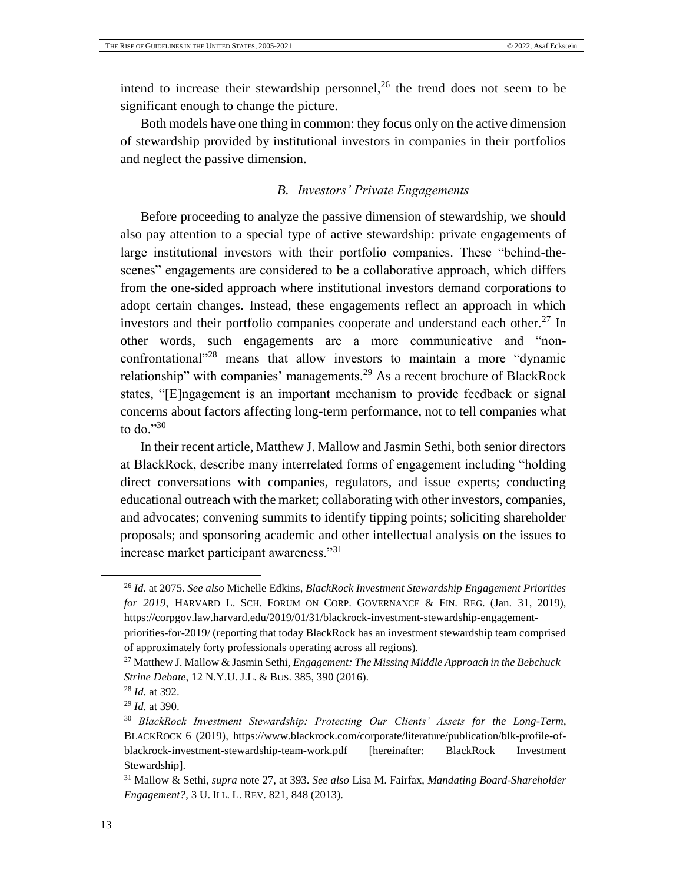intend to increase their stewardship personnel,<sup>26</sup> the trend does not seem to be significant enough to change the picture.

Both models have one thing in common: they focus only on the active dimension of stewardship provided by institutional investors in companies in their portfolios and neglect the passive dimension.

## <span id="page-12-1"></span>*B. Investors' Private Engagements*

<span id="page-12-0"></span>Before proceeding to analyze the passive dimension of stewardship, we should also pay attention to a special type of active stewardship: private engagements of large institutional investors with their portfolio companies. These "behind-thescenes" engagements are considered to be a collaborative approach, which differs from the one-sided approach where institutional investors demand corporations to adopt certain changes. Instead, these engagements reflect an approach in which investors and their portfolio companies cooperate and understand each other.<sup>27</sup> In other words, such engagements are a more communicative and "nonconfrontational<sup>"28</sup> means that allow investors to maintain a more "dynamic relationship" with companies' managements.<sup>29</sup> As a recent brochure of BlackRock states, "[E]ngagement is an important mechanism to provide feedback or signal concerns about factors affecting long-term performance, not to tell companies what to do."<sup>30</sup>

<span id="page-12-2"></span>In their recent article, Matthew J. Mallow and Jasmin Sethi, both senior directors at BlackRock, describe many interrelated forms of engagement including "holding direct conversations with companies, regulators, and issue experts; conducting educational outreach with the market; collaborating with other investors, companies, and advocates; convening summits to identify tipping points; soliciting shareholder proposals; and sponsoring academic and other intellectual analysis on the issues to increase market participant awareness."<sup>31</sup>

<sup>26</sup> *Id.* at 2075. *See also* Michelle Edkins, *BlackRock Investment Stewardship Engagement Priorities for 2019*, HARVARD L. SCH. FORUM ON CORP. GOVERNANCE & FIN. REG. (Jan. 31, 2019), https://corpgov.law.harvard.edu/2019/01/31/blackrock-investment-stewardship-engagement-

priorities-for-2019/ (reporting that today BlackRock has an investment stewardship team comprised of approximately forty professionals operating across all regions).

<sup>27</sup> Matthew J. Mallow & Jasmin Sethi, *Engagement: The Missing Middle Approach in the Bebchuck– Strine Debate*, 12 N.Y.U. J.L. & BUS. 385, 390 (2016).

<sup>28</sup> *Id.* at 392.

<sup>29</sup> *Id.* at 390.

<sup>30</sup> *BlackRock Investment Stewardship: Protecting Our Clients' Assets for the Long-Term*, BLACKROCK 6 (2019), [https://www.blackrock.com/corporate/literature/publication/blk-profile-of](https://www.blackrock.com/corporate/literature/publication/blk-profile-of-blackrock-investment-stewardship-team-work.pdf)[blackrock-investment-stewardship-team-work.pdf](https://www.blackrock.com/corporate/literature/publication/blk-profile-of-blackrock-investment-stewardship-team-work.pdf) [hereinafter: BlackRock Investment Stewardship].

<sup>31</sup> Mallow & Sethi, *supra* note [27,](#page-12-1) at 393. *See also* Lisa M. Fairfax, *Mandating Board-Shareholder Engagement?*, 3 U. ILL. L. REV. 821, 848 (2013).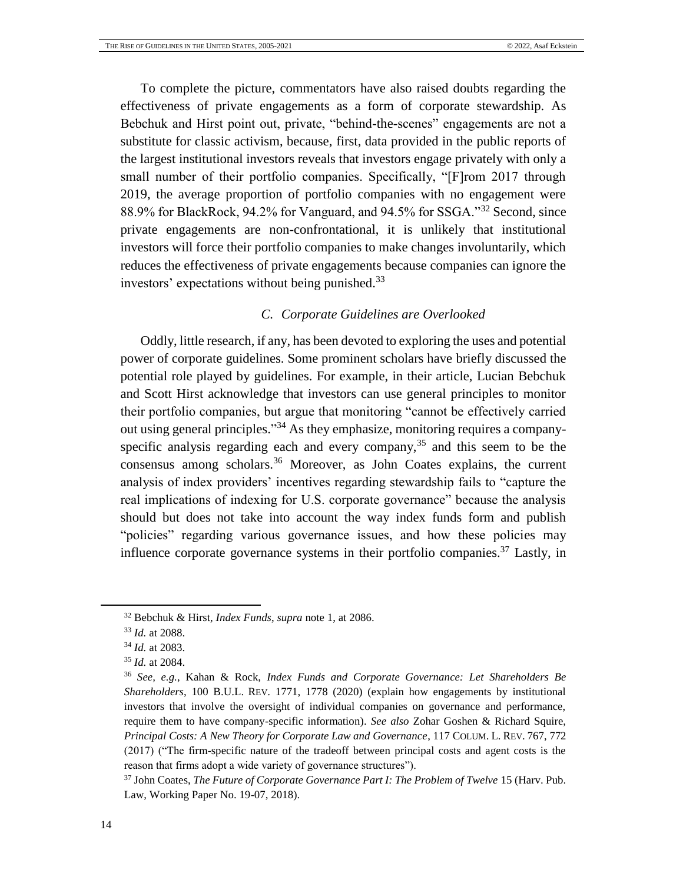To complete the picture, commentators have also raised doubts regarding the effectiveness of private engagements as a form of corporate stewardship. As Bebchuk and Hirst point out, private, "behind-the-scenes" engagements are not a substitute for classic activism, because, first, data provided in the public reports of the largest institutional investors reveals that investors engage privately with only a small number of their portfolio companies. Specifically, "[F]rom 2017 through 2019, the average proportion of portfolio companies with no engagement were 88.9% for BlackRock, 94.2% for Vanguard, and 94.5% for SSGA."<sup>32</sup> Second, since private engagements are non-confrontational, it is unlikely that institutional investors will force their portfolio companies to make changes involuntarily, which reduces the effectiveness of private engagements because companies can ignore the investors' expectations without being punished.<sup>33</sup>

## <span id="page-13-2"></span><span id="page-13-1"></span>*C. Corporate Guidelines are Overlooked*

<span id="page-13-0"></span>Oddly, little research, if any, has been devoted to exploring the uses and potential power of corporate guidelines. Some prominent scholars have briefly discussed the potential role played by guidelines. For example, in their article, Lucian Bebchuk and Scott Hirst acknowledge that investors can use general principles to monitor their portfolio companies, but argue that monitoring "cannot be effectively carried out using general principles."<sup>34</sup> As they emphasize, monitoring requires a companyspecific analysis regarding each and every company,  $35$  and this seem to be the consensus among scholars.<sup>36</sup> Moreover, as John Coates explains, the current analysis of index providers' incentives regarding stewardship fails to "capture the real implications of indexing for U.S. corporate governance" because the analysis should but does not take into account the way index funds form and publish "policies" regarding various governance issues, and how these policies may influence corporate governance systems in their portfolio companies.<sup>37</sup> Lastly, in

<sup>32</sup> Bebchuk & Hirst, *Index Funds*, *supra* note [1,](#page-4-1) at 2086.

<sup>33</sup> *Id.* at 2088.

<sup>34</sup> *Id.* at 2083.

<sup>35</sup> *Id.* at 2084.

<sup>36</sup> *See, e.g.*, Kahan & Rock, *Index Funds and Corporate Governance: Let Shareholders Be Shareholders*, 100 B.U.L. REV. 1771, 1778 (2020) (explain how engagements by institutional investors that involve the oversight of individual companies on governance and performance, require them to have company-specific information). *See also* Zohar Goshen & Richard Squire, *Principal Costs: A New Theory for Corporate Law and Governance*, 117 COLUM. L. REV. 767, 772 (2017) ("The firm-specific nature of the tradeoff between principal costs and agent costs is the reason that firms adopt a wide variety of governance structures").

<sup>37</sup> John Coates, *The Future of Corporate Governance Part I: The Problem of Twelve* 15 (Harv. Pub. Law, Working Paper No. 19-07, 2018).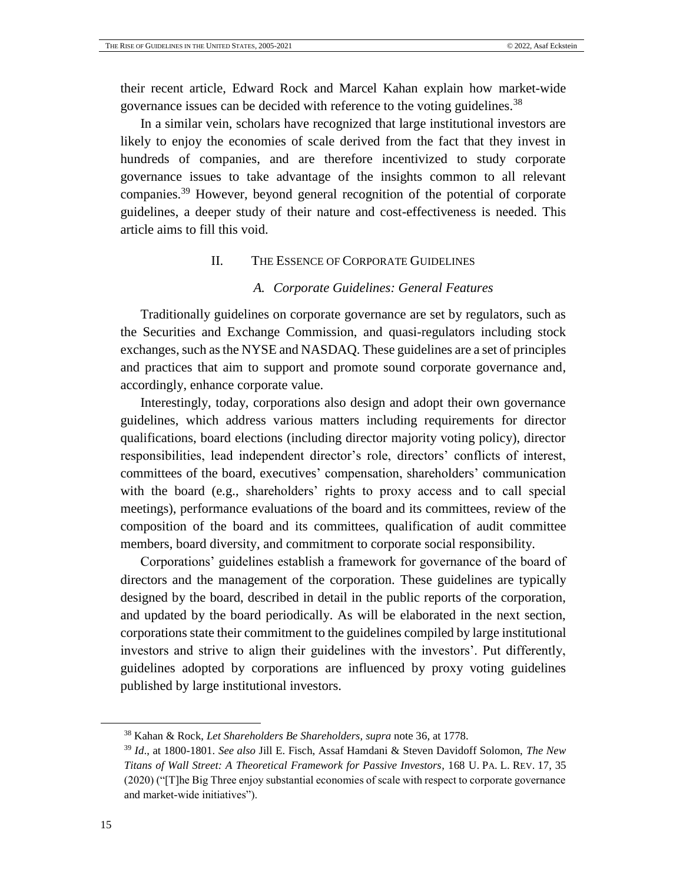their recent article, Edward Rock and Marcel Kahan explain how market-wide governance issues can be decided with reference to the voting guidelines.<sup>38</sup>

In a similar vein, scholars have recognized that large institutional investors are likely to enjoy the economies of scale derived from the fact that they invest in hundreds of companies, and are therefore incentivized to study corporate governance issues to take advantage of the insights common to all relevant companies.<sup>39</sup> However, beyond general recognition of the potential of corporate guidelines, a deeper study of their nature and cost-effectiveness is needed. This article aims to fill this void.

## II. THE ESSENCE OF CORPORATE GUIDELINES

#### *A. Corporate Guidelines: General Features*

<span id="page-14-1"></span><span id="page-14-0"></span>Traditionally guidelines on corporate governance are set by regulators, such as the Securities and Exchange Commission, and quasi-regulators including stock exchanges, such as the NYSE and NASDAQ. These guidelines are a set of principles and practices that aim to support and promote sound corporate governance and, accordingly, enhance corporate value.

Interestingly, today, corporations also design and adopt their own governance guidelines, which address various matters including requirements for director qualifications, board elections (including director majority voting policy), director responsibilities, lead independent director's role, directors' conflicts of interest, committees of the board, executives' compensation, shareholders' communication with the board (e.g., shareholders' rights to proxy access and to call special meetings), performance evaluations of the board and its committees, review of the composition of the board and its committees, qualification of audit committee members, board diversity, and commitment to corporate social responsibility.

Corporations' guidelines establish a framework for governance of the board of directors and the management of the corporation. These guidelines are typically designed by the board, described in detail in the public reports of the corporation, and updated by the board periodically. As will be elaborated in the next section, corporations state their commitment to the guidelines compiled by large institutional investors and strive to align their guidelines with the investors'. Put differently, guidelines adopted by corporations are influenced by proxy voting guidelines published by large institutional investors.

l

<sup>38</sup> Kahan & Rock, *Let Shareholders Be Shareholders*, *supra* note [36,](#page-13-1) at 1778.

<sup>39</sup> *Id*., at 1800-1801. *See also* Jill E. Fisch, Assaf Hamdani & Steven Davidoff Solomon, *The New Titans of Wall Street: A Theoretical Framework for Passive Investors*, 168 U. PA. L. REV. 17, 35 (2020) ("[T]he Big Three enjoy substantial economies of scale with respect to corporate governance and market-wide initiatives").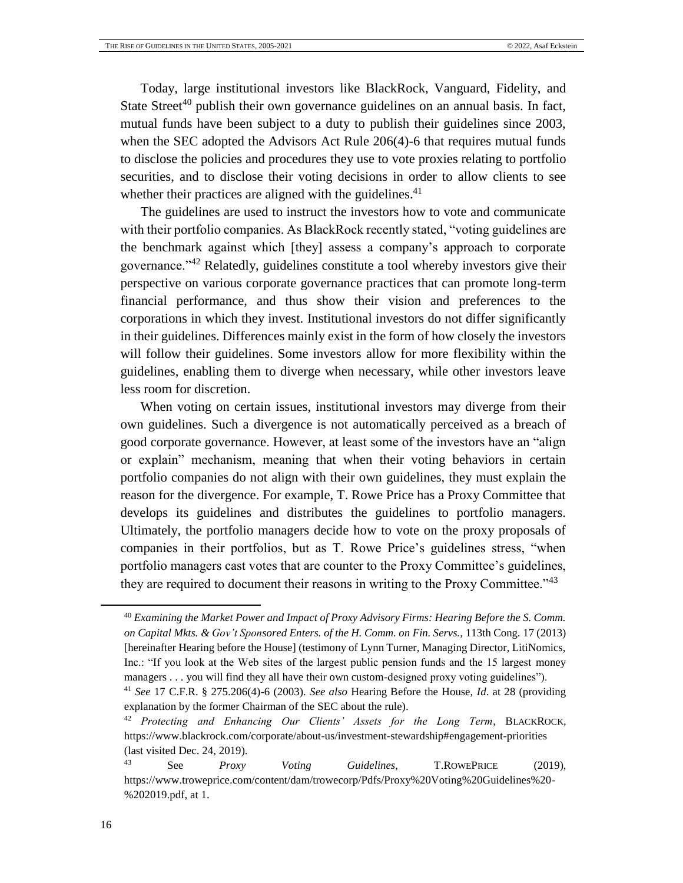<span id="page-15-0"></span>Today, large institutional investors like BlackRock, Vanguard, Fidelity, and State Street<sup>40</sup> publish their own governance guidelines on an annual basis. In fact, mutual funds have been subject to a duty to publish their guidelines since 2003, when the SEC adopted the Advisors Act Rule 206(4)-6 that requires mutual funds to disclose the policies and procedures they use to [vote proxies](https://www.sec.gov/reportspubs/investor-publications/investorpubsmfproxyvotinghtm.html) relating to portfolio securities, and to disclose their voting decisions in order to allow clients to see whether their practices are aligned with the guidelines. $41$ 

The guidelines are used to instruct the investors how to vote and communicate with their portfolio companies. As BlackRock recently stated, "voting guidelines are the benchmark against which [they] assess a company's approach to corporate governance."<sup>42</sup> Relatedly, guidelines constitute a tool whereby investors give their perspective on various corporate governance practices that can promote long-term financial performance, and thus show their vision and preferences to the corporations in which they invest. Institutional investors do not differ significantly in their guidelines. Differences mainly exist in the form of how closely the investors will follow their guidelines. Some investors allow for more flexibility within the guidelines, enabling them to diverge when necessary, while other investors leave less room for discretion.

When voting on certain issues, institutional investors may diverge from their own guidelines. Such a divergence is not automatically perceived as a breach of good corporate governance. However, at least some of the investors have an "align or explain" mechanism, meaning that when their voting behaviors in certain portfolio companies do not align with their own guidelines, they must explain the reason for the divergence. For example, T. Rowe Price has a Proxy Committee that develops its guidelines and distributes the guidelines to portfolio managers. Ultimately, the portfolio managers decide how to vote on the proxy proposals of companies in their portfolios, but as T. Rowe Price's guidelines stress, "when portfolio managers cast votes that are counter to the Proxy Committee's guidelines, they are required to document their reasons in writing to the Proxy Committee."<sup>43</sup>

<sup>40</sup> *Examining the Market Power and Impact of Proxy Advisory Firms: Hearing Before the S. Comm. on Capital Mkts. & Gov't Sponsored Enters. of the H. Comm. on Fin. Servs.,* 113th Cong. 17 (2013) [hereinafter Hearing before the House] (testimony of Lynn Turner, Managing Director, LitiNomics, Inc.: "If you look at the Web sites of the largest public pension funds and the 15 largest money managers . . . you will find they all have their own custom-designed proxy voting guidelines").

<sup>41</sup> *See* 17 C.F.R. § 275.206(4)-6 (2003). *See also* Hearing Before the House, *Id*. at 28 (providing explanation by the former Chairman of the SEC about the rule).

<sup>42</sup> *Protecting and Enhancing Our Clients' Assets for the Long Term*, BLACKROCK, <https://www.blackrock.com/corporate/about-us/investment-stewardship#engagement-priorities> (last visited Dec. 24, 2019).

<sup>43</sup> See *Proxy Voting Guidelines*, T.ROWEPRICE (2019), [https://www.troweprice.com/content/dam/trowecorp/Pdfs/Proxy%20Voting%20Guidelines%20-](https://www.troweprice.com/content/dam/trowecorp/Pdfs/Proxy%20Voting%20Guidelines%20-%202019.pdf) [%202019.pdf,](https://www.troweprice.com/content/dam/trowecorp/Pdfs/Proxy%20Voting%20Guidelines%20-%202019.pdf) at 1.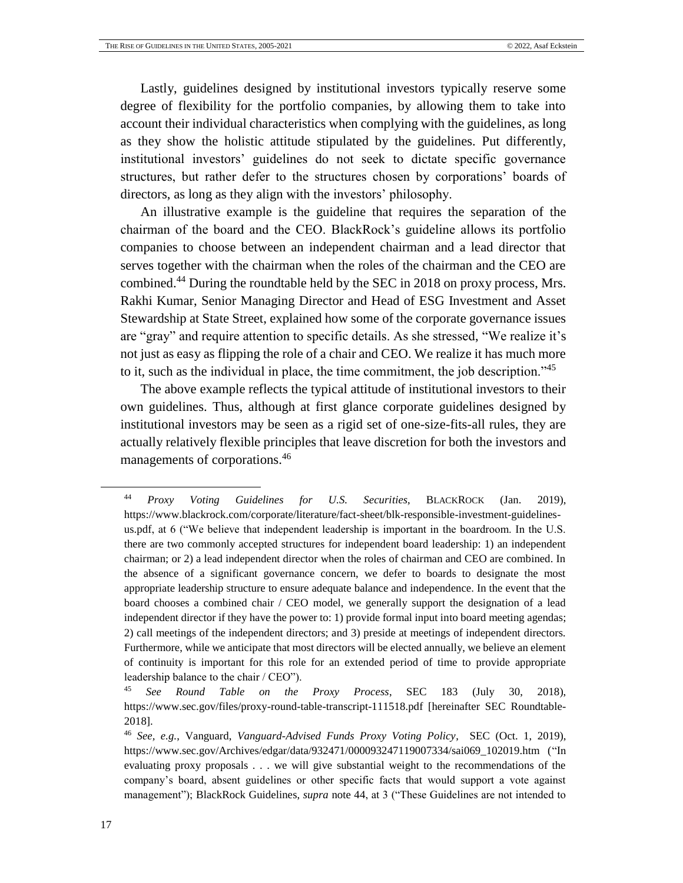Lastly, guidelines designed by institutional investors typically reserve some degree of flexibility for the portfolio companies, by allowing them to take into account their individual characteristics when complying with the guidelines, as long as they show the holistic attitude stipulated by the guidelines. Put differently, institutional investors' guidelines do not seek to dictate specific governance structures, but rather defer to the structures chosen by corporations' boards of directors, as long as they align with the investors' philosophy.

<span id="page-16-0"></span>An illustrative example is the guideline that requires the separation of the chairman of the board and the CEO. BlackRock's guideline allows its portfolio companies to choose between an independent chairman and a lead director that serves together with the chairman when the roles of the chairman and the CEO are combined.<sup>44</sup> During the roundtable held by the SEC in 2018 on proxy process, Mrs. Rakhi Kumar, Senior Managing Director and Head of ESG Investment and Asset Stewardship at State Street, explained how some of the corporate governance issues are "gray" and require attention to specific details. As she stressed, "We realize it's not just as easy as flipping the role of a chair and CEO. We realize it has much more to it, such as the individual in place, the time commitment, the job description."<sup>45</sup>

<span id="page-16-1"></span>The above example reflects the typical attitude of institutional investors to their own guidelines. Thus, although at first glance corporate guidelines designed by institutional investors may be seen as a rigid set of one-size-fits-all rules, they are actually relatively flexible principles that leave discretion for both the investors and managements of corporations.<sup>46</sup>

<span id="page-16-2"></span><sup>44</sup> *Proxy Voting Guidelines for U.S. Securities*, BLACKROCK (Jan. 2019), https://www.blackrock.com/corporate/literature/fact-sheet/blk-responsible-investment-guidelinesus.pdf, at 6 ("We believe that independent leadership is important in the boardroom. In the U.S. there are two commonly accepted structures for independent board leadership: 1) an independent chairman; or 2) a lead independent director when the roles of chairman and CEO are combined. In the absence of a significant governance concern, we defer to boards to designate the most appropriate leadership structure to ensure adequate balance and independence. In the event that the board chooses a combined chair / CEO model, we generally support the designation of a lead independent director if they have the power to: 1) provide formal input into board meeting agendas; 2) call meetings of the independent directors; and 3) preside at meetings of independent directors. Furthermore, while we anticipate that most directors will be elected annually, we believe an element of continuity is important for this role for an extended period of time to provide appropriate leadership balance to the chair / CEO").

<sup>45</sup> *See Round Table on the Proxy Process*, SEC 183 (July 30, 2018), https://www.sec.gov/files/proxy-round-table-transcript-111518.pdf [hereinafter SEC Roundtable-2018].

<sup>46</sup> *See, e.g.*, Vanguard, *Vanguard-Advised Funds Proxy Voting Policy*, SEC (Oct. 1, 2019), https://www.sec.gov/Archives/edgar/data/932471/000093247119007334/sai069\_102019.htm ("In evaluating proxy proposals . . . we will give substantial weight to the recommendations of the company's board, absent guidelines or other specific facts that would support a vote against management"); BlackRock Guidelines, *supra* note [44,](#page-16-0) at 3 ("These Guidelines are not intended to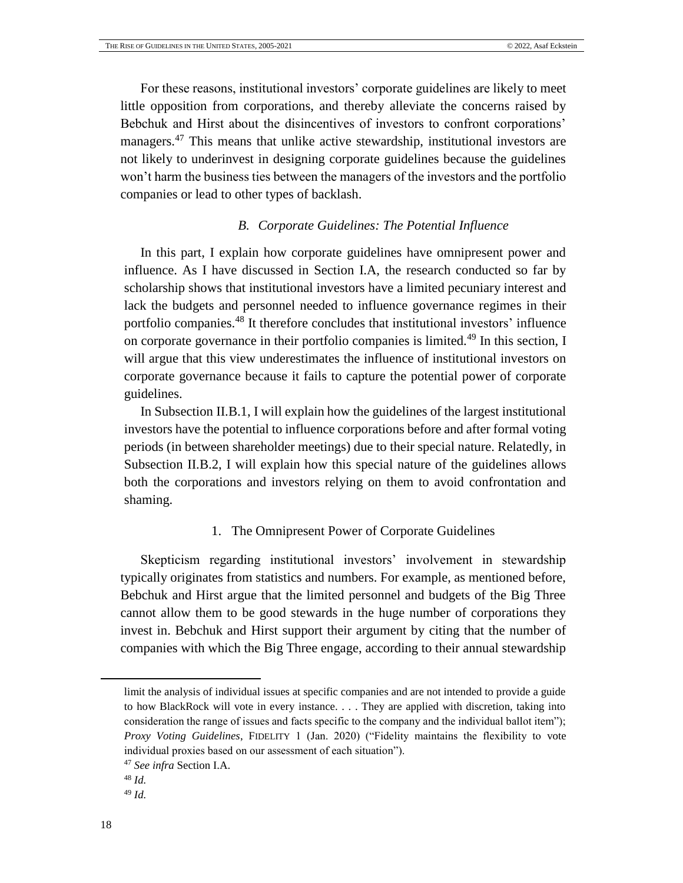For these reasons, institutional investors' corporate guidelines are likely to meet little opposition from corporations, and thereby alleviate the concerns raised by Bebchuk and Hirst about the disincentives of investors to confront corporations' managers.<sup>47</sup> This means that unlike active stewardship, institutional investors are not likely to underinvest in designing corporate guidelines because the guidelines won't harm the business ties between the managers of the investors and the portfolio companies or lead to other types of backlash.

#### *B. Corporate Guidelines: The Potential Influence*

<span id="page-17-0"></span>In this part, I explain how corporate guidelines have omnipresent power and influence. As I have discussed in Section I.A, the research conducted so far by scholarship shows that institutional investors have a limited pecuniary interest and lack the budgets and personnel needed to influence governance regimes in their portfolio companies.<sup>48</sup> It therefore concludes that institutional investors' influence on corporate governance in their portfolio companies is limited.<sup>49</sup> In this section, I will argue that this view underestimates the influence of institutional investors on corporate governance because it fails to capture the potential power of corporate guidelines.

In Subsection II.B.1, I will explain how the guidelines of the largest institutional investors have the potential to influence corporations before and after formal voting periods (in between shareholder meetings) due to their special nature. Relatedly, in Subsection II.B.2, I will explain how this special nature of the guidelines allows both the corporations and investors relying on them to avoid confrontation and shaming.

#### 1. The Omnipresent Power of Corporate Guidelines

Skepticism regarding institutional investors' involvement in stewardship typically originates from statistics and numbers. For example, as mentioned before, Bebchuk and Hirst argue that the limited personnel and budgets of the Big Three cannot allow them to be good stewards in the huge number of corporations they invest in. Bebchuk and Hirst support their argument by citing that the number of companies with which the Big Three engage, according to their annual stewardship

l

limit the analysis of individual issues at specific companies and are not intended to provide a guide to how BlackRock will vote in every instance. . . . They are applied with discretion, taking into consideration the range of issues and facts specific to the company and the individual ballot item"); *Proxy Voting Guidelines*, FIDELITY 1 (Jan. 2020) ("Fidelity maintains the flexibility to vote individual proxies based on our assessment of each situation").

<sup>47</sup> *See infra* Section I.A.

<sup>48</sup> *Id.*

<sup>49</sup> *Id.*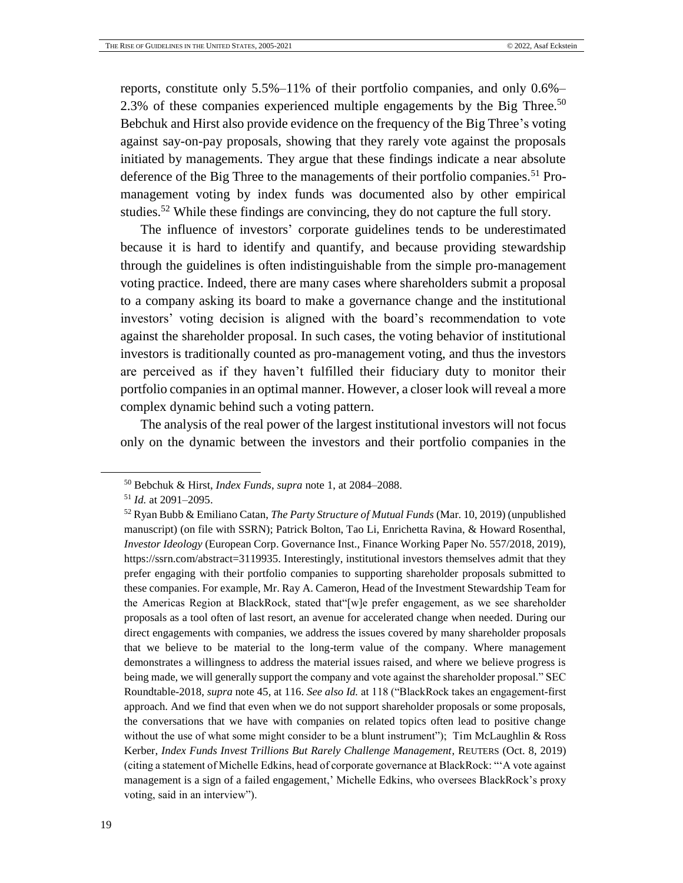reports, constitute only 5.5%–11% of their portfolio companies, and only 0.6%– 2.3% of these companies experienced multiple engagements by the Big Three.<sup>50</sup> Bebchuk and Hirst also provide evidence on the frequency of the Big Three's voting against say-on-pay proposals, showing that they rarely vote against the proposals initiated by managements. They argue that these findings indicate a near absolute deference of the Big Three to the managements of their portfolio companies.<sup>51</sup> Promanagement voting by index funds was documented also by other empirical studies.<sup>52</sup> While these findings are convincing, they do not capture the full story.

<span id="page-18-0"></span>The influence of investors' corporate guidelines tends to be underestimated because it is hard to identify and quantify, and because providing stewardship through the guidelines is often indistinguishable from the simple pro-management voting practice. Indeed, there are many cases where shareholders submit a proposal to a company asking its board to make a governance change and the institutional investors' voting decision is aligned with the board's recommendation to vote against the shareholder proposal. In such cases, the voting behavior of institutional investors is traditionally counted as pro-management voting, and thus the investors are perceived as if they haven't fulfilled their fiduciary duty to monitor their portfolio companies in an optimal manner. However, a closer look will reveal a more complex dynamic behind such a voting pattern.

The analysis of the real power of the largest institutional investors will not focus only on the dynamic between the investors and their portfolio companies in the

<sup>50</sup> Bebchuk & Hirst, *Index Funds*, *supra* note [1,](#page-4-1) at 2084–2088.

<sup>51</sup> *Id.* at 2091–2095.

<sup>52</sup> Ryan Bubb & Emiliano Catan, *The Party Structure of Mutual Funds* (Mar. 10, 2019) (unpublished manuscript) (on file with SSRN); Patrick Bolton, Tao Li, Enrichetta Ravina, & Howard Rosenthal, *Investor Ideology* (European Corp. Governance Inst., Finance Working Paper No. 557/2018, 2019), https://ssrn.com/abstract=3119935. Interestingly, institutional investors themselves admit that they prefer engaging with their portfolio companies to supporting shareholder proposals submitted to these companies. For example, Mr. Ray A. Cameron, Head of the Investment Stewardship Team for the Americas Region at BlackRock, stated that"[w]e prefer engagement, as we see shareholder proposals as a tool often of last resort, an avenue for accelerated change when needed. During our direct engagements with companies, we address the issues covered by many shareholder proposals that we believe to be material to the long-term value of the company. Where management demonstrates a willingness to address the material issues raised, and where we believe progress is being made, we will generally support the company and vote against the shareholder proposal." SEC Roundtable-2018, *supra* not[e 45,](#page-16-1) at 116. *See also Id.* at 118 ("BlackRock takes an engagement-first approach. And we find that even when we do not support shareholder proposals or some proposals, the conversations that we have with companies on related topics often lead to positive change without the use of what some might consider to be a blunt instrument"); Tim McLaughlin & Ross Kerber, *Index Funds Invest Trillions But Rarely Challenge Management*, REUTERS (Oct. 8, 2019) (citing a statement of Michelle Edkins, head of corporate governance at BlackRock: "'A vote against management is a sign of a failed engagement,' Michelle Edkins, who oversees BlackRock's proxy voting, said in an interview").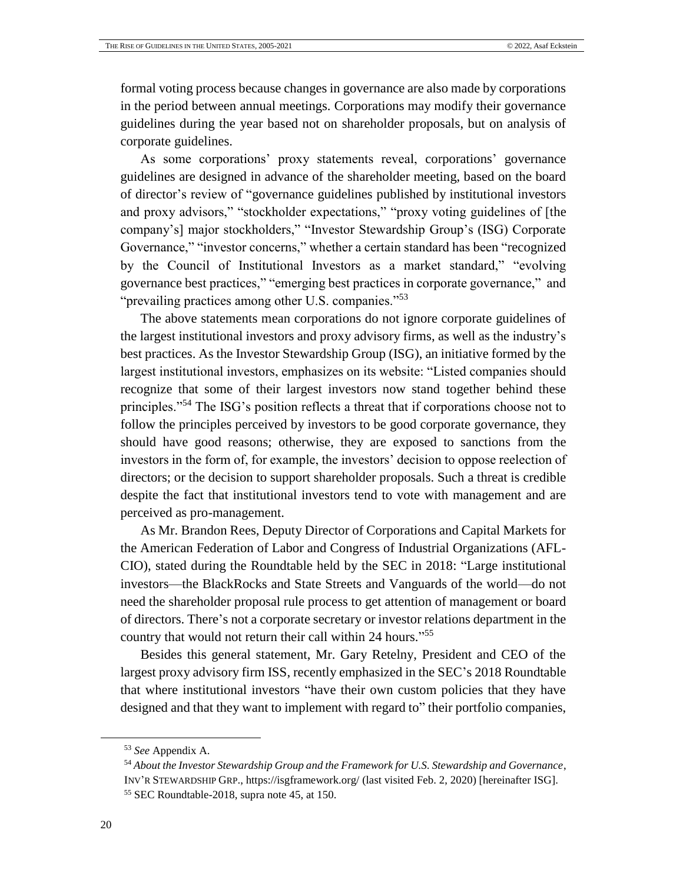formal voting process because changes in governance are also made by corporations in the period between annual meetings. Corporations may modify their governance guidelines during the year based not on shareholder proposals, but on analysis of corporate guidelines.

As some corporations' proxy statements reveal, corporations' governance guidelines are designed in advance of the shareholder meeting, based on the board of director's review of "governance guidelines published by institutional investors and proxy advisors," "stockholder expectations," "proxy voting guidelines of [the company's] major stockholders," "Investor Stewardship Group's (ISG) Corporate Governance," "investor concerns," whether a certain standard has been "recognized by the Council of Institutional Investors as a market standard," "evolving governance best practices," "emerging best practices in corporate governance," and "prevailing practices among other U.S. companies."<sup>53</sup>

<span id="page-19-0"></span>The above statements mean corporations do not ignore corporate guidelines of the largest institutional investors and proxy advisory firms, as well as the industry's best practices. As the Investor Stewardship Group (ISG), an initiative formed by the largest institutional investors, emphasizes on its website: "Listed companies should recognize that some of their largest investors now stand together behind these principles."<sup>54</sup> The ISG's position reflects a threat that if corporations choose not to follow the principles perceived by investors to be good corporate governance, they should have good reasons; otherwise, they are exposed to sanctions from the investors in the form of, for example, the investors' decision to oppose reelection of directors; or the decision to support shareholder proposals. Such a threat is credible despite the fact that institutional investors tend to vote with management and are perceived as pro-management.

As Mr. Brandon Rees, Deputy Director of Corporations and Capital Markets for the American Federation of Labor and Congress of Industrial Organizations (AFL-CIO), stated during the Roundtable held by the SEC in 2018: "Large institutional investors—the BlackRocks and State Streets and Vanguards of the world—do not need the shareholder proposal rule process to get attention of management or board of directors. There's not a corporate secretary or investor relations department in the country that would not return their call within 24 hours." 55

Besides this general statement, Mr. Gary Retelny, President and CEO of the largest proxy advisory firm ISS, recently emphasized in the SEC's 2018 Roundtable that where institutional investors "have their own custom policies that they have designed and that they want to implement with regard to" their portfolio companies,

<sup>53</sup> *See* Appendix A.

<sup>54</sup> *About the Investor Stewardship Group and the Framework for U.S. Stewardship and Governance*, INV'R STEWARDSHIP GRP.[, https://isgframework.org/](https://isgframework.org/) (last visited Feb. 2, 2020) [hereinafter ISG].

<sup>55</sup> SEC Roundtable-2018, supra note [45,](#page-16-1) at 150.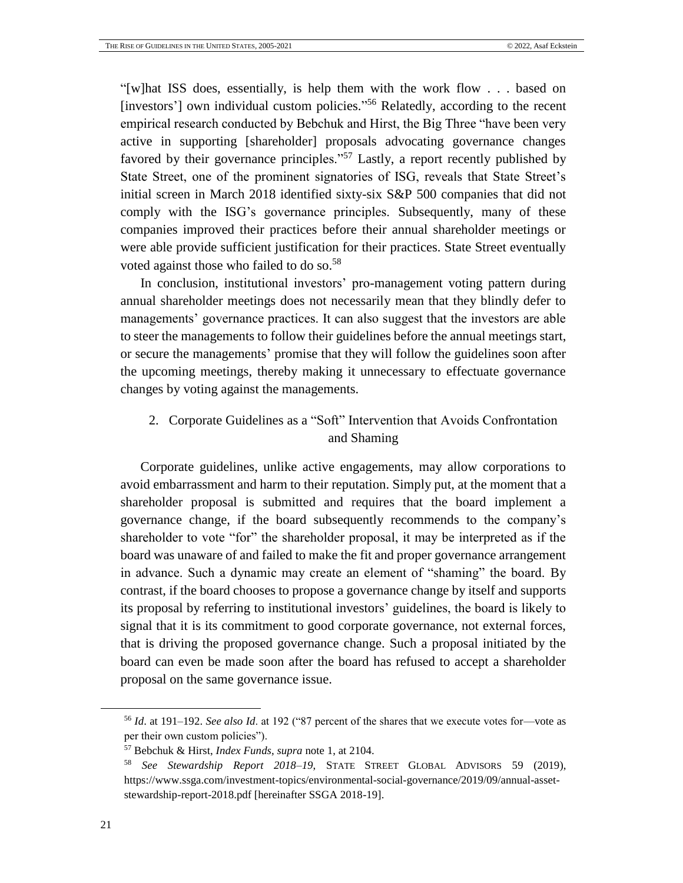"[w]hat ISS does, essentially, is help them with the work flow . . . based on [investors'] own individual custom policies."<sup>56</sup> Relatedly, according to the recent empirical research conducted by Bebchuk and Hirst, the Big Three "have been very active in supporting [shareholder] proposals advocating governance changes favored by their governance principles."<sup>57</sup> Lastly, a report recently published by State Street, one of the prominent signatories of ISG, reveals that State Street's initial screen in March 2018 identified sixty-six S&P 500 companies that did not comply with the ISG's governance principles. Subsequently, many of these companies improved their practices before their annual shareholder meetings or were able provide sufficient justification for their practices. State Street eventually voted against those who failed to do so.<sup>58</sup>

<span id="page-20-0"></span>In conclusion, institutional investors' pro-management voting pattern during annual shareholder meetings does not necessarily mean that they blindly defer to managements' governance practices. It can also suggest that the investors are able to steer the managements to follow their guidelines before the annual meetings start, or secure the managements' promise that they will follow the guidelines soon after the upcoming meetings, thereby making it unnecessary to effectuate governance changes by voting against the managements.

# 2. Corporate Guidelines as a "Soft" Intervention that Avoids Confrontation and Shaming

Corporate guidelines, unlike active engagements, may allow corporations to avoid embarrassment and harm to their reputation. Simply put, at the moment that a shareholder proposal is submitted and requires that the board implement a governance change, if the board subsequently recommends to the company's shareholder to vote "for" the shareholder proposal, it may be interpreted as if the board was unaware of and failed to make the fit and proper governance arrangement in advance. Such a dynamic may create an element of "shaming" the board. By contrast, if the board chooses to propose a governance change by itself and supports its proposal by referring to institutional investors' guidelines, the board is likely to signal that it is its commitment to good corporate governance, not external forces, that is driving the proposed governance change. Such a proposal initiated by the board can even be made soon after the board has refused to accept a shareholder proposal on the same governance issue.

<sup>56</sup> *Id*. at 191–192. *See also Id*. at 192 ("87 percent of the shares that we execute votes for—vote as per their own custom policies").

<sup>57</sup> Bebchuk & Hirst, *Index Funds*, *supra* note [1,](#page-4-1) at 2104.

<sup>58</sup> *See Stewardship Report 2018–19*, STATE STREET GLOBAL ADVISORS 59 (2019), [https://www.ssga.com/investment-topics/environmental-social-governance/2019/09/annual-asset](https://www.ssga.com/investment-topics/environmental-social-governance/2019/09/annual-asset-stewardship-report-2018.pdf)[stewardship-report-2018.pdf](https://www.ssga.com/investment-topics/environmental-social-governance/2019/09/annual-asset-stewardship-report-2018.pdf) [hereinafter SSGA 2018-19].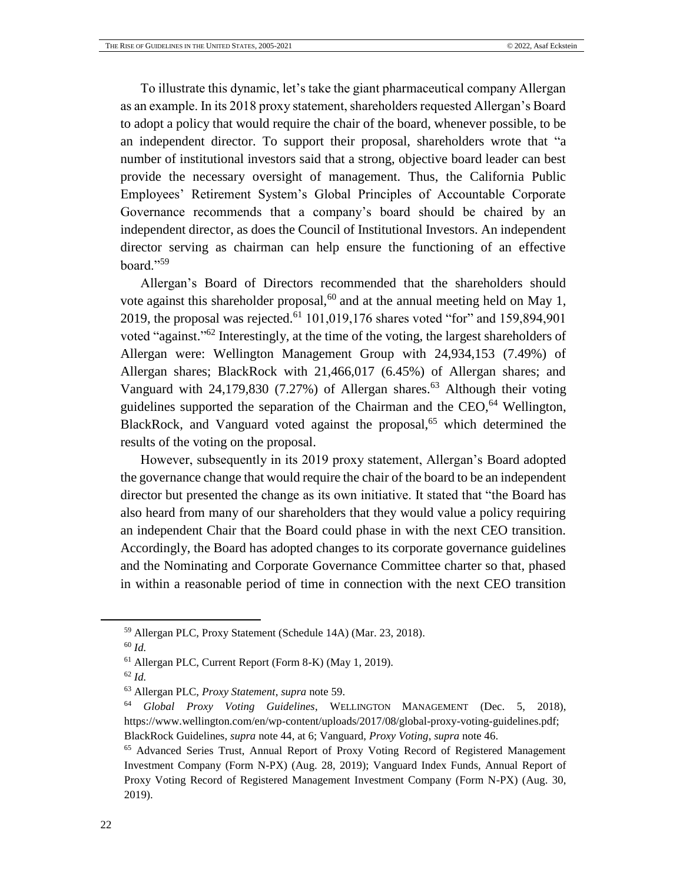To illustrate this dynamic, let's take the giant pharmaceutical company Allergan as an example. In its 2018 proxy statement, shareholders requested Allergan's Board to adopt a policy that would require the chair of the board, whenever possible, to be an independent director. To support their proposal, shareholders wrote that "a number of institutional investors said that a strong, objective board leader can best provide the necessary oversight of management. Thus, the California Public Employees' Retirement System's Global Principles of Accountable Corporate Governance recommends that a company's board should be chaired by an independent director, as does the Council of Institutional Investors. An independent director serving as chairman can help ensure the functioning of an effective board."<sup>59</sup>

<span id="page-21-0"></span>Allergan's Board of Directors recommended that the shareholders should vote against this shareholder proposal,  $60$  and at the annual meeting held on May 1, 2019, the proposal was rejected.<sup>61</sup> 101,019,176 shares voted "for" and 159,894,901 voted "against."<sup>62</sup> Interestingly, at the time of the voting, the largest shareholders of Allergan were: Wellington Management Group with 24,934,153 (7.49%) of Allergan shares; BlackRock with 21,466,017 (6.45%) of Allergan shares; and Vanguard with  $24,179,830$  (7.27%) of Allergan shares.<sup>63</sup> Although their voting guidelines supported the separation of the Chairman and the  $CEO<sub>1</sub><sup>64</sup>$  Wellington, BlackRock, and Vanguard voted against the proposal, $65$  which determined the results of the voting on the proposal.

However, subsequently in its 2019 proxy statement, Allergan's Board adopted the governance change that would require the chair of the board to be an independent director but presented the change as its own initiative. It stated that "the Board has also heard from many of our shareholders that they would value a policy requiring an independent Chair that the Board could phase in with the next CEO transition. Accordingly, the Board has adopted changes to its corporate governance guidelines and the Nominating and Corporate Governance Committee charter so that, phased in within a reasonable period of time in connection with the next CEO transition

<sup>59</sup> Allergan PLC, Proxy Statement (Schedule 14A) (Mar. 23, 2018).

<sup>60</sup> *Id.*

<sup>61</sup> Allergan PLC, Current Report (Form 8-K) (May 1, 2019).

<sup>62</sup> *Id.*

<sup>63</sup> Allergan PLC, *Proxy Statement*, *supra* note [59.](#page-21-0)

<sup>64</sup> *Global Proxy Voting Guidelines*, WELLINGTON MANAGEMENT (Dec. 5, 2018), https://www.wellington.com/en/wp-content/uploads/2017/08/global-proxy-voting-guidelines.pdf; BlackRock Guidelines, *supra* note [44,](#page-16-0) at 6; Vanguard, *Proxy Voting*, *supra* note [46.](#page-16-2)

<sup>65</sup> Advanced Series Trust, Annual Report of Proxy Voting Record of Registered Management Investment Company (Form N-PX) (Aug. 28, 2019); Vanguard Index Funds, Annual Report of Proxy Voting Record of Registered Management Investment Company (Form N-PX) (Aug. 30, 2019).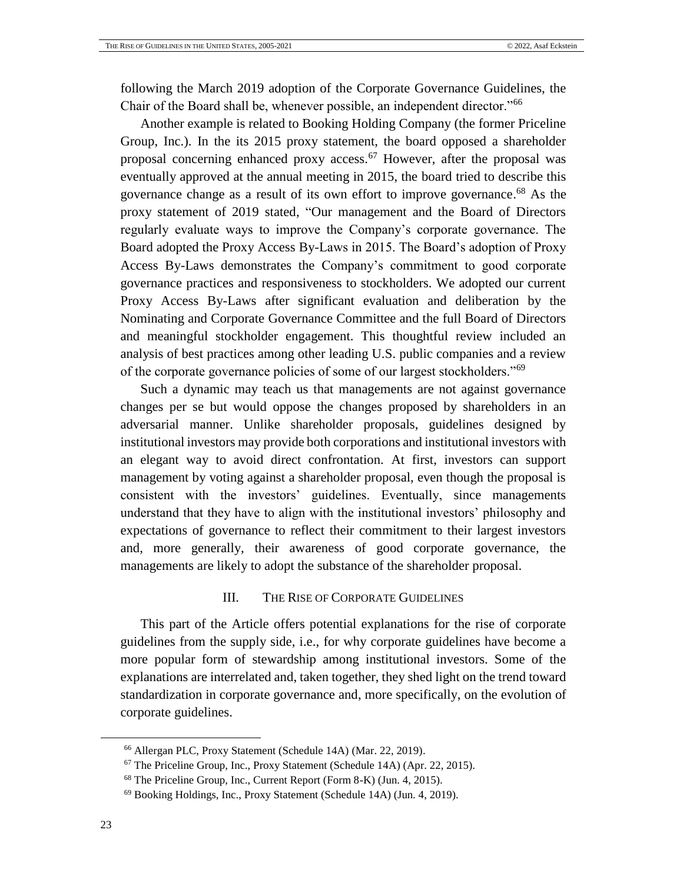following the March 2019 adoption of the Corporate Governance Guidelines, the Chair of the Board shall be, whenever possible, an independent director."<sup>66</sup>

Another example is related to Booking Holding Company (the former Priceline Group, Inc.). In the its 2015 proxy statement, the board opposed a shareholder proposal concerning enhanced proxy access.<sup>67</sup> However, after the proposal was eventually approved at the annual meeting in 2015, the board tried to describe this governance change as a result of its own effort to improve governance. <sup>68</sup> As the proxy statement of 2019 stated, "Our management and the Board of Directors regularly evaluate ways to improve the Company's corporate governance. The Board adopted the Proxy Access By-Laws in 2015. The Board's adoption of Proxy Access By-Laws demonstrates the Company's commitment to good corporate governance practices and responsiveness to stockholders. We adopted our current Proxy Access By-Laws after significant evaluation and deliberation by the Nominating and Corporate Governance Committee and the full Board of Directors and meaningful stockholder engagement. This thoughtful review included an analysis of best practices among other leading U.S. public companies and a review of the corporate governance policies of some of our largest stockholders."<sup>69</sup>

Such a dynamic may teach us that managements are not against governance changes per se but would oppose the changes proposed by shareholders in an adversarial manner. Unlike shareholder proposals, guidelines designed by institutional investors may provide both corporations and institutional investors with an elegant way to avoid direct confrontation. At first, investors can support management by voting against a shareholder proposal, even though the proposal is consistent with the investors' guidelines. Eventually, since managements understand that they have to align with the institutional investors' philosophy and expectations of governance to reflect their commitment to their largest investors and, more generally, their awareness of good corporate governance, the managements are likely to adopt the substance of the shareholder proposal.

## <span id="page-22-1"></span>III. THE RISE OF CORPORATE GUIDELINES

<span id="page-22-0"></span>This part of the Article offers potential explanations for the rise of corporate guidelines from the supply side, i.e., for why corporate guidelines have become a more popular form of stewardship among institutional investors. Some of the explanations are interrelated and, taken together, they shed light on the trend toward standardization in corporate governance and, more specifically, on the evolution of corporate guidelines.

<sup>66</sup> Allergan PLC, Proxy Statement (Schedule 14A) (Mar. 22, 2019).

<sup>&</sup>lt;sup>67</sup> The Priceline Group, Inc., Proxy Statement (Schedule 14A) (Apr. 22, 2015).

<sup>68</sup> The Priceline Group, Inc., Current Report (Form 8-K) (Jun. 4, 2015).

<sup>69</sup> Booking Holdings, Inc., Proxy Statement (Schedule 14A) (Jun. 4, 2019).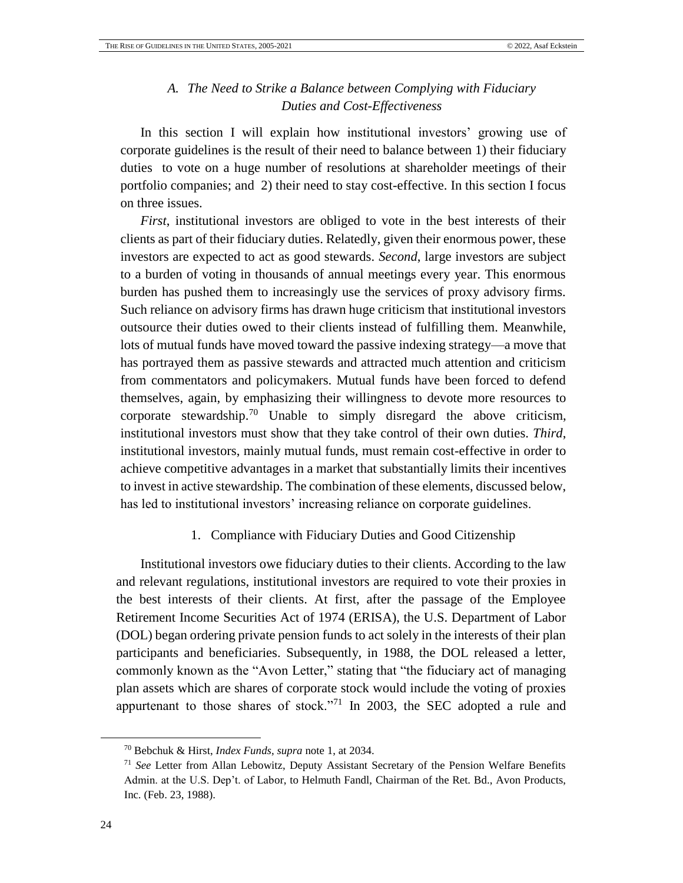## *A. The Need to Strike a Balance between Complying with Fiduciary Duties and Cost-Effectiveness*

<span id="page-23-0"></span>In this section I will explain how institutional investors' growing use of corporate guidelines is the result of their need to balance between 1) their fiduciary duties to vote on a huge number of resolutions at shareholder meetings of their portfolio companies; and 2) their need to stay cost-effective. In this section I focus on three issues.

*First*, institutional investors are obliged to vote in the best interests of their clients as part of their fiduciary duties. Relatedly, given their enormous power, these investors are expected to act as good stewards. *Second*, large investors are subject to a burden of voting in thousands of annual meetings every year. This enormous burden has pushed them to increasingly use the services of proxy advisory firms. Such reliance on advisory firms has drawn huge criticism that institutional investors outsource their duties owed to their clients instead of fulfilling them. Meanwhile, lots of mutual funds have moved toward the passive indexing strategy—a move that has portrayed them as passive stewards and attracted much attention and criticism from commentators and policymakers. Mutual funds have been forced to defend themselves, again, by emphasizing their willingness to devote more resources to corporate stewardship.<sup>70</sup> Unable to simply disregard the above criticism, institutional investors must show that they take control of their own duties. *Third*, institutional investors, mainly mutual funds, must remain cost-effective in order to achieve competitive advantages in a market that substantially limits their incentives to invest in active stewardship. The combination of these elements, discussed below, has led to institutional investors' increasing reliance on corporate guidelines.

#### 1. Compliance with Fiduciary Duties and Good Citizenship

Institutional investors owe fiduciary duties to their clients. According to the law and relevant regulations, institutional investors are required to vote their proxies in the best interests of their clients. At first, after the passage of the Employee Retirement Income Securities Act of 1974 (ERISA), the U.S. Department of Labor (DOL) began ordering private pension funds to act solely in the interests of their plan participants and beneficiaries. Subsequently, in 1988, the DOL released a letter, commonly known as the "Avon Letter," stating that "the fiduciary act of managing plan assets which are shares of corporate stock would include the voting of proxies appurtenant to those shares of stock."<sup>71</sup> In 2003, the SEC adopted a rule and

<sup>70</sup> Bebchuk & Hirst, *Index Funds*, *supra* note [1,](#page-4-1) at 2034.

<sup>71</sup> *See* Letter from Allan Lebowitz, Deputy Assistant Secretary of the Pension Welfare Benefits Admin. at the U.S. Dep't. of Labor, to Helmuth Fandl, Chairman of the Ret. Bd., Avon Products, Inc. (Feb. 23, 1988).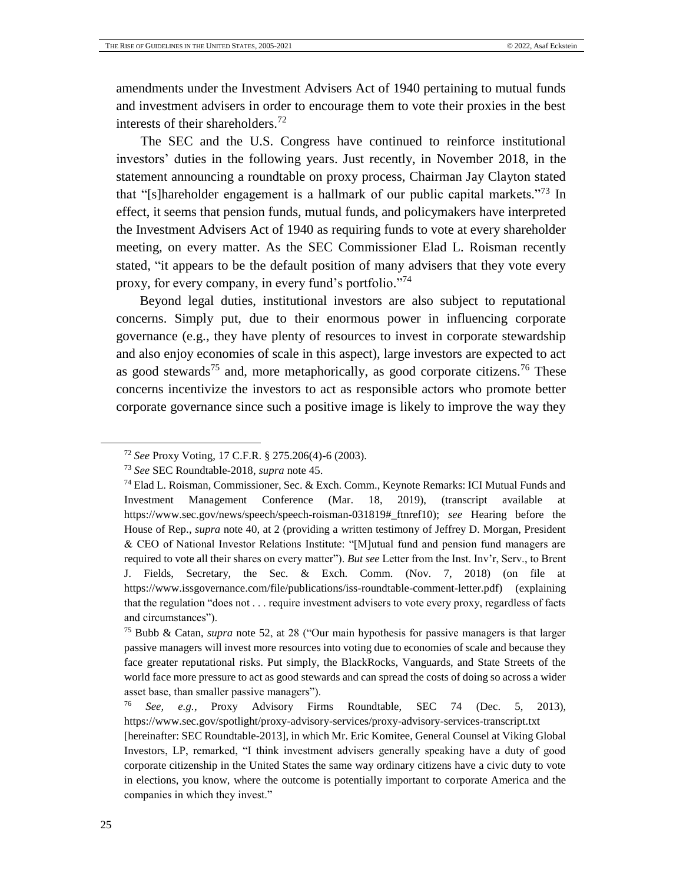amendments under the Investment Advisers Act of 1940 pertaining to mutual funds and investment advisers in order to encourage them to vote their proxies in the best interests of their shareholders.<sup>72</sup>

The SEC and the U.S. Congress have continued to reinforce institutional investors' duties in the following years. Just recently, in November 2018, in the statement announcing a roundtable on proxy process, Chairman Jay Clayton stated that "[s]hareholder engagement is a hallmark of our public capital markets."<sup>73</sup> In effect, it seems that pension funds, mutual funds, and policymakers have interpreted the Investment Advisers Act of 1940 as requiring funds to vote at every shareholder meeting, on every matter. As the SEC Commissioner Elad L. Roisman recently stated, "it appears to be the default position of many advisers that they vote every proxy, for every company, in every fund's portfolio."<sup>74</sup>

Beyond legal duties, institutional investors are also subject to reputational concerns. Simply put, due to their enormous power in influencing corporate governance (e.g., they have plenty of resources to invest in corporate stewardship and also enjoy economies of scale in this aspect), large investors are expected to act as good stewards<sup>75</sup> and, more metaphorically, as good corporate citizens.<sup>76</sup> These concerns incentivize the investors to act as responsible actors who promote better corporate governance since such a positive image is likely to improve the way they

<span id="page-24-0"></span><sup>72</sup> *See* Proxy Voting, 17 C.F.R. § 275.206(4)-6 (2003).

<sup>73</sup> *See* SEC Roundtable-2018, *supra* note [45.](#page-16-1)

<sup>74</sup> Elad L. Roisman, Commissioner, Sec. & Exch. Comm., Keynote Remarks: ICI Mutual Funds and Investment Management Conference (Mar. 18, 2019), (transcript available at [https://www.sec.gov/news/speech/speech-roisman-031819#\\_ftnref10\)](https://www.sec.gov/news/speech/speech-roisman-031819#_ftnref10); *see* Hearing before the House of Rep., *supra* note [40,](#page-15-0) at 2 (providing a written testimony of Jeffrey D. Morgan, President & CEO of National Investor Relations Institute: "[M]utual fund and pension fund managers are required to vote all their shares on every matter"). *But see* Letter from the Inst. Inv'r, Serv., to Brent J. Fields, Secretary, the Sec. & Exch. Comm. (Nov. 7, 2018) (on file at [https://www.issgovernance.com/file/publications/iss-roundtable-comment-letter.pdf\)](https://www.issgovernance.com/file/publications/iss-roundtable-comment-letter.pdf) (explaining that the regulation "does not . . . require investment advisers to vote every proxy, regardless of facts and circumstances").

<sup>75</sup> Bubb & Catan, *supra* note [52,](#page-18-0) at 28 ("Our main hypothesis for passive managers is that larger passive managers will invest more resources into voting due to economies of scale and because they face greater reputational risks. Put simply, the BlackRocks, Vanguards, and State Streets of the world face more pressure to act as good stewards and can spread the costs of doing so across a wider asset base, than smaller passive managers").

<sup>76</sup> *See, e.g.*, Proxy Advisory Firms Roundtable, SEC 74 (Dec. 5, 2013), https://www.sec.gov/spotlight/proxy-advisory-services/proxy-advisory-services-transcript.txt

<sup>[</sup>hereinafter: SEC Roundtable-2013], in which Mr. Eric Komitee, General Counsel at Viking Global Investors, LP, remarked, "I think investment advisers generally speaking have a duty of good corporate citizenship in the United States the same way ordinary citizens have a civic duty to vote in elections, you know, where the outcome is potentially important to corporate America and the companies in which they invest."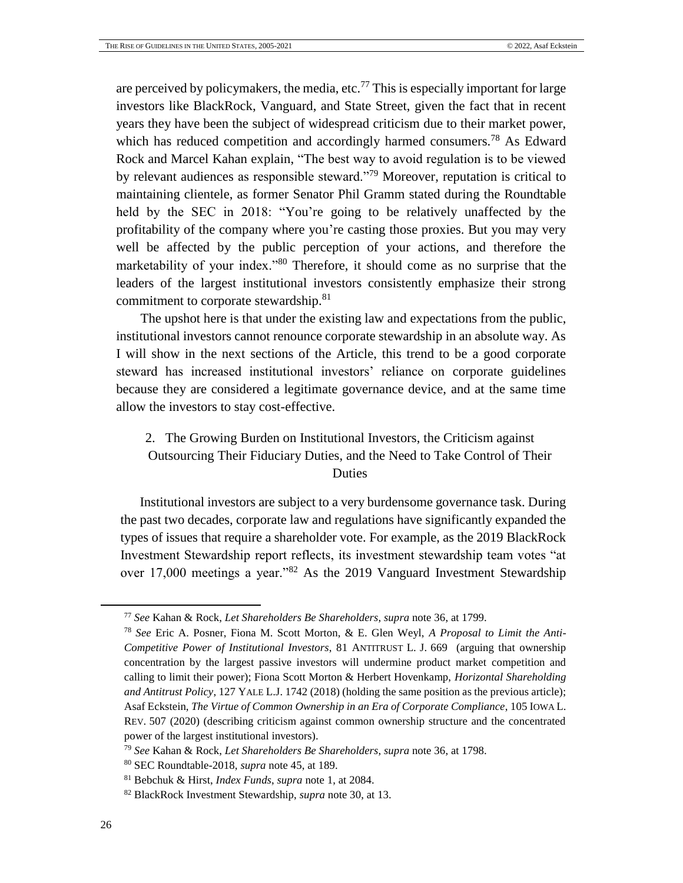<span id="page-25-0"></span>are perceived by policymakers, the media, etc.<sup>77</sup> This is especially important for large investors like BlackRock, Vanguard, and State Street, given the fact that in recent years they have been the subject of widespread criticism due to their market power, which has reduced competition and accordingly harmed consumers.<sup>78</sup> As Edward Rock and Marcel Kahan explain, "The best way to avoid regulation is to be viewed by relevant audiences as responsible steward."<sup>79</sup> Moreover, reputation is critical to maintaining clientele, as former Senator Phil Gramm stated during the Roundtable held by the SEC in 2018: "You're going to be relatively unaffected by the profitability of the company where you're casting those proxies. But you may very well be affected by the public perception of your actions, and therefore the marketability of your index."<sup>80</sup> Therefore, it should come as no surprise that the leaders of the largest institutional investors consistently emphasize their strong commitment to corporate stewardship.<sup>81</sup>

The upshot here is that under the existing law and expectations from the public, institutional investors cannot renounce corporate stewardship in an absolute way. As I will show in the next sections of the Article, this trend to be a good corporate steward has increased institutional investors' reliance on corporate guidelines because they are considered a legitimate governance device, and at the same time allow the investors to stay cost-effective.

# 2. The Growing Burden on Institutional Investors, the Criticism against Outsourcing Their Fiduciary Duties, and the Need to Take Control of Their Duties

Institutional investors are subject to a very burdensome governance task. During the past two decades, corporate law and regulations have significantly expanded the types of issues that require a shareholder vote. For example, as the 2019 BlackRock Investment Stewardship report reflects, its investment stewardship team votes "at over 17,000 meetings a year."<sup>82</sup> As the 2019 Vanguard Investment Stewardship

<sup>77</sup> *See* Kahan & Rock, *Let Shareholders Be Shareholders*, *supra* note [36,](#page-13-1) at 1799.

<sup>78</sup> *See* Eric A. Posner, Fiona M. Scott Morton, & E. Glen Weyl, *A Proposal to Limit the Anti-Competitive Power of Institutional Investors*, 81 ANTITRUST L. J. 669 (arguing that ownership concentration by the largest passive investors will undermine product market competition and calling to limit their power); Fiona Scott Morton & Herbert Hovenkamp, *Horizontal Shareholding and Antitrust Policy*, 127 YALE L.J. 1742 (2018) (holding the same position as the previous article); Asaf Eckstein, *The Virtue of Common Ownership in an Era of Corporate Compliance*, 105 IOWA L. REV. 507 (2020) (describing criticism against common ownership structure and the concentrated power of the largest institutional investors).

<sup>79</sup> *See* Kahan & Rock, *Let Shareholders Be Shareholders*, *supra* note [36,](#page-13-1) at 1798.

<sup>80</sup> SEC Roundtable-2018, *supra* not[e 45,](#page-16-1) at 189.

<sup>81</sup> Bebchuk & Hirst, *Index Funds*, *supra* note [1,](#page-4-1) at 2084.

<sup>82</sup> BlackRock Investment Stewardship, *supra* not[e 30,](#page-12-2) at 13.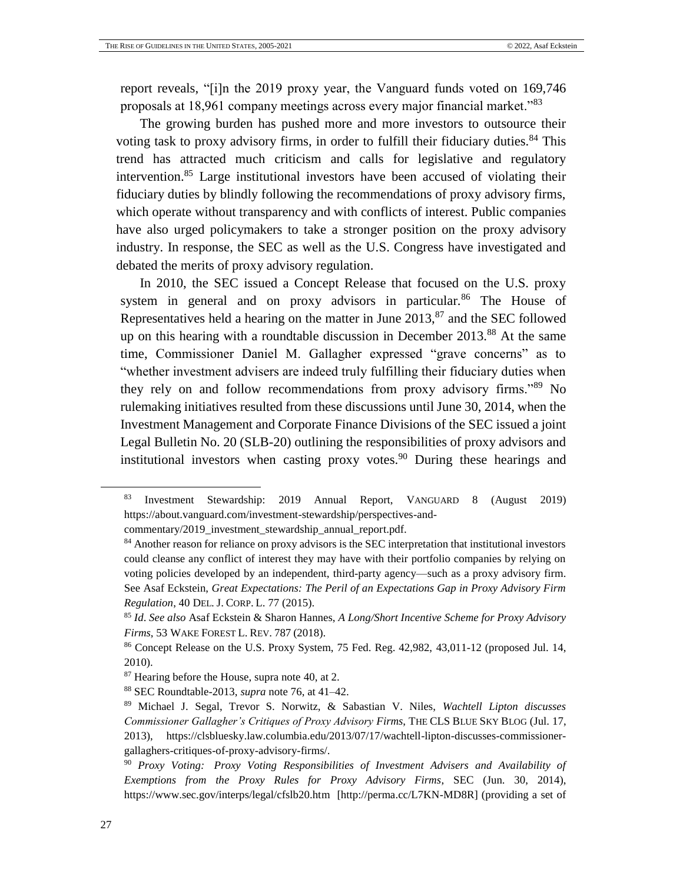report reveals, "[i]n the 2019 proxy year, the Vanguard funds voted on 169,746 proposals at 18,961 company meetings across every major financial market."<sup>83</sup>

<span id="page-26-0"></span>The growing burden has pushed more and more investors to outsource their voting task to proxy advisory firms, in order to fulfill their fiduciary duties.<sup>84</sup> This trend has attracted much criticism and calls for legislative and regulatory intervention.<sup>85</sup> Large institutional investors have been accused of violating their fiduciary duties by blindly following the recommendations of proxy advisory firms, which operate without transparency and with conflicts of interest. Public companies have also urged policymakers to take a stronger position on the proxy advisory industry. In response, the SEC as well as the U.S. Congress have investigated and debated the merits of proxy advisory regulation.

In 2010, the SEC issued a Concept Release that focused on the U.S. proxy system in general and on proxy advisors in particular.<sup>86</sup> The House of Representatives held a hearing on the matter in June  $2013$ ,  $87$  and the SEC followed up on this hearing with a roundtable discussion in December 2013.<sup>88</sup> At the same time, Commissioner Daniel M. Gallagher expressed "grave concerns" as to "whether investment advisers are indeed truly fulfilling their fiduciary duties when they rely on and follow recommendations from proxy advisory firms."<sup>89</sup> No rulemaking initiatives resulted from these discussions until June 30, 2014, when the Investment Management and Corporate Finance Divisions of the SEC issued a joint Legal Bulletin No. 20 (SLB-20) outlining the responsibilities of proxy advisors and institutional investors when casting proxy votes.<sup>90</sup> During these hearings and

[commentary/2019\\_investment\\_stewardship\\_annual\\_report.pdf.](https://about.vanguard.com/investment-stewardship/perspectives-and-commentary/2019_investment_stewardship_annual_report.pdf)

<sup>83</sup> Investment Stewardship: 2019 Annual Report, VANGUARD 8 (August 2019) [https://about.vanguard.com/investment-stewardship/perspectives-and-](https://about.vanguard.com/investment-stewardship/perspectives-and-commentary/2019_investment_stewardship_annual_report.pdf)

<sup>&</sup>lt;sup>84</sup> Another reason for reliance on proxy advisors is the SEC interpretation that institutional investors could cleanse any conflict of interest they may have with their portfolio companies by relying on voting policies developed by an independent, third-party agency—such as a proxy advisory firm. See Asaf Eckstein, *Great Expectations: The Peril of an Expectations Gap in Proxy Advisory Firm Regulation*, 40 DEL. J. CORP. L. 77 (2015).

<sup>85</sup> *Id*. *See also* Asaf Eckstein & Sharon Hannes, *A Long/Short Incentive Scheme for Proxy Advisory Firms*, 53 WAKE FOREST L. REV. 787 (2018).

<sup>86</sup> Concept Release on the U.S. Proxy System, 75 Fed. Reg. 42,982, 43,011-12 (proposed Jul. 14, 2010).

<sup>87</sup> Hearing before the House, supra note [40,](#page-15-0) at 2.

<sup>88</sup> SEC Roundtable-2013, *supra* not[e 76,](#page-24-0) at 41–42.

<sup>89</sup> Michael J. Segal, Trevor S. Norwitz, & Sabastian V. Niles, *Wachtell Lipton discusses Commissioner Gallagher's Critiques of Proxy Advisory Firms*, THE CLS BLUE SKY BLOG (Jul. 17, 2013), [https://clsbluesky.law.columbia.edu/2013/07/17/wachtell-lipton-discusses-commissioner](https://clsbluesky.law.columbia.edu/2013/07/17/wachtell-lipton-discusses-commissioner-gallaghers-critiques-of-proxy-advisory-firms/)[gallaghers-critiques-of-proxy-advisory-firms/.](https://clsbluesky.law.columbia.edu/2013/07/17/wachtell-lipton-discusses-commissioner-gallaghers-critiques-of-proxy-advisory-firms/)

<sup>90</sup> *Proxy Voting: Proxy Voting Responsibilities of Investment Advisers and Availability of Exemptions from the Proxy Rules for Proxy Advisory Firms*, SEC (Jun. 30, 2014), https://www.sec.gov/interps/legal/cfslb20.htm [http://perma.cc/L7KN-MD8R] (providing a set of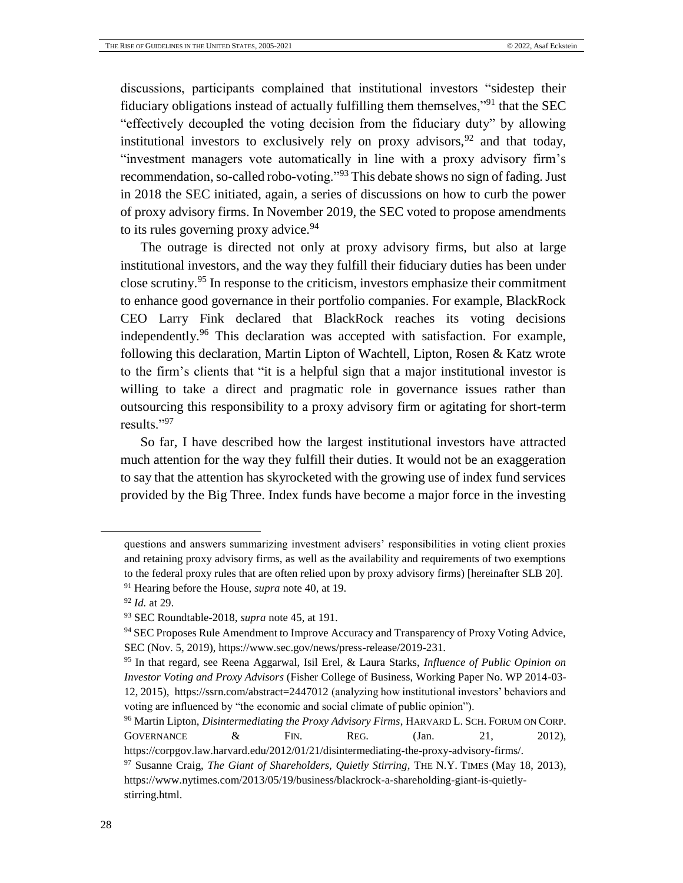discussions, participants complained that institutional investors "sidestep their fiduciary obligations instead of actually fulfilling them themselves,"<sup>91</sup> that the SEC "effectively decoupled the voting decision from the fiduciary duty" by allowing institutional investors to exclusively rely on proxy advisors,  $92$  and that today, "investment managers vote automatically in line with a proxy advisory firm's recommendation, so-called robo-voting."<sup>93</sup> This debate shows no sign of fading. Just in 2018 the SEC initiated, again, a series of discussions on how to curb the power of proxy advisory firms. In November 2019, the SEC voted to propose amendments to its rules governing proxy advice.  $94$ 

The outrage is directed not only at proxy advisory firms, but also at large institutional investors, and the way they fulfill their fiduciary duties has been under close scrutiny.<sup>95</sup> In response to the criticism, investors emphasize their commitment to enhance good governance in their portfolio companies. For example, BlackRock CEO Larry Fink declared that BlackRock reaches its voting decisions independently.<sup>96</sup> This declaration was accepted with satisfaction. For example, following this declaration, Martin Lipton of Wachtell, Lipton, Rosen & Katz wrote to the firm's clients that "it is a helpful sign that a major institutional investor is willing to take a direct and pragmatic role in governance issues rather than outsourcing this responsibility to a proxy advisory firm or agitating for short-term results."<sup>97</sup>

So far, I have described how the largest institutional investors have attracted much attention for the way they fulfill their duties. It would not be an exaggeration to say that the attention has skyrocketed with the growing use of index fund services provided by the Big Three. Index funds have become a major force in the investing

questions and answers summarizing investment advisers' responsibilities in voting client proxies and retaining proxy advisory firms, as well as the availability and requirements of two exemptions to the federal proxy rules that are often relied upon by proxy advisory firms) [hereinafter SLB 20]. <sup>91</sup> Hearing before the House, *supra* note [40,](#page-15-0) at 19.

<sup>92</sup> *Id.* at 29.

<sup>93</sup> SEC Roundtable-2018, *supra* not[e 45,](#page-16-1) at 191.

<sup>94</sup> SEC Proposes Rule Amendment to Improve Accuracy and Transparency of Proxy Voting Advice, SEC (Nov. 5, 2019), https://www.sec.gov/news/press-release/2019-231.

<sup>95</sup> In that regard, see Reena Aggarwal, Isil Erel, & Laura Starks, *Influence of Public Opinion on Investor Voting and Proxy Advisors* (Fisher College of Business, Working Paper No. WP 2014-03- 12, 2015),<https://ssrn.com/abstract=2447012> (analyzing how institutional investors' behaviors and voting are influenced by "the economic and social climate of public opinion").

<sup>96</sup> Martin Lipton, *Disintermediating the Proxy Advisory Firms*, HARVARD L. SCH. FORUM ON CORP. GOVERNANCE  $\&$  FIN. REG. (Jan. 21, 2012),

https://corpgov.law.harvard.edu/2012/01/21/disintermediating-the-proxy-advisory-firms/.

<sup>97</sup> Susanne Craig, *The Giant of Shareholders, Quietly Stirring*, THE N.Y. TIMES (May 18, 2013), https://www.nytimes.com/2013/05/19/business/blackrock-a-shareholding-giant-is-quietlystirring.html.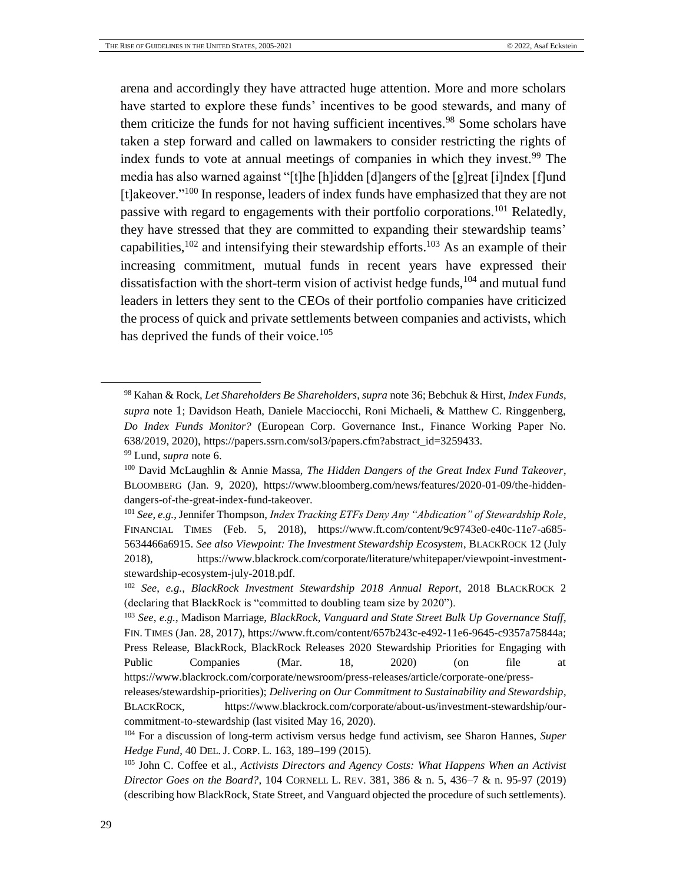<span id="page-28-0"></span>arena and accordingly they have attracted huge attention. More and more scholars have started to explore these funds' incentives to be good stewards, and many of them criticize the funds for not having sufficient incentives.<sup>98</sup> Some scholars have taken a step forward and called on lawmakers to consider restricting the rights of index funds to vote at annual meetings of companies in which they invest.<sup>99</sup> The media has also warned against "[t]he [h]idden [d]angers of the [g]reat [i]ndex [f]und [t]akeover."<sup>100</sup> In response, leaders of index funds have emphasized that they are not passive with regard to engagements with their portfolio corporations.<sup>101</sup> Relatedly, they have stressed that they are committed to expanding their stewardship teams' capabilities,  $102$  and intensifying their stewardship efforts.  $103$  As an example of their increasing commitment, mutual funds in recent years have expressed their dissatisfaction with the short-term vision of activist hedge funds, <sup>104</sup> and mutual fund leaders in letters they sent to the CEOs of their portfolio companies have criticized the process of quick and private settlements between companies and activists, which has deprived the funds of their voice.<sup>105</sup>

<sup>98</sup> Kahan & Rock, *Let Shareholders Be Shareholders*, *supra* note [36;](#page-13-1) Bebchuk & Hirst, *Index Funds*, *supra* note [1](#page-4-1); Davidson Heath, Daniele Macciocchi, Roni Michaeli, & Matthew C. Ringgenberg, *Do Index Funds Monitor?* (European Corp. Governance Inst., Finance Working Paper No. 638/2019, 2020), [https://papers.ssrn.com/sol3/papers.cfm?abstract\\_id=3259433.](https://papers.ssrn.com/sol3/papers.cfm?abstract_id=3259433) <sup>99</sup> Lund, *supra* note [6.](#page-5-0)

<sup>100</sup> David McLaughlin & Annie Massa, *The Hidden Dangers of the Great Index Fund Takeover*, BLOOMBERG (Jan. 9, 2020), https://www.bloomberg.com/news/features/2020-01-09/the-hiddendangers-of-the-great-index-fund-takeover.

<sup>101</sup> *See*, *e.g.*, Jennifer Thompson, *Index Tracking ETFs Deny Any "Abdication" of Stewardship Role*, FINANCIAL TIMES (Feb. 5, 2018), [https://www.ft.com/content/9c9743e0-e40c-11e7-a685-](https://www.ft.com/content/9c9743e0-e40c-11e7-a685-5634466a6915) [5634466a6915.](https://www.ft.com/content/9c9743e0-e40c-11e7-a685-5634466a6915) *See also Viewpoint: The Investment Stewardship Ecosystem*, BLACKROCK 12 (July 2018), [https://www.blackrock.com/corporate/literature/whitepaper/viewpoint-investment](https://www.blackrock.com/corporate/literature/whitepaper/viewpoint-investment-stewardship-ecosystem-july-2018.pdf)[stewardship-ecosystem-july-2018.pdf.](https://www.blackrock.com/corporate/literature/whitepaper/viewpoint-investment-stewardship-ecosystem-july-2018.pdf)

<sup>102</sup> *See*, *e.g.*, *BlackRock Investment Stewardship 2018 Annual Report*, 2018 BLACKROCK 2 (declaring that BlackRock is "committed to doubling team size by 2020").

<sup>103</sup> *See*, *e.g.*, Madison Marriage, *BlackRock, Vanguard and State Street Bulk Up Governance Staff*, FIN. TIMES (Jan. 28, 2017), https://www.ft.com/content/657b243c-e492-11e6-9645-c9357a75844a; Press Release, BlackRock, BlackRock Releases 2020 Stewardship Priorities for Engaging with Public Companies (Mar. 18, 2020) (on file at https://www.blackrock.com/corporate/newsroom/press-releases/article/corporate-one/press-

releases/stewardship-priorities); *Delivering on Our Commitment to Sustainability and Stewardship*, BLACKROCK, https://www.blackrock.com/corporate/about-us/investment-stewardship/ourcommitment-to-stewardship (last visited May 16, 2020).

<sup>104</sup> For a discussion of long-term activism versus hedge fund activism, see Sharon Hannes, *Super Hedge Fund*, 40 DEL. J. CORP. L. 163, 189–199 (2015).

<sup>105</sup> John C. Coffee et al., *Activists Directors and Agency Costs: What Happens When an Activist Director Goes on the Board?*, 104 CORNELL L. REV. 381, 386 & n. 5, 436–7 & n. 95-97 (2019) (describing how BlackRock, State Street, and Vanguard objected the procedure of such settlements).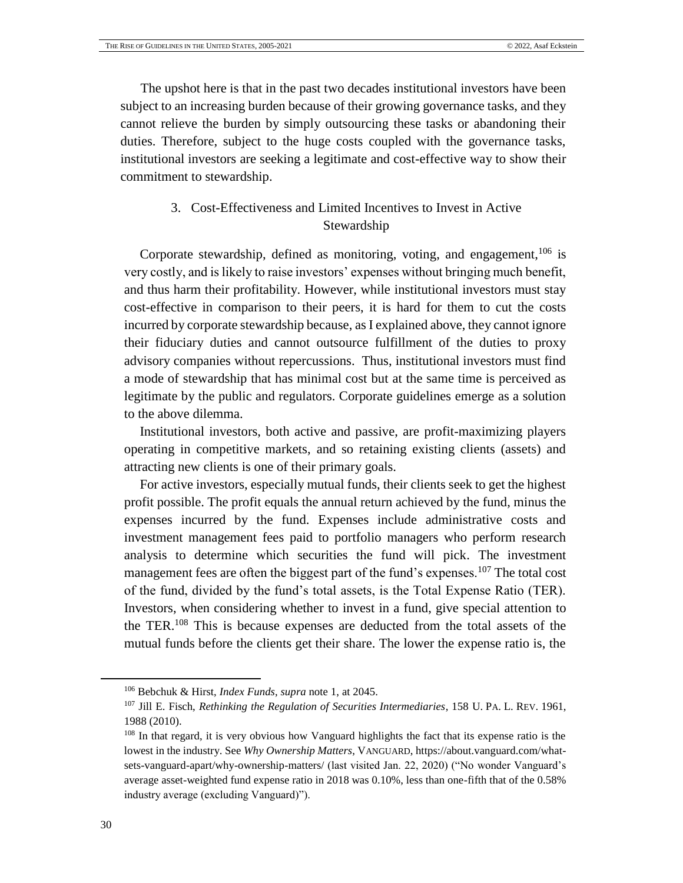The upshot here is that in the past two decades institutional investors have been subject to an increasing burden because of their growing governance tasks, and they cannot relieve the burden by simply outsourcing these tasks or abandoning their duties. Therefore, subject to the huge costs coupled with the governance tasks, institutional investors are seeking a legitimate and cost-effective way to show their commitment to stewardship.

# 3. Cost-Effectiveness and Limited Incentives to Invest in Active Stewardship

Corporate stewardship, defined as monitoring, voting, and engagement,<sup>106</sup> is very costly, and is likely to raise investors' expenses without bringing much benefit, and thus harm their profitability. However, while institutional investors must stay cost-effective in comparison to their peers, it is hard for them to cut the costs incurred by corporate stewardship because, as I explained above, they cannot ignore their fiduciary duties and cannot outsource fulfillment of the duties to proxy advisory companies without repercussions. Thus, institutional investors must find a mode of stewardship that has minimal cost but at the same time is perceived as legitimate by the public and regulators. Corporate guidelines emerge as a solution to the above dilemma.

Institutional investors, both active and passive, are profit-maximizing players operating in competitive markets, and so retaining existing clients (assets) and attracting new clients is one of their primary goals.

<span id="page-29-0"></span>For active investors, especially mutual funds, their clients seek to get the highest profit possible. The profit equals the annual return achieved by the fund, minus the expenses incurred by the fund. Expenses include administrative costs and investment management fees paid to portfolio managers who perform research analysis to determine which securities the fund will pick. The investment management fees are often the biggest part of the fund's expenses.<sup>107</sup> The total cost of the fund, divided by the fund's total assets, is the Total Expense Ratio (TER). Investors, when considering whether to invest in a fund, give special attention to the TER.<sup>108</sup> This is because expenses are deducted from the total assets of the mutual funds before the clients get their share. The lower the expense ratio is, the

l

<sup>106</sup> Bebchuk & Hirst, *Index Funds*, *supra* not[e 1,](#page-4-1) at 2045.

<sup>107</sup> Jill E. Fisch, *Rethinking the Regulation of Securities Intermediaries*, 158 U. PA. L. REV. 1961, 1988 (2010).

<sup>&</sup>lt;sup>108</sup> In that regard, it is very obvious how Vanguard highlights the fact that its expense ratio is the lowest in the industry. See *Why Ownership Matters*, VANGUARD, [https://about.vanguard.com/what](https://about.vanguard.com/what-sets-vanguard-apart/why-ownership-matters/)[sets-vanguard-apart/why-ownership-matters/](https://about.vanguard.com/what-sets-vanguard-apart/why-ownership-matters/) (last visited Jan. 22, 2020) ("No wonder Vanguard's average asset-weighted fund expense ratio in 2018 was 0.10%, less than one-fifth that of the 0.58% industry average (excluding Vanguard)").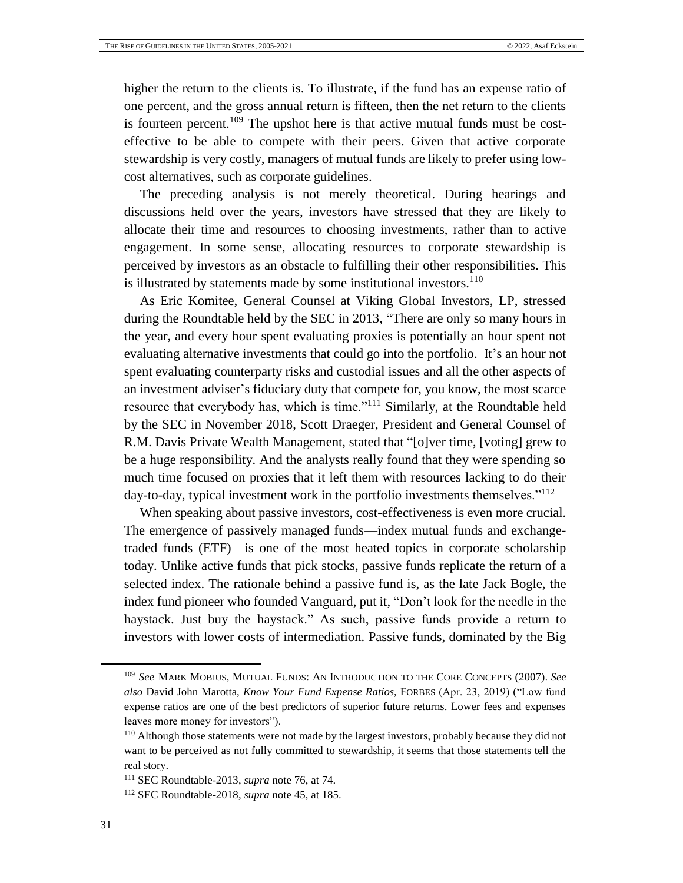higher the return to the clients is. To illustrate, if the fund has an expense ratio of one percent, and the gross annual return is fifteen, then the net return to the clients is fourteen percent.<sup>109</sup> The upshot here is that active mutual funds must be costeffective to be able to compete with their peers. Given that active corporate stewardship is very costly, managers of mutual funds are likely to prefer using lowcost alternatives, such as corporate guidelines.

The preceding analysis is not merely theoretical. During hearings and discussions held over the years, investors have stressed that they are likely to allocate their time and resources to choosing investments, rather than to active engagement. In some sense, allocating resources to corporate stewardship is perceived by investors as an obstacle to fulfilling their other responsibilities. This is illustrated by statements made by some institutional investors.<sup>110</sup>

As Eric Komitee, General Counsel at Viking Global Investors, LP, stressed during the Roundtable held by the SEC in 2013, "There are only so many hours in the year, and every hour spent evaluating proxies is potentially an hour spent not evaluating alternative investments that could go into the portfolio. It's an hour not spent evaluating counterparty risks and custodial issues and all the other aspects of an investment adviser's fiduciary duty that compete for, you know, the most scarce resource that everybody has, which is time."<sup>111</sup> Similarly, at the Roundtable held by the SEC in November 2018, Scott Draeger, President and General Counsel of R.M. Davis Private Wealth Management, stated that "[o]ver time, [voting] grew to be a huge responsibility. And the analysts really found that they were spending so much time focused on proxies that it left them with resources lacking to do their day-to-day, typical investment work in the portfolio investments themselves."<sup>112</sup>

When speaking about passive investors, cost-effectiveness is even more crucial. The emergence of passively managed funds—index mutual funds and exchangetraded funds (ETF)—is one of the most heated topics in corporate scholarship today. Unlike active funds that pick stocks, passive funds replicate the return of a selected index. The rationale behind a passive fund is, as the late Jack Bogle, the index fund pioneer who founded Vanguard, put it, "Don't look for the needle in the haystack. Just buy the haystack." As such, passive funds provide a return to investors with lower costs of intermediation. Passive funds, dominated by the Big

<sup>109</sup> *See* MARK MOBIUS, MUTUAL FUNDS: AN INTRODUCTION TO THE CORE CONCEPTS (2007). *See also* David John Marotta, *Know Your Fund Expense Ratios*, FORBES (Apr. 23, 2019) ("Low fund expense ratios are one of the best predictors of superior future returns. Lower fees and expenses leaves more money for investors").

<sup>110</sup> Although those statements were not made by the largest investors, probably because they did not want to be perceived as not fully committed to stewardship, it seems that those statements tell the real story.

<sup>111</sup> SEC Roundtable-2013, *supra* note [76,](#page-24-0) at 74.

<sup>112</sup> SEC Roundtable-2018, *supra* note [45,](#page-16-1) at 185.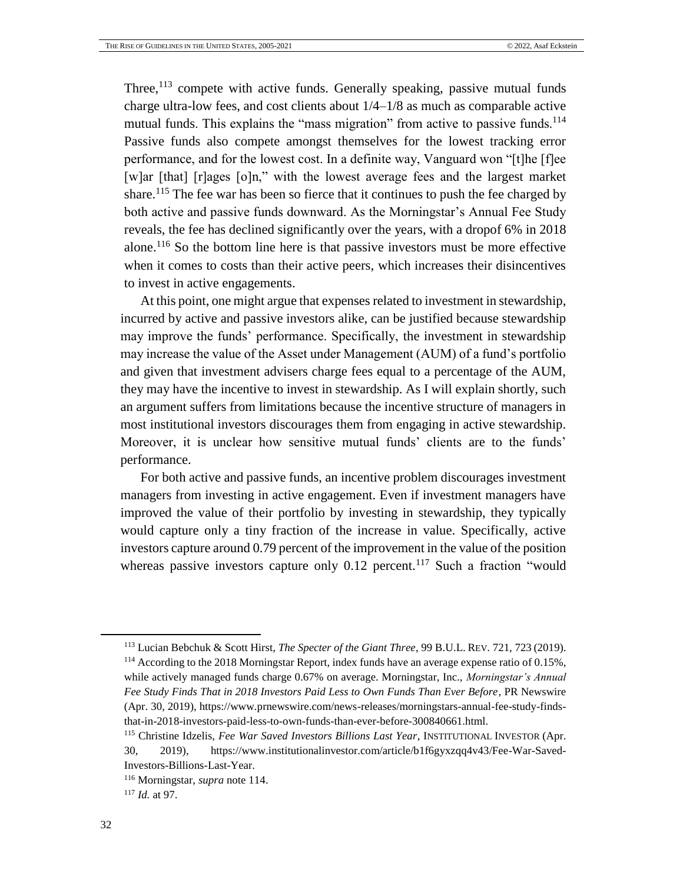<span id="page-31-0"></span>Three, $113$  compete with active funds. Generally speaking, passive mutual funds charge ultra-low fees, and cost clients about 1/4–1/8 as much as comparable [active](https://www.blackrock.com/us/individual/products/mutual-funds)  [mutual funds.](https://www.blackrock.com/us/individual/products/mutual-funds) This explains the "mass migration" from active to passive funds.<sup>114</sup> Passive funds also compete amongst themselves for the lowest tracking error performance, and for the lowest cost. In a definite way, Vanguard won "[t]he [f]ee [w]ar [that] [r]ages [o]n," with the lowest average fees and the largest market share.<sup>115</sup> The fee war has been so fierce that it continues to push the fee charged by both active and passive funds downward. As the Morningstar's Annual Fee Study reveals, the fee has declined significantly over the years, with a dropof 6% in 2018 alone. <sup>116</sup> So the bottom line here is that passive investors must be more effective when it comes to costs than their active peers, which increases their disincentives to invest in active engagements.

At this point, one might argue that expenses related to investment in stewardship, incurred by active and passive investors alike, can be justified because stewardship may improve the funds' performance. Specifically, the investment in stewardship may increase the value of the Asset under Management (AUM) of a fund's portfolio and given that investment advisers charge fees equal to a percentage of the AUM, they may have the incentive to invest in stewardship. As I will explain shortly, such an argument suffers from limitations because the incentive structure of managers in most institutional investors discourages them from engaging in active stewardship. Moreover, it is unclear how sensitive mutual funds' clients are to the funds' performance.

For both active and passive funds, an incentive problem discourages investment managers from investing in active engagement. Even if investment managers have improved the value of their portfolio by investing in stewardship, they typically would capture only a tiny fraction of the increase in value. Specifically, active investors capture around 0.79 percent of the improvement in the value of the position whereas passive investors capture only  $0.12$  percent.<sup>117</sup> Such a fraction "would

<sup>113</sup> Lucian Bebchuk & Scott Hirst, *The Specter of the Giant Three*, 99 B.U.L. REV. 721, 723 (2019). <sup>114</sup> According to the 2018 Morningstar Report, index funds have an average expense ratio of 0.15%, while actively managed funds charge 0.67% on average. Morningstar, Inc., *Morningstar's Annual Fee Study Finds That in 2018 Investors Paid Less to Own Funds Than Ever Before*, PR Newswire (Apr. 30, 2019), https://www.prnewswire.com/news-releases/morningstars-annual-fee-study-findsthat-in-2018-investors-paid-less-to-own-funds-than-ever-before-300840661.html.

<sup>115</sup> Christine Idzelis, *Fee War Saved Investors Billions Last Year*, INSTITUTIONAL INVESTOR (Apr. 30, 2019), https://www.institutionalinvestor.com/article/b1f6gyxzqq4v43/Fee-War-Saved-Investors-Billions-Last-Year.

<sup>116</sup> Morningstar, *supra* note [114.](#page-31-0)

<sup>117</sup> *Id.* at 97.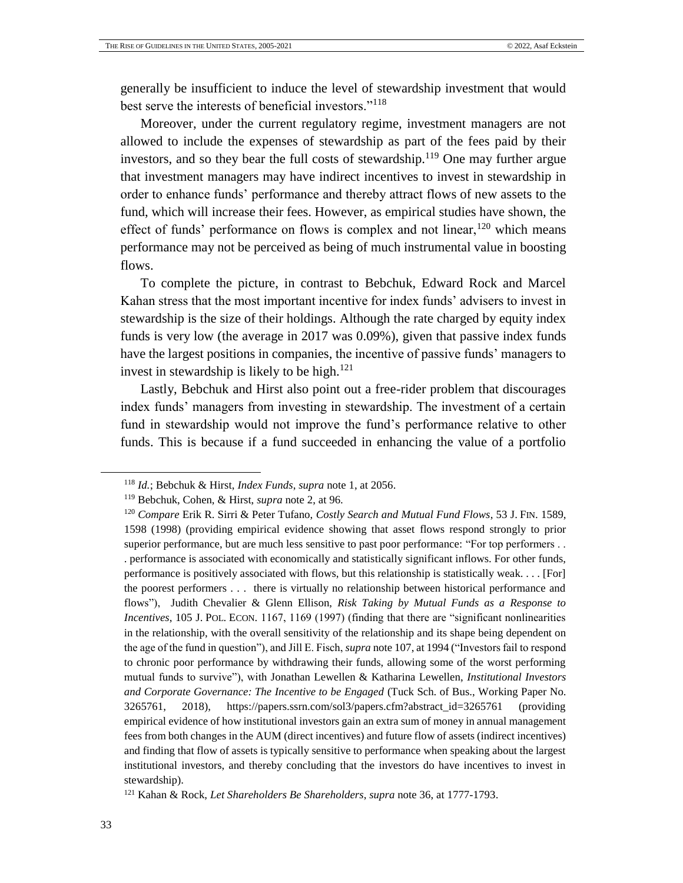generally be insufficient to induce the level of stewardship investment that would best serve the interests of beneficial investors."<sup>118</sup>

Moreover, under the current regulatory regime, investment managers are not allowed to include the expenses of stewardship as part of the fees paid by their investors, and so they bear the full costs of stewardship.<sup>119</sup> One may further argue that investment managers may have indirect incentives to invest in stewardship in order to enhance funds' performance and thereby attract flows of new assets to the fund, which will increase their fees. However, as empirical studies have shown, the effect of funds' performance on flows is complex and not linear,  $120$  which means performance may not be perceived as being of much instrumental value in boosting flows.

To complete the picture, in contrast to Bebchuk, Edward Rock and Marcel Kahan stress that the most important incentive for index funds' advisers to invest in stewardship is the size of their holdings. Although the rate charged by equity index funds is very low (the average in 2017 was 0.09%), given that passive index funds have the largest positions in companies, the incentive of passive funds' managers to invest in stewardship is likely to be high. $121$ 

Lastly, Bebchuk and Hirst also point out a free-rider problem that discourages index funds' managers from investing in stewardship. The investment of a certain fund in stewardship would not improve the fund's performance relative to other funds. This is because if a fund succeeded in enhancing the value of a portfolio

<sup>118</sup> *Id.*; Bebchuk & Hirst, *Index Funds*, *supra* not[e 1,](#page-4-1) at 2056.

<sup>119</sup> Bebchuk, Cohen, & Hirst, *supra* not[e 2,](#page-4-2) at 96.

<sup>120</sup> *Compare* Erik R. Sirri & Peter Tufano, *Costly Search and Mutual Fund Flows*, 53 J. FIN. 1589, 1598 (1998) (providing empirical evidence showing that asset flows respond strongly to prior superior performance, but are much less sensitive to past poor performance: "For top performers . . . performance is associated with economically and statistically significant inflows. For other funds, performance is positively associated with flows, but this relationship is statistically weak. . . . [For] the poorest performers . . . there is virtually no relationship between historical performance and flows"), Judith Chevalier & Glenn Ellison, *Risk Taking by Mutual Funds as a Response to Incentives*, 105 J. POL. ECON. 1167, 1169 (1997) (finding that there are "significant nonlinearities in the relationship, with the overall sensitivity of the relationship and its shape being dependent on the age of the fund in question"), and Jill E. Fisch, *supra* not[e 107,](#page-29-0) at 1994 ("Investors fail to respond to chronic poor performance by withdrawing their funds, allowing some of the worst performing mutual funds to survive"), with Jonathan Lewellen & Katharina Lewellen, *Institutional Investors and Corporate Governance: The Incentive to be Engaged* (Tuck Sch. of Bus., Working Paper No. 3265761, 2018), https://papers.ssrn.com/sol3/papers.cfm?abstract\_id=3265761 (providing empirical evidence of how institutional investors gain an extra sum of money in annual management fees from both changes in the AUM (direct incentives) and future flow of assets (indirect incentives) and finding that flow of assets is typically sensitive to performance when speaking about the largest institutional investors, and thereby concluding that the investors do have incentives to invest in stewardship).

<sup>121</sup> Kahan & Rock, *Let Shareholders Be Shareholders*, *supra* note [36,](#page-13-1) at 1777-1793.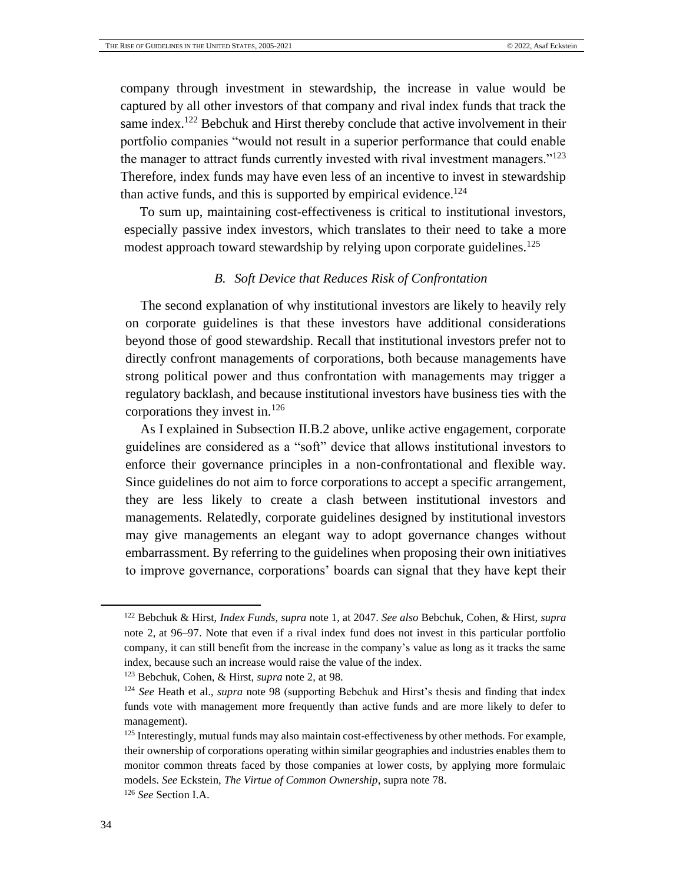company through investment in stewardship, the increase in value would be captured by all other investors of that company and rival index funds that track the same index.<sup>122</sup> Bebchuk and Hirst thereby conclude that active involvement in their portfolio companies "would not result in a superior performance that could enable the manager to attract funds currently invested with rival investment managers."<sup>123</sup> Therefore, index funds may have even less of an incentive to invest in stewardship than active funds, and this is supported by empirical evidence.<sup>124</sup>

To sum up, maintaining cost-effectiveness is critical to institutional investors, especially passive index investors, which translates to their need to take a more modest approach toward stewardship by relying upon corporate guidelines.<sup>125</sup>

## *B. Soft Device that Reduces Risk of Confrontation*

<span id="page-33-0"></span>The second explanation of why institutional investors are likely to heavily rely on corporate guidelines is that these investors have additional considerations beyond those of good stewardship. Recall that institutional investors prefer not to directly confront managements of corporations, both because managements have strong political power and thus confrontation with managements may trigger a regulatory backlash, and because institutional investors have business ties with the corporations they invest in.<sup>126</sup>

As I explained in Subsection II.B.2 above, unlike active engagement, corporate guidelines are considered as a "soft" device that allows institutional investors to enforce their governance principles in a non-confrontational and flexible way. Since guidelines do not aim to force corporations to accept a specific arrangement, they are less likely to create a clash between institutional investors and managements. Relatedly, corporate guidelines designed by institutional investors may give managements an elegant way to adopt governance changes without embarrassment. By referring to the guidelines when proposing their own initiatives to improve governance, corporations' boards can signal that they have kept their

<sup>123</sup> Bebchuk, Cohen, & Hirst, *supra* not[e 2,](#page-4-2) at 98.

<sup>122</sup> Bebchuk & Hirst, *Index Funds*, *supra* note [1,](#page-4-1) at 2047. *See also* Bebchuk, Cohen, & Hirst, *supra* note [2,](#page-4-2) at 96–97. Note that even if a rival index fund does not invest in this particular portfolio company, it can still benefit from the increase in the company's value as long as it tracks the same index, because such an increase would raise the value of the index.

<sup>124</sup> *See* Heath et al., *supra* note [98](#page-28-0) (supporting Bebchuk and Hirst's thesis and finding that index funds vote with management more frequently than active funds and are more likely to defer to management).

<sup>&</sup>lt;sup>125</sup> Interestingly, mutual funds may also maintain cost-effectiveness by other methods. For example, their ownership of corporations operating within similar geographies and industries enables them to monitor common threats faced by those companies at lower costs, by applying more formulaic models. *See* Eckstein, *The Virtue of Common Ownership*, supra not[e 78.](#page-25-0)

<sup>126</sup> *See* Section I.A.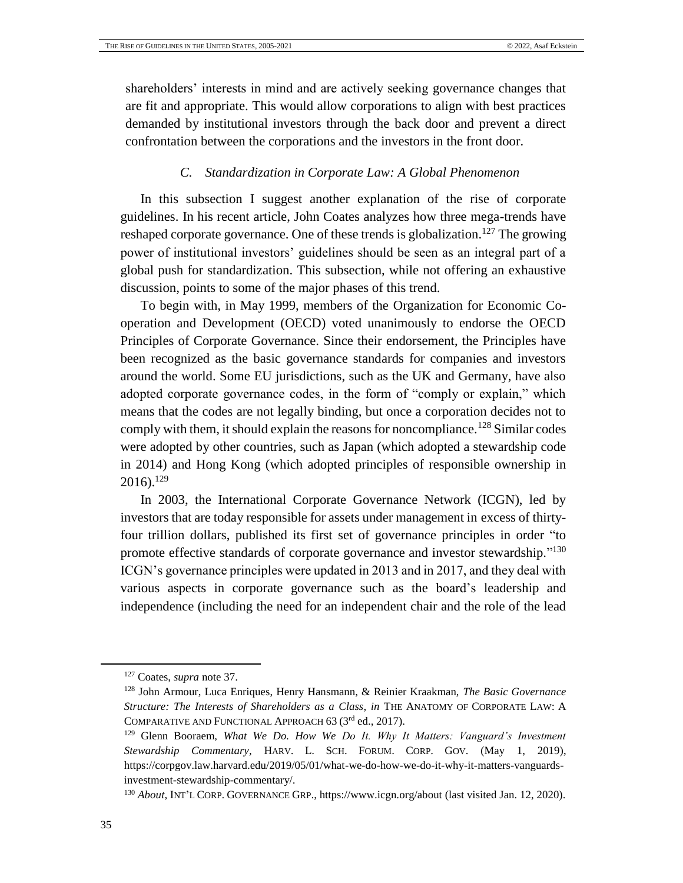shareholders' interests in mind and are actively seeking governance changes that are fit and appropriate. This would allow corporations to align with best practices demanded by institutional investors through the back door and prevent a direct confrontation between the corporations and the investors in the front door.

#### *C. Standardization in Corporate Law: A Global Phenomenon*

<span id="page-34-0"></span>In this subsection I suggest another explanation of the rise of corporate guidelines. In his recent article, John Coates analyzes how three mega-trends have reshaped corporate governance. One of these trends is globalization.<sup>127</sup> The growing power of institutional investors' guidelines should be seen as an integral part of a global push for standardization. This subsection, while not offering an exhaustive discussion, points to some of the major phases of this trend.

To begin with, in May 1999, members of the Organization for Economic Cooperation and Development (OECD) voted unanimously to endorse the OECD Principles of Corporate Governance. Since their endorsement, the Principles have been recognized as the basic governance standards for companies and investors around the world. Some EU jurisdictions, such as the UK and Germany, have also adopted corporate governance codes, in the form of "comply or explain," which means that the codes are not legally binding, but once a corporation decides not to comply with them, it should explain the reasons for noncompliance.<sup>128</sup> Similar codes were adopted by other countries, such as Japan (which adopted a stewardship code in 2014) and Hong Kong (which adopted principles of responsible ownership in  $2016$ ).<sup>129</sup>

<span id="page-34-1"></span>In 2003, the International Corporate Governance Network (ICGN), led by investors that are today responsible for assets under management in excess of thirtyfour trillion dollars, published its first set of governance principles in order "to promote effective standards of corporate governance and investor stewardship."<sup>130</sup> ICGN's governance principles were updated in 2013 and in 2017, and they deal with various aspects in corporate governance such as the board's leadership and independence (including the need for an independent chair and the role of the lead

<sup>127</sup> Coates, *supra* note [37.](#page-13-2)

<sup>128</sup> John Armour, Luca Enriques, Henry Hansmann, & Reinier Kraakman, *The Basic Governance Structure: The Interests of Shareholders as a Class*, *in* THE ANATOMY OF CORPORATE LAW: A COMPARATIVE AND FUNCTIONAL APPROACH 63 (3rd ed., 2017).

<sup>129</sup> Glenn Booraem, *What We Do. How We Do It. Why It Matters: Vanguard's Investment Stewardship Commentary*, HARV. L. SCH. FORUM. CORP. GOV. (May 1, 2019), https://corpgov.law.harvard.edu/2019/05/01/what-we-do-how-we-do-it-why-it-matters-vanguardsinvestment-stewardship-commentary/.

<sup>130</sup> *About*, INT'L CORP. GOVERNANCE GRP.[, https://www.icgn.org/about](https://www.icgn.org/about) (last visited Jan. 12, 2020).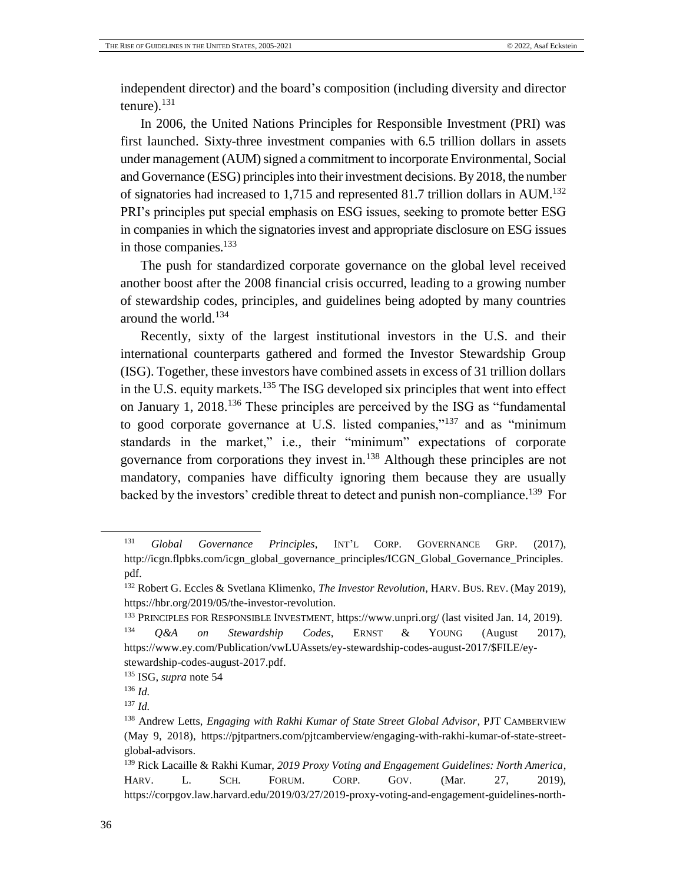independent director) and the board's composition (including diversity and director tenure). $^{131}$ 

In 2006, the United Nations Principles for Responsible Investment (PRI) was first launched. Sixty-three investment companies with 6.5 trillion dollars in assets under management (AUM) signed a commitment to incorporate Environmental, Social and Governance (ESG) principles into their investment decisions. By 2018, the number of signatories had increased to 1,715 and represented 81.7 trillion dollars in AUM.<sup>132</sup> PRI's principles put special emphasis on ESG issues, seeking to promote better ESG in companies in which the signatories invest and appropriate disclosure on ESG issues in those companies.<sup>133</sup>

The push for standardized corporate governance on the global level received another boost after the 2008 financial crisis occurred, leading to a growing number of stewardship codes, principles, and guidelines being adopted by many countries around the world.<sup>134</sup>

Recently, sixty of the largest institutional investors in the U.S. and their international counterparts gathered and formed the Investor Stewardship Group (ISG). Together, these investors have combined assets in excess of 31 trillion dollars in the U.S. equity markets.<sup>135</sup> The ISG developed six principles that went into effect on January 1, 2018.<sup>136</sup> These principles are perceived by the ISG as "fundamental to good corporate governance at U.S. listed companies,"<sup>137</sup> and as "minimum" standards in the market," i.e., their "minimum" expectations of corporate governance from corporations they invest in.<sup>138</sup> Although these principles are not mandatory, companies have difficulty ignoring them because they are usually backed by the investors' credible threat to detect and punish non-compliance.<sup>139</sup> For

<sup>131</sup> *Global Governance Principles*, INT'L CORP. GOVERNANCE GRP. (2017), http://icgn.flpbks.com/icgn\_global\_governance\_principles/ICGN\_Global\_Governance\_Principles. pdf.

<sup>132</sup> Robert G. Eccles & Svetlana Klimenko, *The Investor Revolution*, HARV. BUS. REV. (May 2019), https://hbr.org/2019/05/the-investor-revolution.

<sup>133</sup> PRINCIPLES FOR RESPONSIBLE INVESTMENT, https://www.unpri.org/ (last visited Jan. 14, 2019). <sup>134</sup> *Q&A on Stewardship Codes*, ERNST & YOUNG (August 2017), [https://www.ey.com/Publication/vwLUAssets/ey-stewardship-codes-august-2017/\\$FILE/ey](https://www.ey.com/Publication/vwLUAssets/ey-stewardship-codes-august-2017/$FILE/ey-stewardship-codes-august-2017.pdf)[stewardship-codes-august-2017.pdf.](https://www.ey.com/Publication/vwLUAssets/ey-stewardship-codes-august-2017/$FILE/ey-stewardship-codes-august-2017.pdf)

<sup>135</sup> ISG, *supra* not[e 54](#page-19-0)

<sup>136</sup> *Id.*

<sup>137</sup> *Id.*

<sup>138</sup> Andrew Letts, *Engaging with Rakhi Kumar of State Street Global Advisor*, PJT CAMBERVIEW (May 9, 2018), [https://pjtpartners.com/pjtcamberview/engaging-with-rakhi-kumar-of-state-street](https://pjtpartners.com/pjtcamberview/engaging-with-rakhi-kumar-of-state-street-global-advisors)[global-advisors.](https://pjtpartners.com/pjtcamberview/engaging-with-rakhi-kumar-of-state-street-global-advisors)

<sup>139</sup> Rick Lacaille & Rakhi Kumar, *2019 Proxy Voting and Engagement Guidelines: North America*, HARV. L. SCH. FORUM. CORP. GOV. (Mar. 27, 2019), [https://corpgov.law.harvard.edu/2019/03/27/2019-proxy-voting-and-engagement-guidelines-north-](https://corpgov.law.harvard.edu/2019/03/27/2019-proxy-voting-and-engagement-guidelines-north-america/)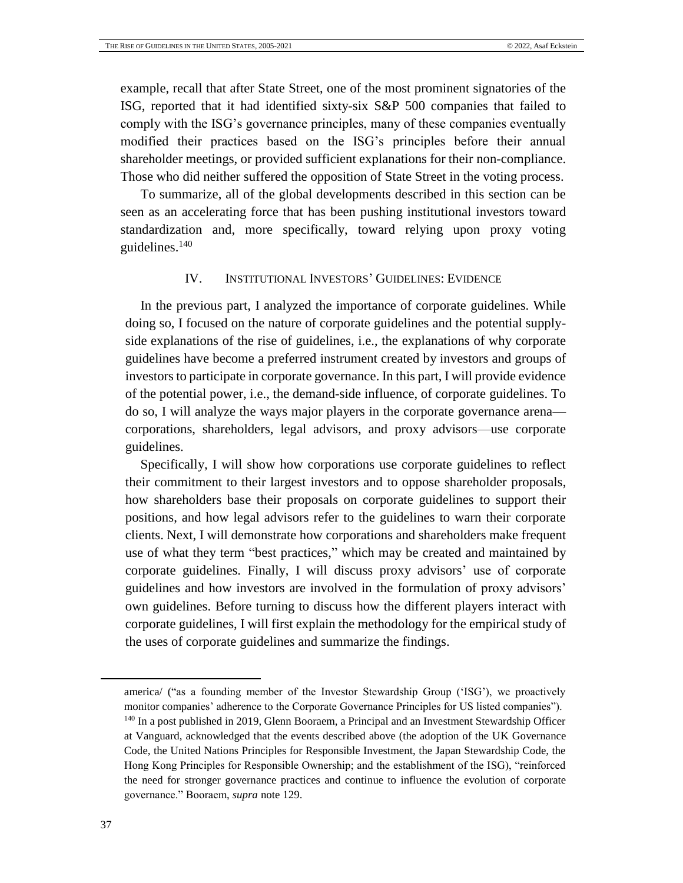example, recall that after State Street, one of the most prominent signatories of the ISG, reported that it had identified sixty-six S&P 500 companies that failed to comply with the ISG's governance principles, many of these companies eventually modified their practices based on the ISG's principles before their annual shareholder meetings, or provided sufficient explanations for their non-compliance. Those who did neither suffered the opposition of State Street in the voting process.

To summarize, all of the global developments described in this section can be seen as an accelerating force that has been pushing institutional investors toward standardization and, more specifically, toward relying upon proxy voting guidelines. $140$ 

## IV. INSTITUTIONAL INVESTORS' GUIDELINES: EVIDENCE

<span id="page-36-0"></span>In the previous part, I analyzed the importance of corporate guidelines. While doing so, I focused on the nature of corporate guidelines and the potential supplyside explanations of the rise of guidelines, i.e., the explanations of why corporate guidelines have become a preferred instrument created by investors and groups of investors to participate in corporate governance. In this part, I will provide evidence of the potential power, i.e., the demand-side influence, of corporate guidelines. To do so, I will analyze the ways major players in the corporate governance arena corporations, shareholders, legal advisors, and proxy advisors—use corporate guidelines.

Specifically, I will show how corporations use corporate guidelines to reflect their commitment to their largest investors and to oppose shareholder proposals, how shareholders base their proposals on corporate guidelines to support their positions, and how legal advisors refer to the guidelines to warn their corporate clients. Next, I will demonstrate how corporations and shareholders make frequent use of what they term "best practices," which may be created and maintained by corporate guidelines. Finally, I will discuss proxy advisors' use of corporate guidelines and how investors are involved in the formulation of proxy advisors' own guidelines. Before turning to discuss how the different players interact with corporate guidelines, I will first explain the methodology for the empirical study of the uses of corporate guidelines and summarize the findings.

[america/](https://corpgov.law.harvard.edu/2019/03/27/2019-proxy-voting-and-engagement-guidelines-north-america/) ("as a founding member of the Investor Stewardship Group ('ISG'), we proactively monitor companies' adherence to the Corporate Governance Principles for US listed companies").

l

<sup>140</sup> In a post published in 2019, Glenn Booraem, a Principal and an Investment Stewardship Officer at Vanguard, acknowledged that the events described above (the adoption of the UK Governance Code, the United Nations Principles for Responsible Investment, the Japan Stewardship Code, the Hong Kong Principles for Responsible Ownership; and the establishment of the ISG), "reinforced the need for stronger governance practices and continue to influence the evolution of corporate governance." Booraem, *supra* not[e 129.](#page-34-1)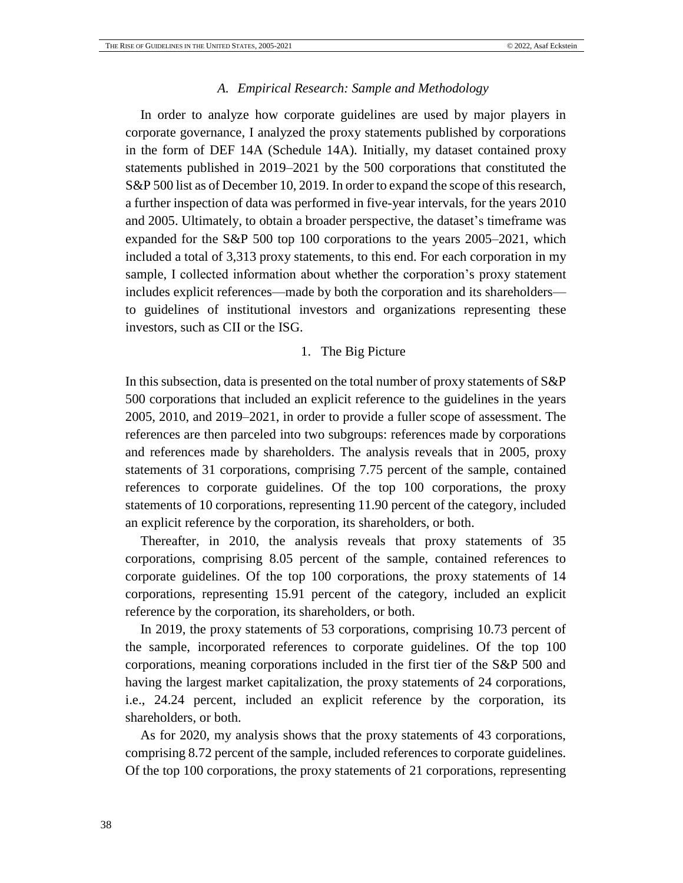#### *A. Empirical Research: Sample and Methodology*

<span id="page-37-0"></span>In order to analyze how corporate guidelines are used by major players in corporate governance, I analyzed the proxy statements published by corporations in the form of DEF 14A (Schedule 14A). Initially, my dataset contained proxy statements published in 2019–2021 by the 500 corporations that constituted the S&P 500 list as of December 10, 2019. In order to expand the scope of this research, a further inspection of data was performed in five-year intervals, for the years 2010 and 2005. Ultimately, to obtain a broader perspective, the dataset's timeframe was expanded for the S&P 500 top 100 corporations to the years 2005–2021, which included a total of 3,313 proxy statements, to this end. For each corporation in my sample, I collected information about whether the corporation's proxy statement includes explicit references—made by both the corporation and its shareholders to guidelines of institutional investors and organizations representing these investors, such as CII or the ISG.

#### 1. The Big Picture

In this subsection, data is presented on the total number of proxy statements of S&P 500 corporations that included an explicit reference to the guidelines in the years 2005, 2010, and 2019–2021, in order to provide a fuller scope of assessment. The references are then parceled into two subgroups: references made by corporations and references made by shareholders. The analysis reveals that in 2005, proxy statements of 31 corporations, comprising 7.75 percent of the sample, contained references to corporate guidelines. Of the top 100 corporations, the proxy statements of 10 corporations, representing 11.90 percent of the category, included an explicit reference by the corporation, its shareholders, or both.

Thereafter, in 2010, the analysis reveals that proxy statements of 35 corporations, comprising 8.05 percent of the sample, contained references to corporate guidelines. Of the top 100 corporations, the proxy statements of 14 corporations, representing 15.91 percent of the category, included an explicit reference by the corporation, its shareholders, or both.

In 2019, the proxy statements of 53 corporations, comprising 10.73 percent of the sample, incorporated references to corporate guidelines. Of the top 100 corporations, meaning corporations included in the first tier of the S&P 500 and having the largest market capitalization, the proxy statements of 24 corporations, i.e., 24.24 percent, included an explicit reference by the corporation, its shareholders, or both.

As for 2020, my analysis shows that the proxy statements of 43 corporations, comprising 8.72 percent of the sample, included references to corporate guidelines. Of the top 100 corporations, the proxy statements of 21 corporations, representing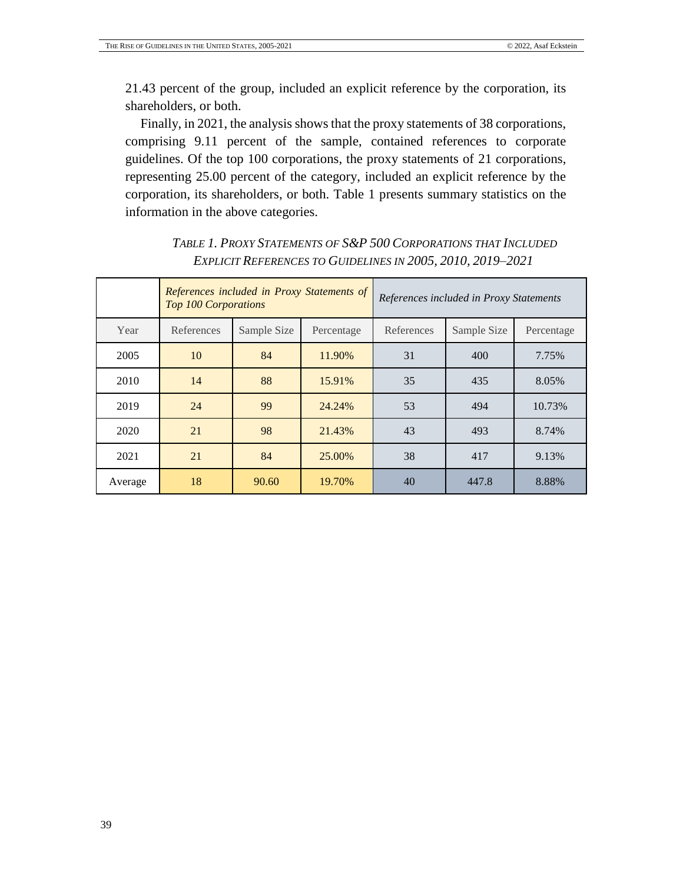21.43 percent of the group, included an explicit reference by the corporation, its shareholders, or both.

Finally, in 2021, the analysis shows that the proxy statements of 38 corporations, comprising 9.11 percent of the sample, contained references to corporate guidelines. Of the top 100 corporations, the proxy statements of 21 corporations, representing 25.00 percent of the category, included an explicit reference by the corporation, its shareholders, or both. Table 1 presents summary statistics on the information in the above categories.

|         | <b>Top 100 Corporations</b> |             | References included in Proxy Statements of | References included in Proxy Statements |             |            |  |
|---------|-----------------------------|-------------|--------------------------------------------|-----------------------------------------|-------------|------------|--|
| Year    | References                  | Sample Size | Percentage                                 | References                              | Sample Size | Percentage |  |
| 2005    | 10                          | 84          | 11.90%                                     | 31                                      | 400         | 7.75%      |  |
| 2010    | 14                          | 88          | 15.91%                                     | 35                                      | 435         | 8.05%      |  |
| 2019    | 24                          | 99          | 24.24%                                     | 53                                      | 494         | 10.73%     |  |
| 2020    | 21                          | 98          | 21.43%                                     | 43                                      | 493         | 8.74%      |  |
| 2021    | 21                          | 84          | 25.00%                                     | 38                                      | 417         | 9.13%      |  |
| Average | 18                          | 90.60       | 19.70%                                     | 40                                      | 447.8       | 8.88%      |  |

# <span id="page-38-0"></span>*TABLE 1. PROXY STATEMENTS OF S&P 500 CORPORATIONS THAT INCLUDED EXPLICIT REFERENCES TO GUIDELINES IN 2005, 2010, 2019–2021*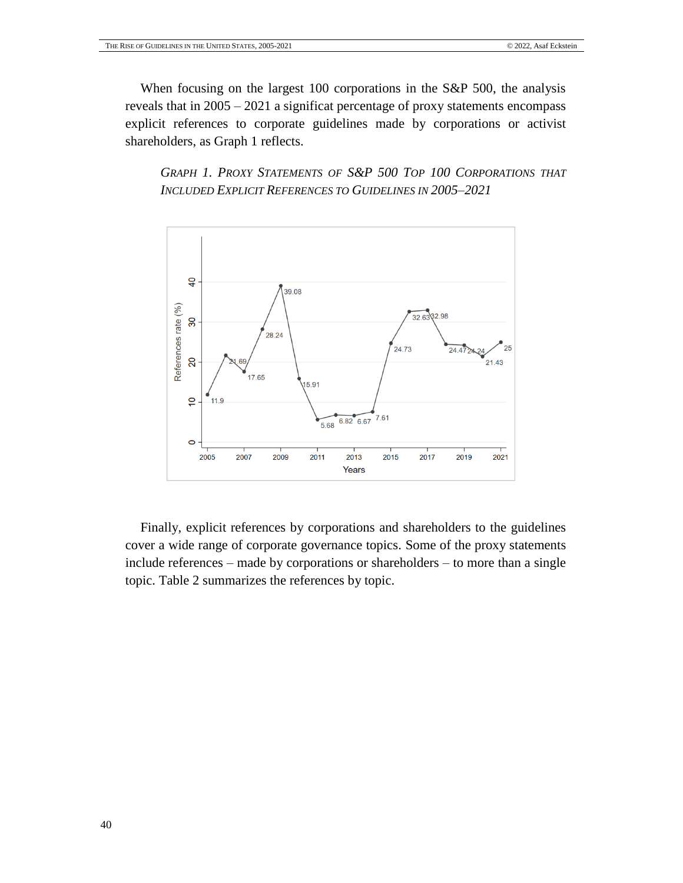When focusing on the largest 100 corporations in the S&P 500, the analysis reveals that in 2005 – 2021 a significat percentage of proxy statements encompass explicit references to corporate guidelines made by corporations or activist shareholders, as Graph 1 reflects.

<span id="page-39-0"></span>*GRAPH 1. PROXY STATEMENTS OF S&P 500 TOP 100 CORPORATIONS THAT INCLUDED EXPLICIT REFERENCES TO GUIDELINES IN 2005–2021*



Finally, explicit references by corporations and shareholders to the guidelines cover a wide range of corporate governance topics. Some of the proxy statements include references – made by corporations or shareholders – to more than a single topic. Table 2 summarizes the references by topic.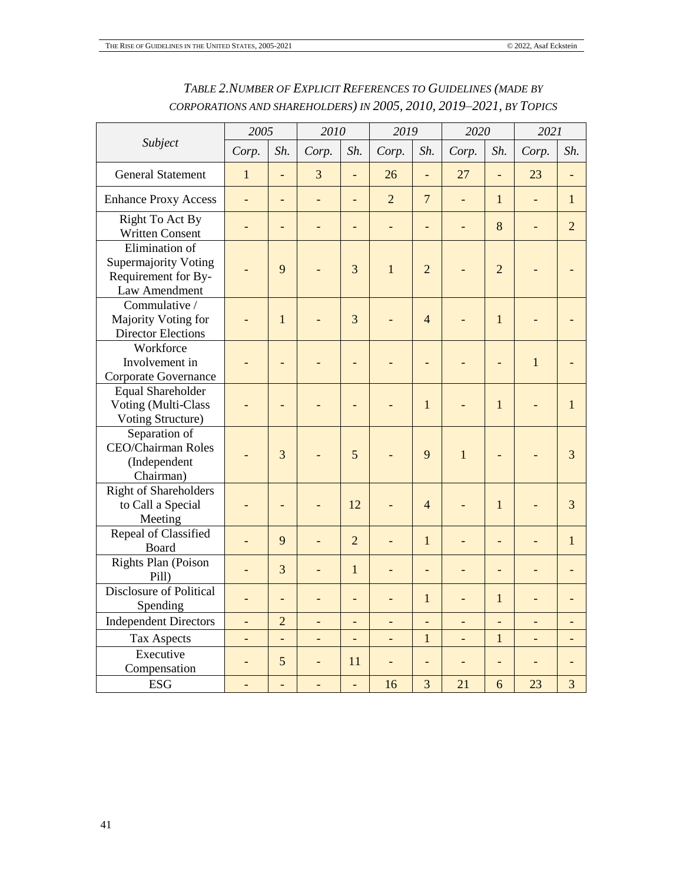<span id="page-40-0"></span>

|                                                                                       | 2005<br>2010             |                          |                          | 2019                     |                | 2020                     |                | 2021                     |                          |                          |
|---------------------------------------------------------------------------------------|--------------------------|--------------------------|--------------------------|--------------------------|----------------|--------------------------|----------------|--------------------------|--------------------------|--------------------------|
| Subject                                                                               | Corp.                    | Sh.                      | Corp.                    | Sh.                      | Corp.          | Sh.                      | Corp.          | Sh.                      | Corp.                    | Sh.                      |
| <b>General Statement</b>                                                              | $\mathbf{1}$             | $\overline{\phantom{a}}$ | 3                        | $\overline{a}$           | 26             | ÷.                       | 27             | $\overline{a}$           | 23                       |                          |
| <b>Enhance Proxy Access</b>                                                           |                          | ÷,                       |                          | L,                       | $\overline{2}$ | $\overline{7}$           |                | $\mathbf{1}$             | L.                       | $\mathbf{1}$             |
| Right To Act By<br><b>Written Consent</b>                                             |                          | $\overline{\phantom{0}}$ |                          | $\overline{\phantom{0}}$ |                | $\overline{\phantom{a}}$ |                | 8                        |                          | $\overline{2}$           |
| Elimination of<br><b>Supermajority Voting</b><br>Requirement for By-<br>Law Amendment |                          | 9                        |                          | 3                        | $\mathbf{1}$   | $\overline{2}$           |                | $\overline{2}$           |                          |                          |
| Commulative /<br>Majority Voting for<br><b>Director Elections</b>                     |                          | $\mathbf{1}$             |                          | 3                        |                | $\overline{4}$           |                | $\mathbf{1}$             |                          |                          |
| Workforce<br>Involvement in<br>Corporate Governance                                   |                          | ٠                        |                          | $\overline{\phantom{0}}$ |                | ٠                        |                | $\qquad \qquad -$        | $\mathbf{1}$             |                          |
| <b>Equal Shareholder</b><br>Voting (Multi-Class<br>Voting Structure)                  |                          |                          |                          |                          |                | $\mathbf{1}$             |                | $\mathbf{1}$             |                          | $\mathbf{1}$             |
| Separation of<br>CEO/Chairman Roles<br>(Independent<br>Chairman)                      |                          | 3                        |                          | 5                        |                | 9                        | $\mathbf{1}$   | $\qquad \qquad -$        |                          | 3                        |
| <b>Right of Shareholders</b><br>to Call a Special<br>Meeting                          |                          | $\overline{a}$           |                          | 12                       |                | $\overline{4}$           |                | $\mathbf{1}$             |                          | 3                        |
| Repeal of Classified<br>Board                                                         |                          | 9                        |                          | $\overline{2}$           |                | $\mathbf{1}$             |                | $\overline{a}$           |                          | $\mathbf{1}$             |
| Rights Plan (Poison<br>Pill)                                                          |                          | 3                        |                          | $\mathbf{1}$             | $\overline{a}$ | ÷,                       |                | ÷,                       | $\overline{\phantom{0}}$ |                          |
| <b>Disclosure of Political</b><br>Spending                                            |                          | ÷,                       |                          | ÷,                       | $\overline{a}$ | $\mathbf{1}$             | $\overline{a}$ | $\mathbf{1}$             | $\overline{\phantom{0}}$ | $\overline{a}$           |
| <b>Independent Directors</b>                                                          | ÷                        | $\overline{2}$           |                          | -                        | -              | -                        | -              | -                        | -                        | -                        |
| <b>Tax Aspects</b>                                                                    | $\overline{\phantom{a}}$ | $\blacksquare$           | $\overline{\phantom{a}}$ | $\blacksquare$           | ÷,             | $\mathbf{1}$             | $\blacksquare$ | $\mathbf{1}$             | ÷,                       | $\overline{\phantom{0}}$ |
| Executive<br>Compensation                                                             | ÷,                       | 5                        | $\overline{a}$           | 11                       | $\blacksquare$ | ÷,                       | ÷,             | $\overline{\phantom{0}}$ | ÷,                       | $\overline{a}$           |
| <b>ESG</b>                                                                            | $\overline{\phantom{0}}$ | $\blacksquare$           |                          | L,                       | 16             | 3                        | 21             | 6                        | 23                       | 3                        |

# *TABLE 2.NUMBER OF EXPLICIT REFERENCES TO GUIDELINES (MADE BY CORPORATIONS AND SHAREHOLDERS) IN 2005, 2010, 2019–2021, BY TOPICS*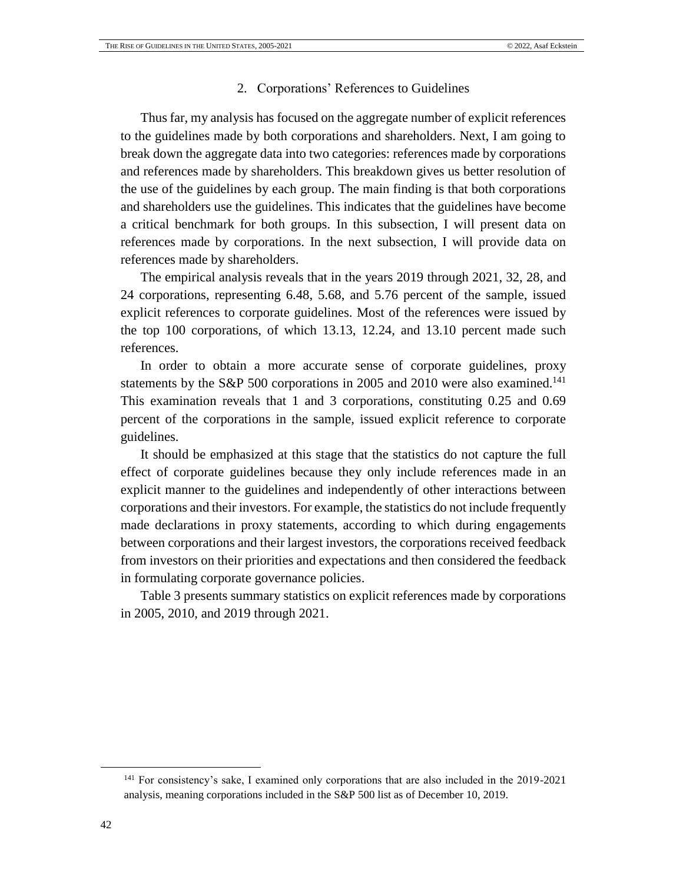#### 2. Corporations' References to Guidelines

Thus far, my analysis has focused on the aggregate number of explicit references to the guidelines made by both corporations and shareholders. Next, I am going to break down the aggregate data into two categories: references made by corporations and references made by shareholders. This breakdown gives us better resolution of the use of the guidelines by each group. The main finding is that both corporations and shareholders use the guidelines. This indicates that the guidelines have become a critical benchmark for both groups. In this subsection, I will present data on references made by corporations. In the next subsection, I will provide data on references made by shareholders.

The empirical analysis reveals that in the years 2019 through 2021, 32, 28, and 24 corporations, representing 6.48, 5.68, and 5.76 percent of the sample, issued explicit references to corporate guidelines. Most of the references were issued by the top 100 corporations, of which 13.13, 12.24, and 13.10 percent made such references.

In order to obtain a more accurate sense of corporate guidelines, proxy statements by the S&P 500 corporations in 2005 and 2010 were also examined.<sup>141</sup> This examination reveals that 1 and 3 corporations, constituting 0.25 and 0.69 percent of the corporations in the sample, issued explicit reference to corporate guidelines.

It should be emphasized at this stage that the statistics do not capture the full effect of corporate guidelines because they only include references made in an explicit manner to the guidelines and independently of other interactions between corporations and their investors. For example, the statistics do not include frequently made declarations in proxy statements, according to which during engagements between corporations and their largest investors, the corporations received feedback from investors on their priorities and expectations and then considered the feedback in formulating corporate governance policies.

Table 3 presents summary statistics on explicit references made by corporations in 2005, 2010, and 2019 through 2021.

<sup>141</sup> For consistency's sake, I examined only corporations that are also included in the 2019-2021 analysis, meaning corporations included in the S&P 500 list as of December 10, 2019.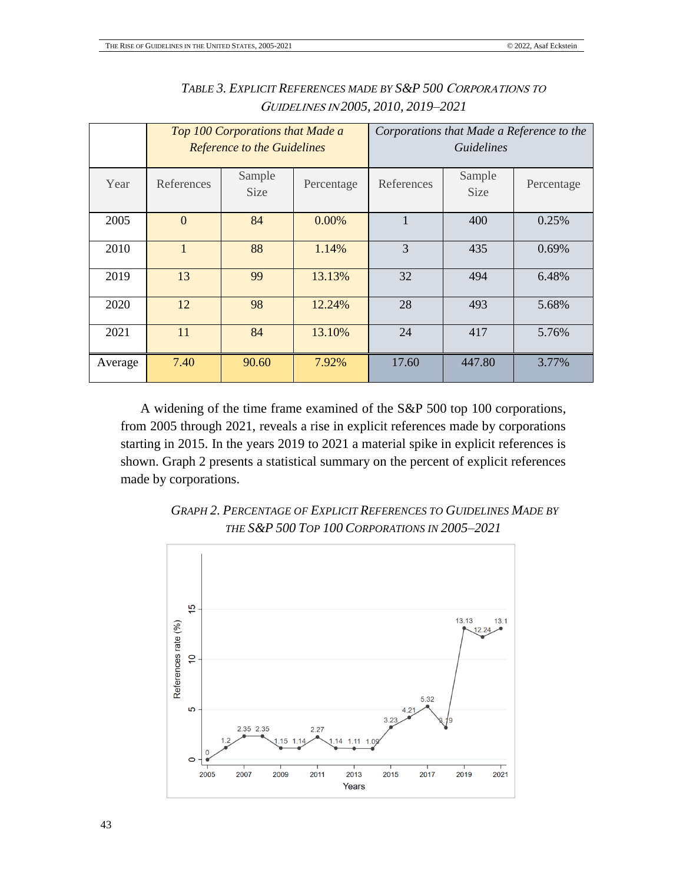<span id="page-42-0"></span>

|         |              | Top 100 Corporations that Made a<br><b>Reference to the Guidelines</b> |            | Corporations that Made a Reference to the<br><i>Guidelines</i> |                       |            |  |
|---------|--------------|------------------------------------------------------------------------|------------|----------------------------------------------------------------|-----------------------|------------|--|
| Year    | References   | Sample<br>Size                                                         | Percentage | References                                                     | Sample<br><b>Size</b> | Percentage |  |
| 2005    | $\mathbf{0}$ | 84                                                                     | $0.00\%$   |                                                                | 400                   | 0.25%      |  |
| 2010    | $\mathbf{1}$ | 88                                                                     | 1.14%      | 3                                                              | 435                   | 0.69%      |  |
| 2019    | 13           | 99                                                                     | 13.13%     | 32                                                             | 494                   | 6.48%      |  |
| 2020    | 12           | 98                                                                     | 12.24%     | 28                                                             | 493                   | 5.68%      |  |
| 2021    | 11           | 84                                                                     | 13.10%     | 24                                                             | 417                   | 5.76%      |  |
| Average | 7.40         | 90.60                                                                  | 7.92%      | 17.60                                                          | 447.80                | 3.77%      |  |

# *TABLE 3. EXPLICIT REFERENCES MADE BY S&P 500* <sup>C</sup>ORPORATIONS TO <sup>G</sup>UIDELINES IN *2005, 2010, 2019–2021*

A widening of the time frame examined of the S&P 500 top 100 corporations, from 2005 through 2021, reveals a rise in explicit references made by corporations starting in 2015. In the years 2019 to 2021 a material spike in explicit references is shown. Graph 2 presents a statistical summary on the percent of explicit references made by corporations.

<span id="page-42-1"></span>

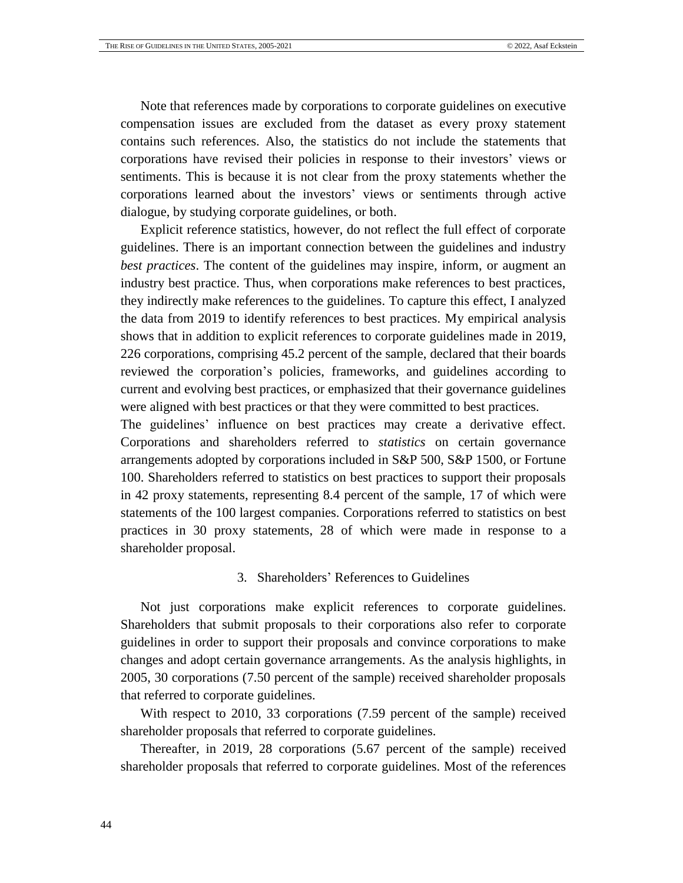Note that references made by corporations to corporate guidelines on executive compensation issues are excluded from the dataset as every proxy statement contains such references. Also, the statistics do not include the statements that corporations have revised their policies in response to their investors' views or sentiments. This is because it is not clear from the proxy statements whether the corporations learned about the investors' views or sentiments through active dialogue, by studying corporate guidelines, or both.

Explicit reference statistics, however, do not reflect the full effect of corporate guidelines. There is an important connection between the guidelines and industry *best practices*. The content of the guidelines may inspire, inform, or augment an industry best practice. Thus, when corporations make references to best practices, they indirectly make references to the guidelines. To capture this effect, I analyzed the data from 2019 to identify references to best practices. My empirical analysis shows that in addition to explicit references to corporate guidelines made in 2019, 226 corporations, comprising 45.2 percent of the sample, declared that their boards reviewed the corporation's policies, frameworks, and guidelines according to current and evolving best practices, or emphasized that their governance guidelines were aligned with best practices or that they were committed to best practices.

The guidelines' influence on best practices may create a derivative effect. Corporations and shareholders referred to *statistics* on certain governance arrangements adopted by corporations included in S&P 500, S&P 1500, or Fortune 100. Shareholders referred to statistics on best practices to support their proposals in 42 proxy statements, representing 8.4 percent of the sample, 17 of which were statements of the 100 largest companies. Corporations referred to statistics on best practices in 30 proxy statements, 28 of which were made in response to a shareholder proposal.

## 3. Shareholders' References to Guidelines

Not just corporations make explicit references to corporate guidelines. Shareholders that submit proposals to their corporations also refer to corporate guidelines in order to support their proposals and convince corporations to make changes and adopt certain governance arrangements. As the analysis highlights, in 2005, 30 corporations (7.50 percent of the sample) received shareholder proposals that referred to corporate guidelines.

With respect to 2010, 33 corporations (7.59 percent of the sample) received shareholder proposals that referred to corporate guidelines.

Thereafter, in 2019, 28 corporations (5.67 percent of the sample) received shareholder proposals that referred to corporate guidelines. Most of the references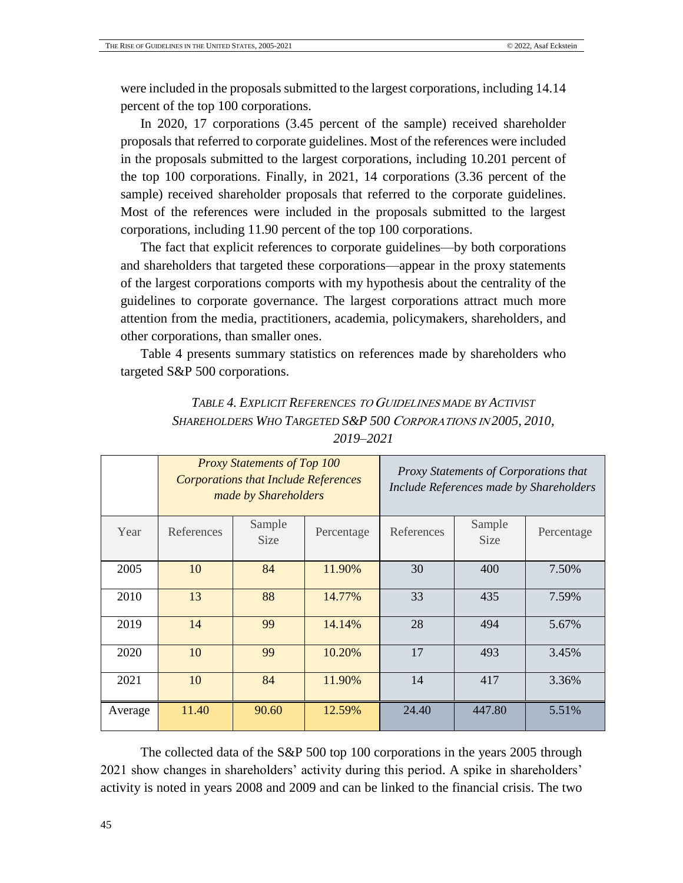were included in the proposals submitted to the largest corporations, including 14.14 percent of the top 100 corporations.

In 2020, 17 corporations (3.45 percent of the sample) received shareholder proposals that referred to corporate guidelines. Most of the references were included in the proposals submitted to the largest corporations, including 10.201 percent of the top 100 corporations. Finally, in 2021, 14 corporations (3.36 percent of the sample) received shareholder proposals that referred to the corporate guidelines. Most of the references were included in the proposals submitted to the largest corporations, including 11.90 percent of the top 100 corporations.

The fact that explicit references to corporate guidelines—by both corporations and shareholders that targeted these corporations—appear in the proxy statements of the largest corporations comports with my hypothesis about the centrality of the guidelines to corporate governance. The largest corporations attract much more attention from the media, practitioners, academia, policymakers, shareholders, and other corporations, than smaller ones.

<span id="page-44-0"></span>Table 4 presents summary statistics on references made by shareholders who targeted S&P 500 corporations.

|         |            | <b>Proxy Statements of Top 100</b><br>Proxy Statements of Corporations that<br><b>Corporations that Include References</b><br>Include References made by Shareholders<br>made by Shareholders |            |            |                       |            |
|---------|------------|-----------------------------------------------------------------------------------------------------------------------------------------------------------------------------------------------|------------|------------|-----------------------|------------|
| Year    | References | Sample<br><b>Size</b>                                                                                                                                                                         | Percentage | References | Sample<br><b>Size</b> | Percentage |
| 2005    | 10         | 84                                                                                                                                                                                            | 11.90%     | 30         | 400                   | 7.50%      |
| 2010    | 13         | 88                                                                                                                                                                                            | 14.77%     | 33         | 435                   | 7.59%      |
| 2019    | 14         | 99                                                                                                                                                                                            | 14.14%     | 28         | 494                   | 5.67%      |
| 2020    | 10         | 99                                                                                                                                                                                            | 10.20%     | 17         | 493                   | 3.45%      |
| 2021    | 10         | 84                                                                                                                                                                                            | 11.90%     | 14         | 417                   | 3.36%      |
| Average | 11.40      | 90.60                                                                                                                                                                                         | 12.59%     | 24.40      | 447.80                | 5.51%      |

| TABLE 4. EXPLICIT REFERENCES TO GUIDELINES MADE BY ACTIVIST   |
|---------------------------------------------------------------|
| SHAREHOLDERS WHO TARGETED S&P 500 CORPORATIONS IN 2005, 2010, |
| 2019–2021                                                     |

The collected data of the S&P 500 top 100 corporations in the years 2005 through 2021 show changes in shareholders' activity during this period. A spike in shareholders' activity is noted in years 2008 and 2009 and can be linked to the financial crisis. The two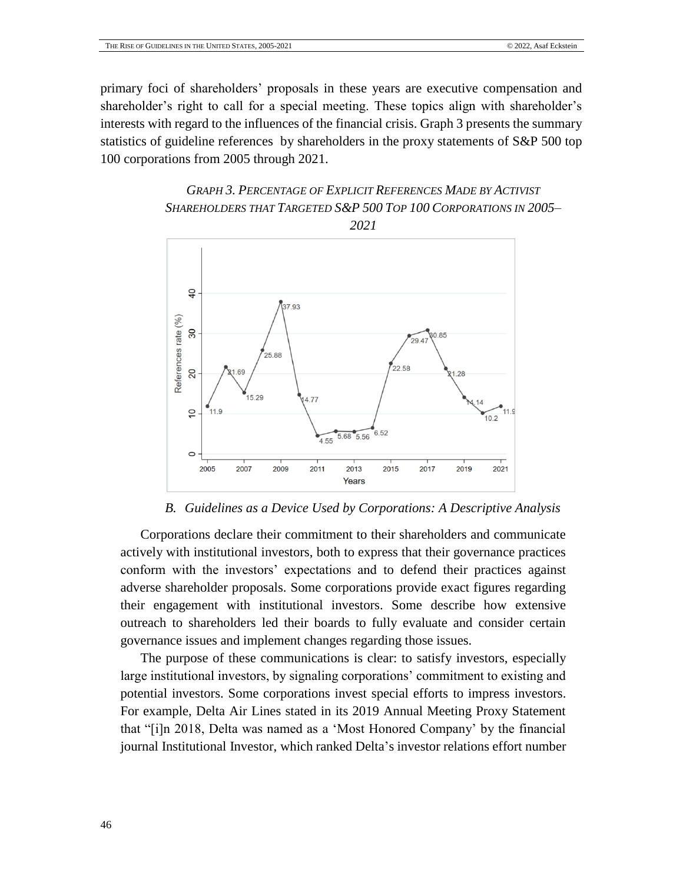primary foci of shareholders' proposals in these years are executive compensation and shareholder's right to call for a special meeting. These topics align with shareholder's interests with regard to the influences of the financial crisis. Graph 3 presents the summary statistics of guideline references by shareholders in the proxy statements of S&P 500 top 100 corporations from 2005 through 2021.

# <span id="page-45-1"></span>*GRAPH 3. PERCENTAGE OF EXPLICIT REFERENCES MADE BY ACTIVIST SHAREHOLDERS THAT TARGETED S&P 500 TOP 100 CORPORATIONS IN 2005–*



*B. Guidelines as a Device Used by Corporations: A Descriptive Analysis*

<span id="page-45-0"></span>Corporations declare their commitment to their shareholders and communicate actively with institutional investors, both to express that their governance practices conform with the investors' expectations and to defend their practices against adverse shareholder proposals. Some corporations provide exact figures regarding their engagement with institutional investors. Some describe how extensive outreach to shareholders led their boards to fully evaluate and consider certain governance issues and implement changes regarding those issues.

The purpose of these communications is clear: to satisfy investors, especially large institutional investors, by signaling corporations' commitment to existing and potential investors. Some corporations invest special efforts to impress investors. For example, Delta Air Lines stated in its 2019 Annual Meeting Proxy Statement that "[i]n 2018, Delta was named as a 'Most Honored Company' by the financial journal Institutional Investor, which ranked Delta's investor relations effort number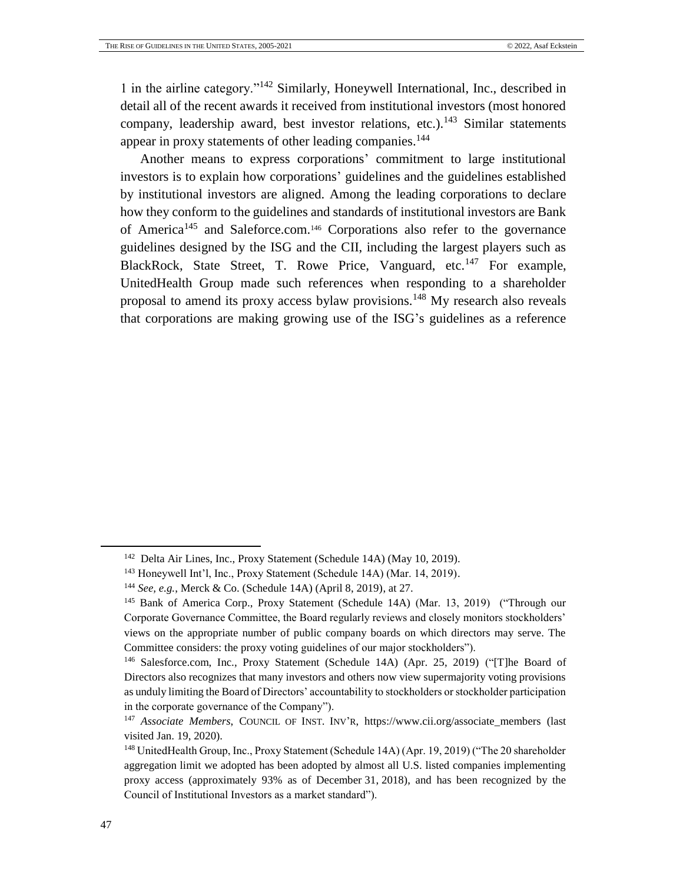1 in the airline category."<sup>142</sup> Similarly, Honeywell International, Inc., described in detail all of the recent awards it received from institutional investors (most honored company, leadership award, best investor relations, etc.).<sup>143</sup> Similar statements appear in proxy statements of other leading companies.<sup>144</sup>

Another means to express corporations' commitment to large institutional investors is to explain how corporations' guidelines and the guidelines established by institutional investors are aligned. Among the leading corporations to declare how they conform to the guidelines and standards of institutional investors are Bank of America<sup>145</sup> and Saleforce.com.<sup>146</sup> Corporations also refer to the governance guidelines designed by the ISG and the CII, including the largest players such as BlackRock, State Street, T. Rowe Price, Vanguard, etc.<sup>147</sup> For example, UnitedHealth Group made such references when responding to a shareholder proposal to amend its proxy access bylaw provisions.<sup>148</sup> My research also reveals that corporations are making growing use of the ISG's guidelines as a reference

<sup>&</sup>lt;sup>142</sup> Delta Air Lines, Inc., Proxy Statement (Schedule 14A) (May 10, 2019).

<sup>143</sup> Honeywell Int'l, Inc., Proxy Statement (Schedule 14A) (Mar. 14, 2019).

<sup>144</sup> *See, e.g.*, Merck & Co. (Schedule 14A) (April 8, 2019), at 27.

<sup>&</sup>lt;sup>145</sup> Bank of America Corp., Proxy Statement (Schedule 14A) (Mar. 13, 2019) ("Through our Corporate Governance Committee, the Board regularly reviews and closely monitors stockholders' views on the appropriate number of public company boards on which directors may serve. The Committee considers: the proxy voting guidelines of our major stockholders").

<sup>146</sup> Salesforce.com, Inc., Proxy Statement (Schedule 14A) (Apr. 25, 2019) ("[T]he Board of Directors also recognizes that many investors and others now view supermajority voting provisions as unduly limiting the Board of Directors' accountability to stockholders or stockholder participation in the corporate governance of the Company").

<sup>&</sup>lt;sup>147</sup> *Associate Members*, COUNCIL OF INST. INV'R, https://www.cii.org/associate members (last visited Jan. 19, 2020).

<sup>148</sup> UnitedHealth Group, Inc., Proxy Statement (Schedule 14A) (Apr. 19, 2019) ("The 20 shareholder aggregation limit we adopted has been adopted by almost all U.S. listed companies implementing proxy access (approximately 93% as of December 31, 2018), and has been recognized by the Council of Institutional Investors as a market standard").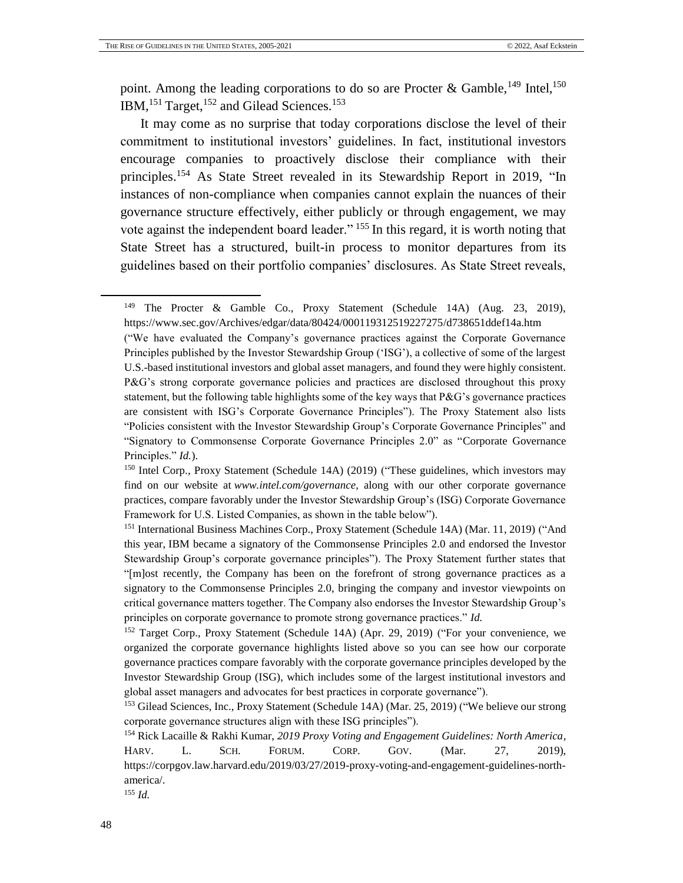point. Among the leading corporations to do so are Procter & Gamble,  $^{149}$  Intel,  $^{150}$ IBM,<sup>151</sup> Target,<sup>152</sup> and Gilead Sciences.<sup>153</sup>

<span id="page-47-0"></span>It may come as no surprise that today corporations disclose the level of their commitment to institutional investors' guidelines. In fact, institutional investors encourage companies to proactively disclose their compliance with their principles.<sup>154</sup> As State Street revealed in its Stewardship Report in 2019, "In instances of non-compliance when companies cannot explain the nuances of their governance structure effectively, either publicly or through engagement, we may vote against the independent board leader."<sup>155</sup> In this regard, it is worth noting that State Street has a structured, built-in process to monitor departures from its guidelines based on their portfolio companies' disclosures. As State Street reveals,

<sup>155</sup> *Id.* 

<sup>149</sup> The Procter & Gamble Co., Proxy Statement (Schedule 14A) (Aug. 23, 2019), https://www.sec.gov/Archives/edgar/data/80424/000119312519227275/d738651ddef14a.htm

<sup>(&</sup>quot;We have evaluated the Company's governance practices against the Corporate Governance Principles published by the Investor Stewardship Group ('ISG'), a collective of some of the largest U.S.-based institutional investors and global asset managers, and found they were highly consistent. P&G's strong corporate governance policies and practices are disclosed throughout this proxy statement, but the following table highlights some of the key ways that P&G's governance practices are consistent with ISG's Corporate Governance Principles"). The Proxy Statement also lists "Policies consistent with the Investor Stewardship Group's Corporate Governance Principles" and "Signatory to Commonsense Corporate Governance Principles 2.0" as "Corporate Governance Principles." *Id.*).

<sup>150</sup> Intel Corp., Proxy Statement (Schedule 14A) (2019) ("These guidelines, which investors may find on our website at *www.intel.com/governance*, along with our other corporate governance practices, compare favorably under the Investor Stewardship Group's (ISG) Corporate Governance Framework for U.S. Listed Companies, as shown in the table below").

<sup>&</sup>lt;sup>151</sup> International Business Machines Corp., Proxy Statement (Schedule 14A) (Mar. 11, 2019) ("And this year, IBM became a signatory of the Commonsense Principles 2.0 and endorsed the Investor Stewardship Group's corporate governance principles"). The Proxy Statement further states that "[m]ost recently, the Company has been on the forefront of strong governance practices as a signatory to the Commonsense Principles 2.0, bringing the company and investor viewpoints on critical governance matters together. The Company also endorses the Investor Stewardship Group's principles on corporate governance to promote strong governance practices." *Id.*

<sup>&</sup>lt;sup>152</sup> Target Corp., Proxy Statement (Schedule 14A) (Apr. 29, 2019) ("For your convenience, we organized the corporate governance highlights listed above so you can see how our corporate governance practices compare favorably with the corporate governance principles developed by the Investor Stewardship Group (ISG), which includes some of the largest institutional investors and global asset managers and advocates for best practices in corporate governance").

<sup>153</sup> Gilead Sciences, Inc., Proxy Statement (Schedule 14A) (Mar. 25, 2019) ("We believe our strong corporate governance structures align with these ISG principles").

<sup>154</sup> Rick Lacaille & Rakhi Kumar, *2019 Proxy Voting and Engagement Guidelines: North America*, HARV. L. SCH. FORUM. CORP. GOV. (Mar. 27, 2019), https://corpgov.law.harvard.edu/2019/03/27/2019-proxy-voting-and-engagement-guidelines-northamerica/.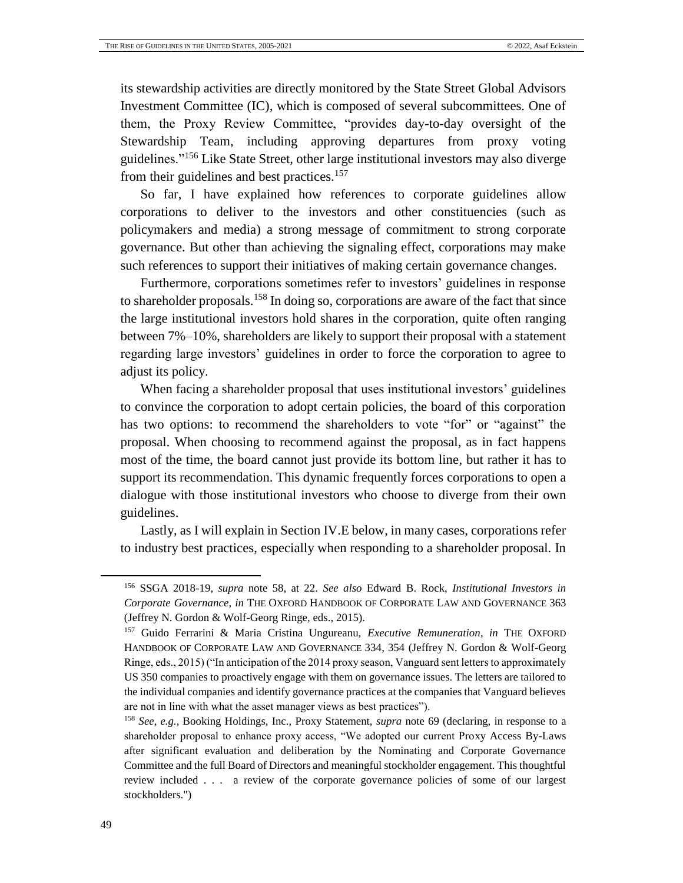its stewardship activities are directly monitored by the State Street Global Advisors Investment Committee (IC), which is composed of several subcommittees. One of them, the Proxy Review Committee, "provides day-to-day oversight of the Stewardship Team, including approving departures from proxy voting guidelines."<sup>156</sup> Like State Street, other large institutional investors may also diverge from their guidelines and best practices.<sup>157</sup>

So far, I have explained how references to corporate guidelines allow corporations to deliver to the investors and other constituencies (such as policymakers and media) a strong message of commitment to strong corporate governance. But other than achieving the signaling effect, corporations may make such references to support their initiatives of making certain governance changes.

Furthermore, corporations sometimes refer to investors' guidelines in response to shareholder proposals.<sup>158</sup> In doing so, corporations are aware of the fact that since the large institutional investors hold shares in the corporation, quite often ranging between 7%–10%, shareholders are likely to support their proposal with a statement regarding large investors' guidelines in order to force the corporation to agree to adjust its policy.

When facing a shareholder proposal that uses institutional investors' guidelines to convince the corporation to adopt certain policies, the board of this corporation has two options: to recommend the shareholders to vote "for" or "against" the proposal. When choosing to recommend against the proposal, as in fact happens most of the time, the board cannot just provide its bottom line, but rather it has to support its recommendation. This dynamic frequently forces corporations to open a dialogue with those institutional investors who choose to diverge from their own guidelines.

Lastly, as I will explain in Section IV.E below, in many cases, corporations refer to industry best practices, especially when responding to a shareholder proposal. In

<sup>156</sup> SSGA 2018-19, *supra* note [58,](#page-20-0) at 22. *See also* Edward B. Rock, *Institutional Investors in Corporate Governance*, *in* THE OXFORD HANDBOOK OF CORPORATE LAW AND GOVERNANCE 363 (Jeffrey N. Gordon & Wolf-Georg Ringe, eds., 2015).

<sup>157</sup> Guido Ferrarini & Maria Cristina Ungureanu, *Executive Remuneration*, *in* THE OXFORD HANDBOOK OF CORPORATE LAW AND GOVERNANCE 334, 354 (Jeffrey N. Gordon & Wolf-Georg Ringe, eds., 2015) ("In anticipation of the 2014 proxy season, Vanguard sent letters to approximately US 350 companies to proactively engage with them on governance issues. The letters are tailored to the individual companies and identify governance practices at the companies that Vanguard believes are not in line with what the asset manager views as best practices").

<sup>158</sup> *See*, *e.g.*, Booking Holdings, Inc., Proxy Statement, *supra* note [69](#page-22-1) (declaring, in response to a shareholder proposal to enhance proxy access, "We adopted our current Proxy Access By-Laws after significant evaluation and deliberation by the Nominating and Corporate Governance Committee and the full Board of Directors and meaningful stockholder engagement. This thoughtful review included . . . a review of the corporate governance policies of some of our largest stockholders.")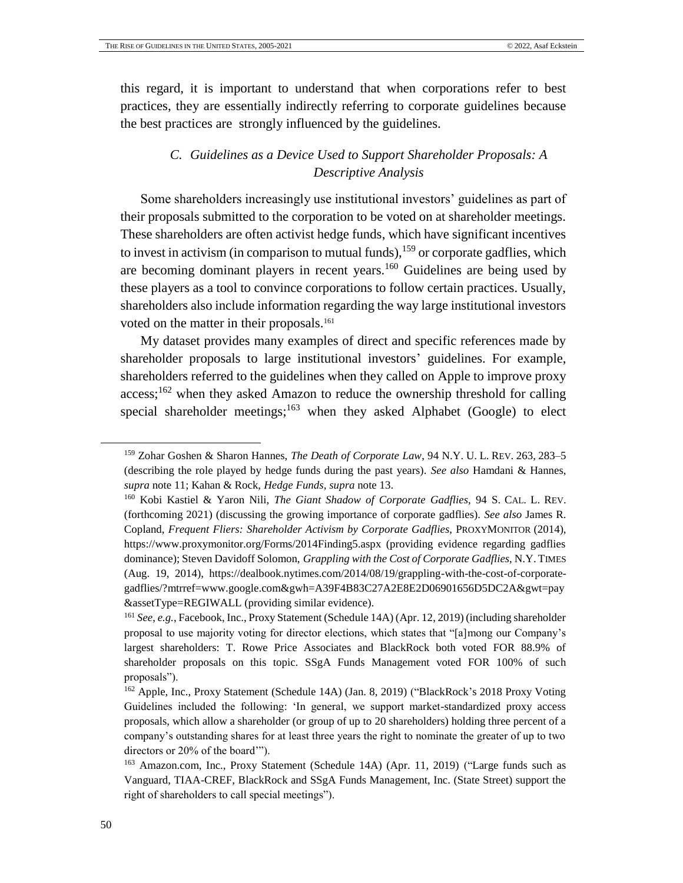<span id="page-49-0"></span>this regard, it is important to understand that when corporations refer to best practices, they are essentially indirectly referring to corporate guidelines because the best practices are strongly influenced by the guidelines.

# *C. Guidelines as a Device Used to Support Shareholder Proposals: A Descriptive Analysis*

Some shareholders increasingly use institutional investors' guidelines as part of their proposals submitted to the corporation to be voted on at shareholder meetings. These shareholders are often activist hedge funds, which have significant incentives to invest in activism (in comparison to mutual funds),  $159$  or corporate gadflies, which are becoming dominant players in recent years.<sup>160</sup> Guidelines are being used by these players as a tool to convince corporations to follow certain practices. Usually, shareholders also include information regarding the way large institutional investors voted on the matter in their proposals.<sup>161</sup>

<span id="page-49-2"></span>My dataset provides many examples of direct and specific references made by shareholder proposals to large institutional investors' guidelines. For example, shareholders referred to the guidelines when they called on Apple to improve proxy  $access;^{162}$  when they asked Amazon to reduce the ownership threshold for calling special shareholder meetings; $163$  when they asked Alphabet (Google) to elect

<span id="page-49-1"></span><sup>159</sup> Zohar Goshen & Sharon Hannes, *The Death of Corporate Law*, 94 N.Y. U. L. REV. 263, 283–5 (describing the role played by hedge funds during the past years). *See also* Hamdani & Hannes, *supra* note [11;](#page-9-4) Kahan & Rock, *Hedge Funds*, *supra* note [13.](#page-9-3)

<sup>160</sup> Kobi Kastiel & Yaron Nili, *The Giant Shadow of Corporate Gadflies*, 94 S. CAL. L. REV. (forthcoming 2021) (discussing the growing importance of corporate gadflies). *See also* James R. Copland, *Frequent Fliers: Shareholder Activism by Corporate Gadflies*, PROXYMONITOR (2014), https://www.proxymonitor.org/Forms/2014Finding5.aspx (providing evidence regarding gadflies dominance); Steven Davidoff Solomon, *Grappling with the Cost of Corporate Gadflies*, N.Y. TIMES (Aug. 19, 2014), https://dealbook.nytimes.com/2014/08/19/grappling-with-the-cost-of-corporategadflies/?mtrref=www.google.com&gwh=A39F4B83C27A2E8E2D06901656D5DC2A&gwt=pay &assetType=REGIWALL (providing similar evidence).

<sup>161</sup> *See*, *e.g.*, Facebook, Inc., Proxy Statement (Schedule 14A) (Apr. 12, 2019) (including shareholder proposal to use majority voting for director elections, which states that "[a]mong our Company's largest shareholders: T. Rowe Price Associates and BlackRock both voted FOR 88.9% of shareholder proposals on this topic. SSgA Funds Management voted FOR 100% of such proposals").

<sup>162</sup> Apple, Inc., Proxy Statement (Schedule 14A) (Jan. 8, 2019) ("BlackRock's 2018 Proxy Voting Guidelines included the following: 'In general, we support market-standardized proxy access proposals, which allow a shareholder (or group of up to 20 shareholders) holding three percent of a company's outstanding shares for at least three years the right to nominate the greater of up to two directors or 20% of the board'").

<sup>&</sup>lt;sup>163</sup> Amazon.com, Inc., Proxy Statement (Schedule 14A) (Apr. 11, 2019) ("Large funds such as Vanguard, TIAA-CREF, BlackRock and SSgA Funds Management, Inc. (State Street) support the right of shareholders to call special meetings").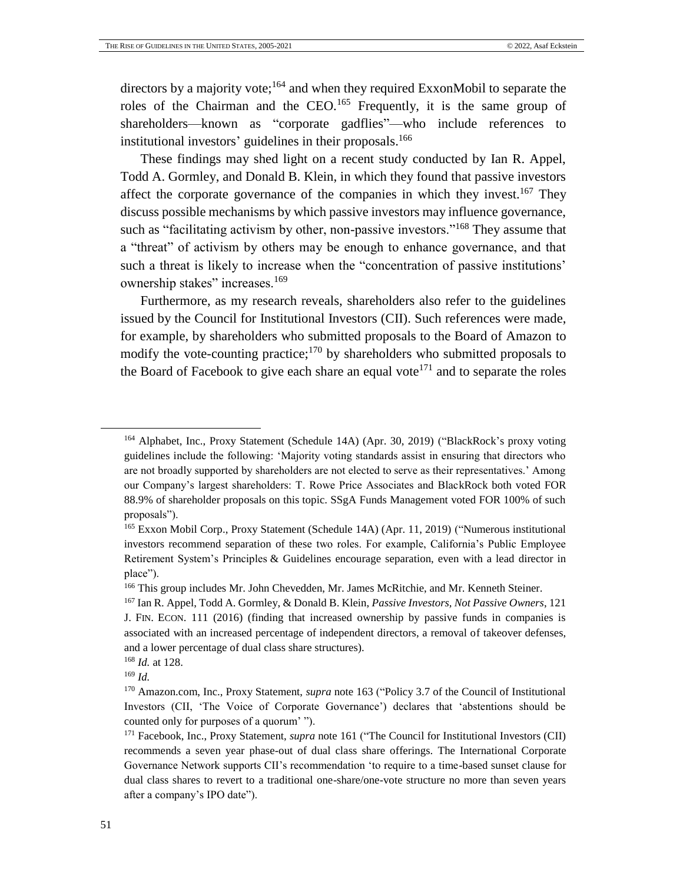<span id="page-50-0"></span>directors by a majority vote;<sup>164</sup> and when they required ExxonMobil to separate the roles of the Chairman and the CEO.<sup>165</sup> Frequently, it is the same group of shareholders—known as "corporate gadflies"—who include references to institutional investors' guidelines in their proposals. 166

These findings may shed light on a recent study conducted by Ian R. Appel, Todd A. Gormley, and Donald B. Klein, in which they found that passive investors affect the corporate governance of the companies in which they invest.<sup>167</sup> They discuss possible mechanisms by which passive investors may influence governance, such as "facilitating activism by other, non-passive investors."<sup>168</sup> They assume that a "threat" of activism by others may be enough to enhance governance, and that such a threat is likely to increase when the "concentration of passive institutions' ownership stakes" increases.<sup>169</sup>

Furthermore, as my research reveals, shareholders also refer to the guidelines issued by the Council for Institutional Investors (CII). Such references were made, for example, by shareholders who submitted proposals to the Board of Amazon to modify the vote-counting practice;<sup>170</sup> by shareholders who submitted proposals to the Board of Facebook to give each share an equal vote<sup>171</sup> and to separate the roles

<sup>&</sup>lt;sup>164</sup> Alphabet, Inc., Proxy Statement (Schedule 14A) (Apr. 30, 2019) ("BlackRock's proxy voting guidelines include the following: 'Majority voting standards assist in ensuring that directors who are not broadly supported by shareholders are not elected to serve as their representatives.' Among our Company's largest shareholders: T. Rowe Price Associates and BlackRock both voted FOR 88.9% of shareholder proposals on this topic. SSgA Funds Management voted FOR 100% of such proposals").

<sup>&</sup>lt;sup>165</sup> Exxon Mobil Corp., Proxy Statement (Schedule 14A) (Apr. 11, 2019) ("Numerous institutional investors recommend separation of these two roles. For example, California's Public Employee Retirement System's Principles & Guidelines encourage separation, even with a lead director in place").

<sup>166</sup> This group includes Mr. John Chevedden, Mr. James McRitchie, and Mr. Kenneth Steiner.

<sup>167</sup> Ian R. Appel, Todd A. Gormley, & Donald B. Klein, *Passive Investors, Not Passive Owners*, 121 J. FIN. ECON. 111 (2016) (finding that increased ownership by passive funds in companies is associated with an increased percentage of independent directors, a removal of takeover defenses, and a lower percentage of dual class share structures).

<sup>168</sup> *Id.* at 128.

<sup>169</sup> *Id.*

<sup>170</sup> Amazon.com, Inc., Proxy Statement, *supra* note [163](#page-49-1) ("Policy 3.7 of the Council of Institutional Investors (CII, 'The Voice of Corporate Governance') declares that 'abstentions should be counted only for purposes of a quorum' ").

<sup>171</sup> Facebook, Inc., Proxy Statement, *supra* note [161](#page-49-2) ("The Council for Institutional Investors (CII) recommends a seven year phase-out of dual class share offerings. The International Corporate Governance Network supports CII's recommendation 'to require to a time-based sunset clause for dual class shares to revert to a traditional one-share/one-vote structure no more than seven years after a company's IPO date").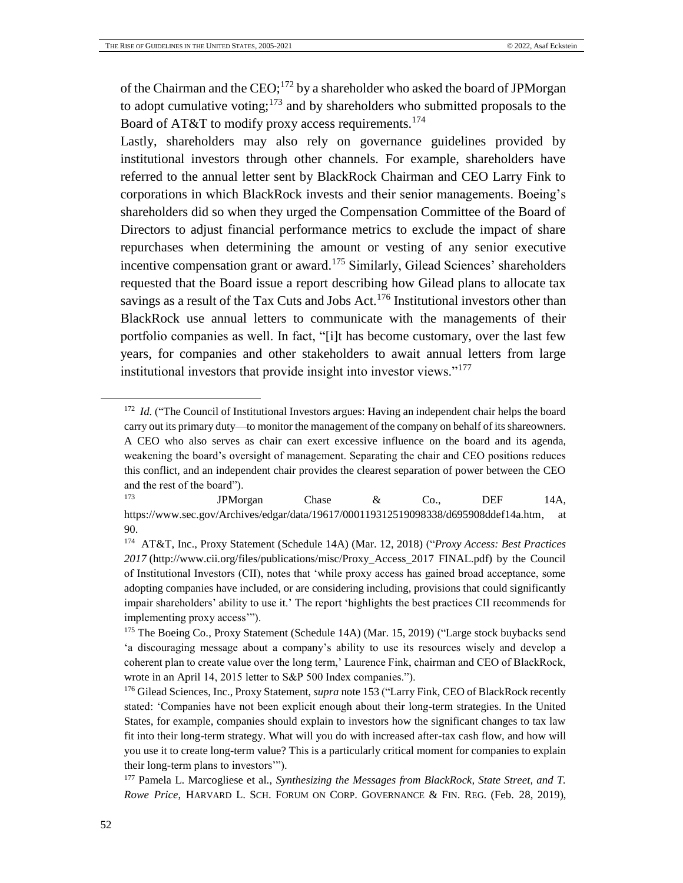<span id="page-51-0"></span>of the Chairman and the  $CEO$ ;<sup>172</sup> by a shareholder who asked the board of JPMorgan to adopt cumulative voting; $^{173}$  and by shareholders who submitted proposals to the Board of AT&T to modify proxy access requirements.<sup>174</sup>

Lastly, shareholders may also rely on governance guidelines provided by institutional investors through other channels. For example, shareholders have referred to the annual letter sent by BlackRock Chairman and CEO Larry Fink to corporations in which BlackRock invests and their senior managements. Boeing's shareholders did so when they urged the Compensation Committee of the Board of Directors to adjust financial performance metrics to exclude the impact of share repurchases when determining the amount or vesting of any senior executive incentive compensation grant or award.<sup>175</sup> Similarly, Gilead Sciences' shareholders requested that the Board issue a report describing how Gilead plans to allocate tax savings as a result of the Tax Cuts and Jobs Act.<sup>176</sup> Institutional investors other than BlackRock use annual letters to communicate with the managements of their portfolio companies as well. In fact, "[i]t has become customary, over the last few years, for companies and other stakeholders to await annual letters from large institutional investors that provide insight into investor views."<sup>177</sup>

<sup>&</sup>lt;sup>172</sup> *Id.* ("The Council of Institutional Investors argues: Having an independent chair helps the board carry out its primary duty—to monitor the management of the company on behalf of its shareowners. A CEO who also serves as chair can exert excessive influence on the board and its agenda, weakening the board's oversight of management. Separating the chair and CEO positions reduces this conflict, and an independent chair provides the clearest separation of power between the CEO and the rest of the board").

<sup>173</sup> JPMorgan Chase & Co., DEF 14A, [https://www.sec.gov/Archives/edgar/data/19617/000119312519098338/d695908ddef14a.htm,](https://www.sec.gov/Archives/edgar/data/19617/000119312519098338/d695908ddef14a.htm) at 90.

<sup>174</sup> AT&T, Inc., Proxy Statement (Schedule 14A) (Mar. 12, 2018) ("*Proxy Access: Best Practices 2017* (http://www.cii.org/files/publications/misc/Proxy\_Access\_2017 FINAL.pdf) by the Council of Institutional Investors (CII), notes that 'while proxy access has gained broad acceptance, some adopting companies have included, or are considering including, provisions that could significantly impair shareholders' ability to use it.' The report 'highlights the best practices CII recommends for implementing proxy access'").

<sup>&</sup>lt;sup>175</sup> The Boeing Co., Proxy Statement (Schedule 14A) (Mar. 15, 2019) ("Large stock buybacks send 'a discouraging message about a company's ability to use its resources wisely and develop a coherent plan to create value over the long term,' Laurence Fink, chairman and CEO of BlackRock, wrote in an April 14, 2015 letter to S&P 500 Index companies.").

<sup>176</sup> Gilead Sciences, Inc., Proxy Statement, *supra* not[e 153](#page-47-0) ("Larry Fink, CEO of BlackRock recently stated: 'Companies have not been explicit enough about their long-term strategies. In the United States, for example, companies should explain to investors how the significant changes to tax law fit into their long-term strategy. What will you do with increased after-tax cash flow, and how will you use it to create long-term value? This is a particularly critical moment for companies to explain their long-term plans to investors'").

<sup>177</sup> Pamela L. Marcogliese et al., *Synthesizing the Messages from BlackRock, State Street, and T. Rowe Price*, HARVARD L. SCH. FORUM ON CORP. GOVERNANCE & FIN. REG. (Feb. 28, 2019),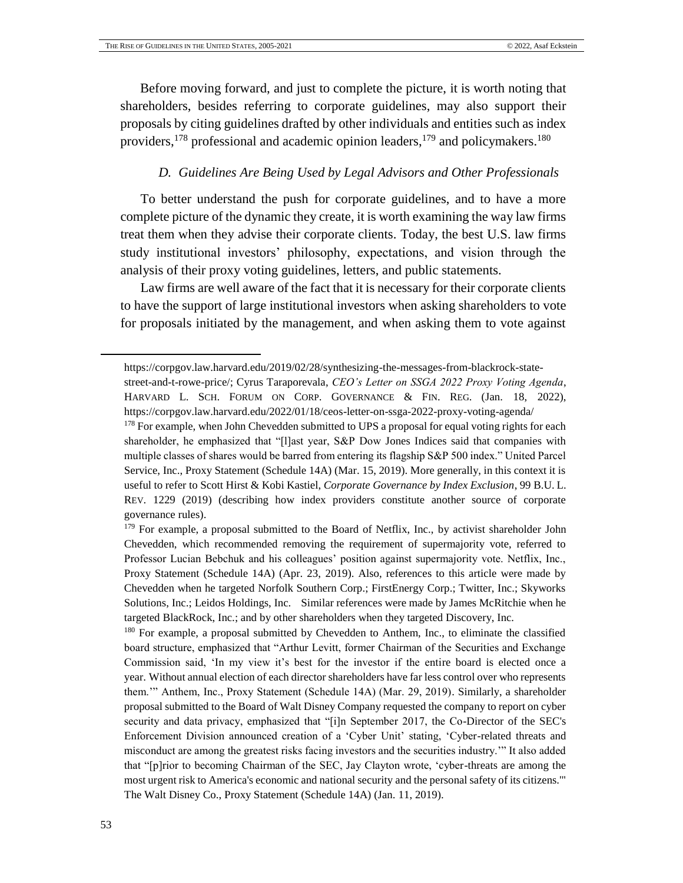Before moving forward, and just to complete the picture, it is worth noting that shareholders, besides referring to corporate guidelines, may also support their proposals by citing guidelines drafted by other individuals and entities such as index providers,<sup>178</sup> professional and academic opinion leaders,<sup>179</sup> and policymakers.<sup>180</sup>

## *D. Guidelines Are Being Used by Legal Advisors and Other Professionals*

<span id="page-52-0"></span>To better understand the push for corporate guidelines, and to have a more complete picture of the dynamic they create, it is worth examining the way law firms treat them when they advise their corporate clients. Today, the best U.S. law firms study institutional investors' philosophy, expectations, and vision through the analysis of their proxy voting guidelines, letters, and public statements.

Law firms are well aware of the fact that it is necessary for their corporate clients to have the support of large institutional investors when asking shareholders to vote for proposals initiated by the management, and when asking them to vote against

[https://corpgov.law.harvard.edu/2019/02/28/synthesizing-the-messages-from-blackrock-state-](https://corpgov.law.harvard.edu/2019/02/28/synthesizing-the-messages-from-blackrock-state-street-and-t-rowe-price/)

[street-and-t-rowe-price/;](https://corpgov.law.harvard.edu/2019/02/28/synthesizing-the-messages-from-blackrock-state-street-and-t-rowe-price/) Cyrus Taraporevala, *CEO's Letter on SSGA 2022 Proxy Voting Agenda*, HARVARD L. SCH. FORUM ON CORP. GOVERNANCE & FIN. REG. (Jan. 18, 2022), https://corpgov.law.harvard.edu/2022/01/18/ceos-letter-on-ssga-2022-proxy-voting-agenda/

<sup>&</sup>lt;sup>178</sup> For example, when John Chevedden submitted to UPS a proposal for equal voting rights for each shareholder, he emphasized that "[l]ast year, S&P Dow Jones Indices said that companies with multiple classes of shares would be barred from entering its flagship S&P 500 index." United Parcel Service, Inc., Proxy Statement (Schedule 14A) (Mar. 15, 2019). More generally, in this context it is useful to refer to Scott Hirst & Kobi Kastiel, *Corporate Governance by Index Exclusion*, 99 B.U. L. REV. 1229 (2019) (describing how index providers constitute another source of corporate governance rules).

<sup>&</sup>lt;sup>179</sup> For example, a proposal submitted to the Board of Netflix, Inc., by activist shareholder John Chevedden, which recommended removing the requirement of supermajority vote, referred to Professor Lucian Bebchuk and his colleagues' position against supermajority vote. Netflix, Inc., Proxy Statement (Schedule 14A) (Apr. 23, 2019). Also, references to this article were made by Chevedden when he targeted Norfolk Southern Corp.; FirstEnergy Corp.; Twitter, Inc.; Skyworks Solutions, Inc.; Leidos Holdings, Inc. Similar references were made by James McRitchie when he targeted BlackRock, Inc.; and by other shareholders when they targeted Discovery, Inc.

<sup>&</sup>lt;sup>180</sup> For example, a proposal submitted by Chevedden to Anthem, Inc., to eliminate the classified board structure, emphasized that "Arthur Levitt, former Chairman of the Securities and Exchange Commission said, 'In my view it's best for the investor if the entire board is elected once a year. Without annual election of each director shareholders have far less control over who represents them.'" Anthem, Inc., Proxy Statement (Schedule 14A) (Mar. 29, 2019). Similarly, a shareholder proposal submitted to the Board of Walt Disney Company requested the company to report on cyber security and data privacy, emphasized that "[i]n September 2017, the Co-Director of the SEC's Enforcement Division announced creation of a 'Cyber Unit' stating, 'Cyber-related threats and misconduct are among the greatest risks facing investors and the securities industry.'" It also added that "[p]rior to becoming Chairman of the SEC, Jay Clayton wrote, 'cyber-threats are among the most urgent risk to America's economic and national security and the personal safety of its citizens.'" The Walt Disney Co., Proxy Statement (Schedule 14A) (Jan. 11, 2019).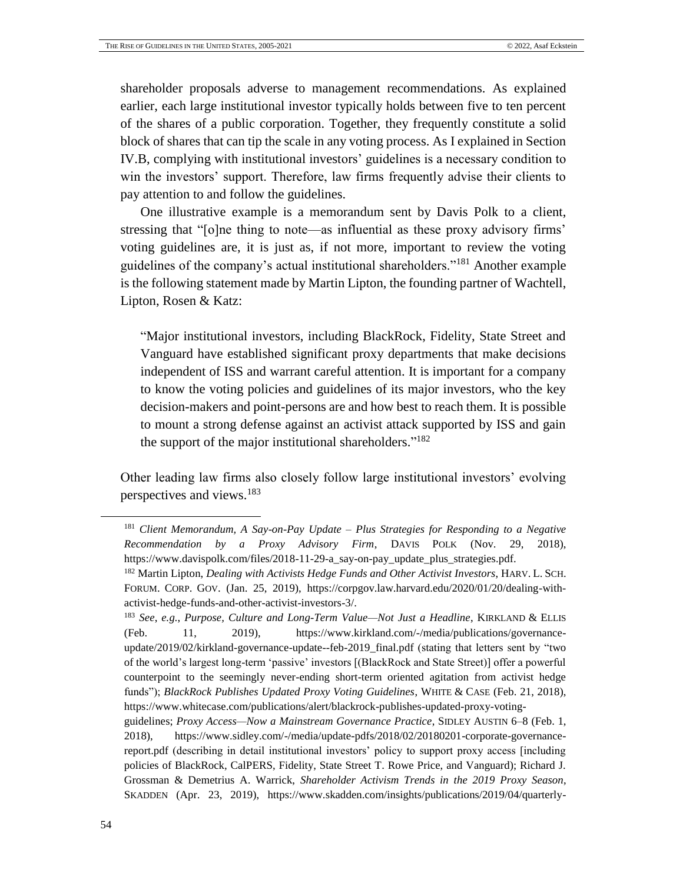shareholder proposals adverse to management recommendations. As explained earlier, each large institutional investor typically holds between five to ten percent of the shares of a public corporation. Together, they frequently constitute a solid block of shares that can tip the scale in any voting process. As I explained in Section IV.B, complying with institutional investors' guidelines is a necessary condition to win the investors' support. Therefore, law firms frequently advise their clients to pay attention to and follow the guidelines.

One illustrative example is a memorandum sent by Davis Polk to a client, stressing that "[o]ne thing to note—as influential as these proxy advisory firms' voting guidelines are, it is just as, if not more, important to review the voting guidelines of the company's actual institutional shareholders."<sup>181</sup> Another example is the following statement made by Martin Lipton, the founding partner of Wachtell, Lipton, Rosen & Katz:

"Major institutional investors, including BlackRock, Fidelity, State Street and Vanguard have established significant proxy departments that make decisions independent of ISS and warrant careful attention. It is important for a company to know the voting policies and guidelines of its major investors, who the key decision-makers and point-persons are and how best to reach them. It is possible to mount a strong defense against an activist attack supported by ISS and gain the support of the major institutional shareholders."<sup>182</sup>

Other leading law firms also closely follow large institutional investors' evolving perspectives and views.<sup>183</sup>

<sup>181</sup> *Client Memorandum, A Say-on-Pay Update – Plus Strategies for Responding to a Negative Recommendation by a Proxy Advisory Firm*, DAVIS POLK (Nov. 29, 2018), [https://www.davispolk.com/files/2018-11-29-a\\_say-on-pay\\_update\\_plus\\_strategies.pdf.](https://www.davispolk.com/files/2018-11-29-a_say-on-pay_update_plus_strategies.pdf)

<sup>182</sup> Martin Lipton, *Dealing with Activists Hedge Funds and Other Activist Investors*, HARV. L. SCH. FORUM. CORP. GOV. (Jan. 25, 2019), [https://corpgov.law.harvard.edu/2020/01/20/dealing-with](https://corpgov.law.harvard.edu/2020/01/20/dealing-with-activist-hedge-funds-and-other-activist-investors-3/)[activist-hedge-funds-and-other-activist-investors-3/.](https://corpgov.law.harvard.edu/2020/01/20/dealing-with-activist-hedge-funds-and-other-activist-investors-3/)

<sup>183</sup> *See*, *e.g.*, *Purpose, Culture and Long-Term Value—Not Just a Headline*, KIRKLAND & ELLIS (Feb. 11, 2019), [https://www.kirkland.com/-/media/publications/governance](https://www.kirkland.com/-/media/publications/governance-update/2019/02/kirkland-governance-update--feb-2019_final.pdf)[update/2019/02/kirkland-governance-update--feb-2019\\_final.pdf](https://www.kirkland.com/-/media/publications/governance-update/2019/02/kirkland-governance-update--feb-2019_final.pdf) (stating that letters sent by "two of the world's largest long-term 'passive' investors [(BlackRock and State Street)] offer a powerful counterpoint to the seemingly never-ending short-term oriented agitation from activist hedge funds"); *BlackRock Publishes Updated Proxy Voting Guidelines*, WHITE & CASE (Feb. 21, 2018), [https://www.whitecase.com/publications/alert/blackrock-publishes-updated-proxy-voting-](https://www.whitecase.com/publications/alert/blackrock-publishes-updated-proxy-voting-guidelines)

[guidelines;](https://www.whitecase.com/publications/alert/blackrock-publishes-updated-proxy-voting-guidelines) *Proxy Access—Now a Mainstream Governance Practice*, SIDLEY AUSTIN 6–8 (Feb. 1, 2018), [https://www.sidley.com/-/media/update-pdfs/2018/02/20180201-corporate-governance](https://www.sidley.com/-/media/update-pdfs/2018/02/20180201-corporate-governance-report.pdf)[report.pdf](https://www.sidley.com/-/media/update-pdfs/2018/02/20180201-corporate-governance-report.pdf) (describing in detail institutional investors' policy to support proxy access [including policies of BlackRock, CalPERS, Fidelity, State Street T. Rowe Price, and Vanguard); Richard J. Grossman & Demetrius A. Warrick, *Shareholder Activism Trends in the 2019 Proxy Season*, SKADDEN (Apr. 23, 2019), [https://www.skadden.com/insights/publications/2019/04/quarterly-](https://www.skadden.com/insights/publications/2019/04/quarterly-insights/shareholder-activism-trends-in-the-2019-proxy)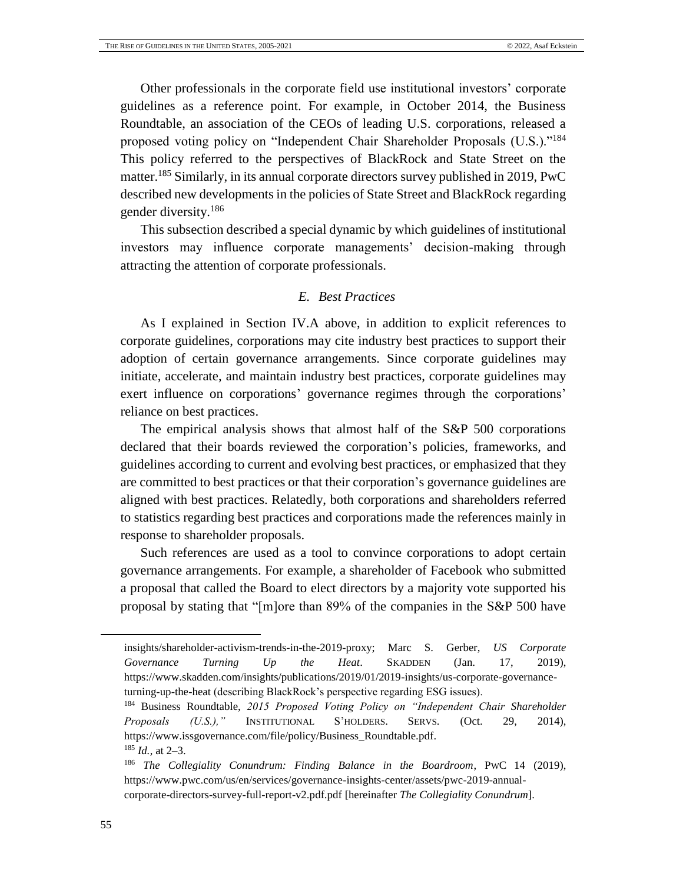Other professionals in the corporate field use institutional investors' corporate guidelines as a reference point. For example, in October 2014, the Business Roundtable, an association of the CEOs of leading U.S. corporations, released a proposed voting policy on "Independent Chair Shareholder Proposals (U.S.)."<sup>184</sup> This policy referred to the perspectives of BlackRock and State Street on the matter.<sup>185</sup> Similarly, in its annual corporate directors survey published in 2019, PwC described new developments in the policies of State Street and BlackRock regarding gender diversity.<sup>186</sup>

This subsection described a special dynamic by which guidelines of institutional investors may influence corporate managements' decision-making through attracting the attention of corporate professionals.

### *E. Best Practices*

<span id="page-54-0"></span>As I explained in Section IV.A above, in addition to explicit references to corporate guidelines, corporations may cite industry best practices to support their adoption of certain governance arrangements. Since corporate guidelines may initiate, accelerate, and maintain industry best practices, corporate guidelines may exert influence on corporations' governance regimes through the corporations' reliance on best practices.

The empirical analysis shows that almost half of the S&P 500 corporations declared that their boards reviewed the corporation's policies, frameworks, and guidelines according to current and evolving best practices, or emphasized that they are committed to best practices or that their corporation's governance guidelines are aligned with best practices. Relatedly, both corporations and shareholders referred to statistics regarding best practices and corporations made the references mainly in response to shareholder proposals.

Such references are used as a tool to convince corporations to adopt certain governance arrangements. For example, a shareholder of Facebook who submitted a proposal that called the Board to elect directors by a majority vote supported his proposal by stating that "[m]ore than 89% of the companies in the S&P 500 have

[insights/shareholder-activism-trends-in-the-2019-proxy;](https://www.skadden.com/insights/publications/2019/04/quarterly-insights/shareholder-activism-trends-in-the-2019-proxy) Marc S. Gerber, *US Corporate Governance Turning Up the Heat*. SKADDEN (Jan. 17, 2019), [https://www.skadden.com/insights/publications/2019/01/2019-insights/us-corporate-governance](https://www.skadden.com/insights/publications/2019/01/2019-insights/us-corporate-governance-turning-up-the-heat)[turning-up-the-heat](https://www.skadden.com/insights/publications/2019/01/2019-insights/us-corporate-governance-turning-up-the-heat) (describing BlackRock's perspective regarding ESG issues).

<sup>184</sup> Business Roundtable, *2015 Proposed Voting Policy on "Independent Chair Shareholder Proposals (U.S.),"* INSTITUTIONAL S'HOLDERS. SERVS. (Oct. 29, 2014), [https://www.issgovernance.com/file/policy/Business\\_Roundtable.pdf.](https://www.issgovernance.com/file/policy/Business_Roundtable.pdf) <sup>185</sup> *Id.*, at 2–3.

<sup>186</sup> *The Collegiality Conundrum: Finding Balance in the Boardroom*, PWC 14 (2019), [https://www.pwc.com/us/en/services/governance-insights-center/assets/pwc-2019-annual](https://www.pwc.com/us/en/services/governance-insights-center/assets/pwc-2019-annual-corporate-directors-survey-full-report-v2.pdf.pdf)[corporate-directors-survey-full-report-v2.pdf.pdf](https://www.pwc.com/us/en/services/governance-insights-center/assets/pwc-2019-annual-corporate-directors-survey-full-report-v2.pdf.pdf) [hereinafter *The Collegiality Conundrum*].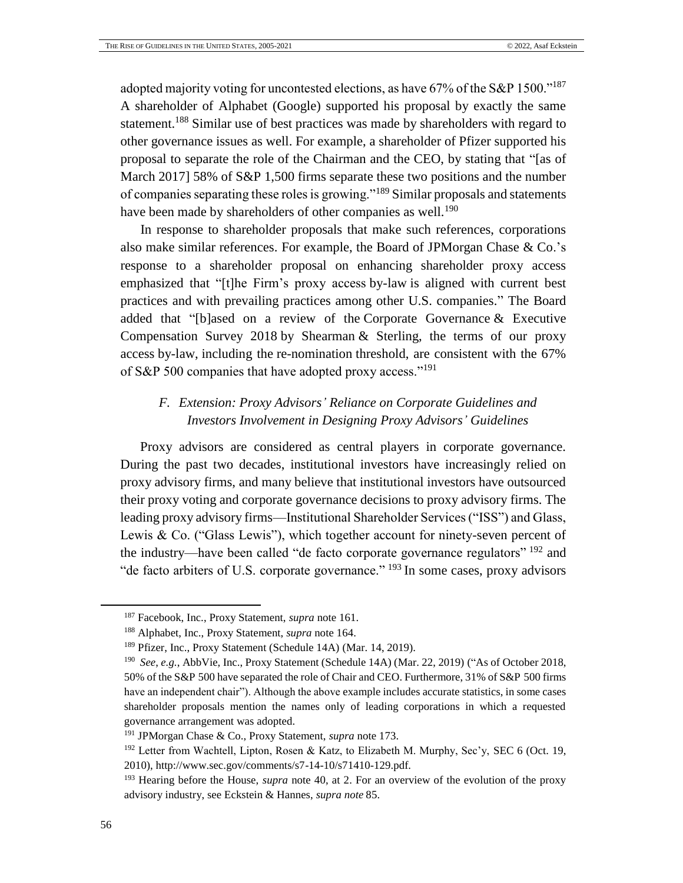adopted majority voting for uncontested elections, as have 67% of the S&P 1500."<sup>187</sup> A shareholder of Alphabet (Google) supported his proposal by exactly the same statement.<sup>188</sup> Similar use of best practices was made by shareholders with regard to other governance issues as well. For example, a shareholder of Pfizer supported his proposal to separate the role of the Chairman and the CEO, by stating that "[as of March 2017] 58% of S&P 1,500 firms separate these two positions and the number of companies separating these roles is growing."<sup>189</sup> Similar proposals and statements have been made by shareholders of other companies as well.<sup>190</sup>

In response to shareholder proposals that make such references, corporations also make similar references. For example, the Board of JPMorgan Chase & Co.'s response to a shareholder proposal on enhancing shareholder proxy access emphasized that "[t]he Firm's proxy access by-law is aligned with current best practices and with prevailing practices among other U.S. companies." The Board added that "[b]ased on a review of the Corporate Governance & Executive Compensation Survey 2018 by Shearman & Sterling, the terms of our proxy access by-law, including the re-nomination threshold, are consistent with the 67% of S&P 500 companies that have adopted proxy access."<sup>191</sup>

# <span id="page-55-0"></span>*F. Extension: Proxy Advisors' Reliance on Corporate Guidelines and Investors Involvement in Designing Proxy Advisors' Guidelines*

Proxy advisors are considered as central players in corporate governance. During the past two decades, institutional investors have increasingly relied on proxy advisory firms, and many believe that institutional investors have outsourced their proxy voting and corporate governance decisions to proxy advisory firms. The leading proxy advisory firms—Institutional Shareholder Services ("ISS") and Glass, Lewis & Co. ("Glass Lewis"), which together account for ninety-seven percent of the industry—have been called "de facto corporate governance regulators" <sup>192</sup> and "de facto arbiters of U.S. corporate governance." <sup>193</sup> In some cases, proxy advisors

<sup>187</sup> Facebook, Inc., Proxy Statement, *supra* note [161.](#page-49-2)

<sup>188</sup> Alphabet, Inc., Proxy Statement, *supra* note [164.](#page-50-0)

<sup>189</sup> Pfizer, Inc., Proxy Statement (Schedule 14A) (Mar. 14, 2019).

<sup>190</sup> *See*, *e.g.*, AbbVie, Inc., Proxy Statement (Schedule 14A) (Mar. 22, 2019) ("As of October 2018, 50% of the S&P 500 have separated the role of Chair and CEO. Furthermore, 31% of S&P 500 firms have an independent chair"). Although the above example includes accurate statistics, in some cases shareholder proposals mention the names only of leading corporations in which a requested governance arrangement was adopted.

<sup>191</sup> JPMorgan Chase & Co., Proxy Statement, *supra* note [173.](#page-51-0)

<sup>192</sup> Letter from Wachtell, Lipton, Rosen & Katz, to Elizabeth M. Murphy, Sec'y, SEC 6 (Oct. 19, 2010), http://www.sec.gov/comments/s7-14-10/s71410-129.pdf.

<sup>193</sup> [Hearing](file:///C:/Users/User/Downloads/Hearing) before the House, *supra* note [40,](#page-15-0) at 2. For an overview of the evolution of the proxy advisory industry, see Eckstein & Hannes, *supra note* [85.](#page-26-0)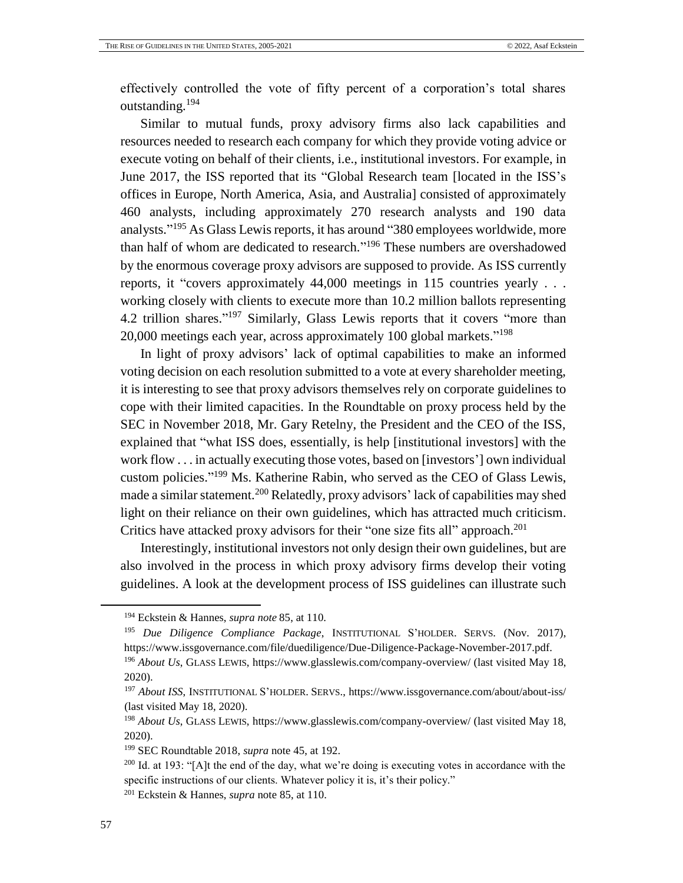effectively controlled the vote of fifty percent of a corporation's total shares outstanding.<sup>194</sup>

Similar to mutual funds, proxy advisory firms also lack capabilities and resources needed to research each company for which they provide voting advice or execute voting on behalf of their clients, i.e., institutional investors. For example, in June 2017, the ISS reported that its "Global Research team [located in the ISS's offices in Europe, North America, Asia, and Australia] consisted of approximately 460 analysts, including approximately 270 research analysts and 190 data analysts."<sup>195</sup> As Glass Lewis reports, it has around "380 employees worldwide, more than half of whom are dedicated to research."<sup>196</sup> These numbers are overshadowed by the enormous coverage proxy advisors are supposed to provide. As ISS currently reports, it "covers approximately 44,000 meetings in 115 countries yearly . . . working closely with clients to execute more than 10.2 million ballots representing 4.2 trillion shares."<sup>197</sup> Similarly, Glass Lewis reports that it covers "more than 20,000 meetings each year, across approximately 100 global markets."<sup>198</sup>

In light of proxy advisors' lack of optimal capabilities to make an informed voting decision on each resolution submitted to a vote at every shareholder meeting, it is interesting to see that proxy advisors themselves rely on corporate guidelines to cope with their limited capacities. In the Roundtable on proxy process held by the SEC in November 2018, Mr. Gary Retelny, the President and the CEO of the ISS, explained that "what ISS does, essentially, is help [institutional investors] with the work flow . . . in actually executing those votes, based on [investors'] own individual custom policies." <sup>199</sup> Ms. Katherine Rabin, who served as the CEO of Glass Lewis, made a similar statement.<sup>200</sup> Relatedly, proxy advisors' lack of capabilities may shed light on their reliance on their own guidelines, which has attracted much criticism. Critics have attacked proxy advisors for their "one size fits all" approach.<sup>201</sup>

Interestingly, institutional investors not only design their own guidelines, but are also involved in the process in which proxy advisory firms develop their voting guidelines. A look at the development process of ISS guidelines can illustrate such

<sup>194</sup> Eckstein & Hannes, *supra note* [85,](#page-26-0) at 110.

<sup>195</sup> *Due Diligence Compliance Package*, INSTITUTIONAL S'HOLDER. SERVS. (Nov. 2017), [https://www.issgovernance.com/file/duediligence/Due-Diligence-Package-November-2017.pdf.](https://www.issgovernance.com/file/duediligence/Due-Diligence-Package-November-2017.pdf)

<sup>196</sup> *About Us*, GLASS LEWIS,<https://www.glasslewis.com/company-overview/> (last visited May 18, 2020).

<sup>197</sup> *About ISS*, INSTITUTIONAL S'HOLDER. SERVS., https://www.issgovernance.com/about/about-iss/ (last visited May 18, 2020).

<sup>198</sup> *About Us*, GLASS LEWIS,<https://www.glasslewis.com/company-overview/> (last visited May 18, 2020).

<sup>199</sup> SEC Roundtable 2018, *supra* note [45,](#page-16-1) at 192.

<sup>&</sup>lt;sup>200</sup> Id. at 193: "[A]t the end of the day, what we're doing is executing votes in accordance with the specific instructions of our clients. Whatever policy it is, it's their policy."

<sup>201</sup> Eckstein & Hannes, *supra* not[e 85,](#page-26-0) at 110.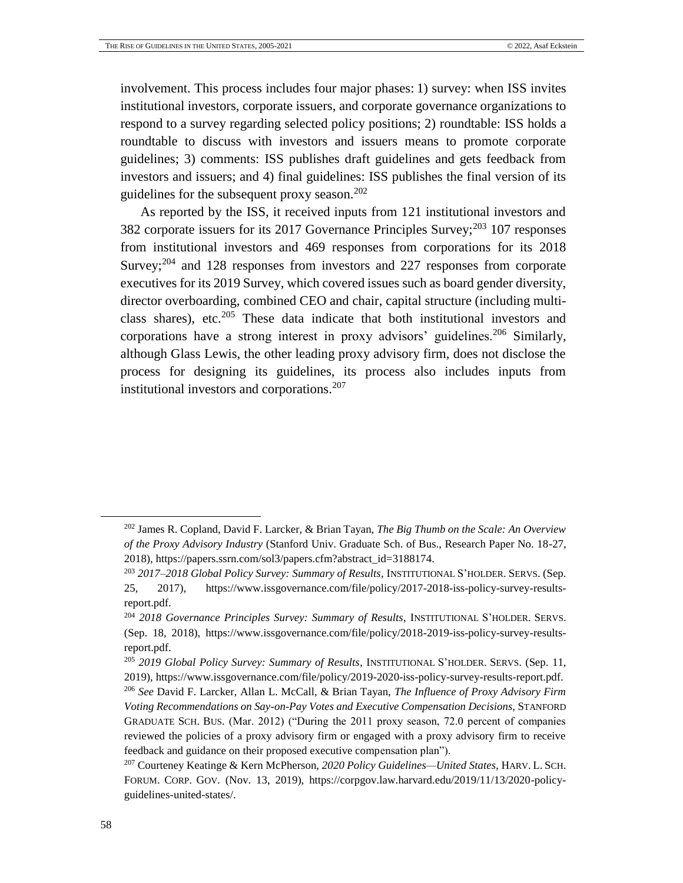involvement. This process includes four major phases: 1) survey: when ISS invites institutional investors, corporate issuers, and corporate governance organizations to respond to a survey regarding selected policy positions; 2) roundtable: ISS holds a roundtable to discuss with investors and issuers means to promote corporate guidelines; 3) comments: ISS publishes draft guidelines and gets feedback from investors and issuers; and 4) final guidelines: ISS publishes the final version of its guidelines for the subsequent proxy season. $202$ 

As reported by the ISS, it received inputs from 121 institutional investors and 382 corporate issuers for its 2017 Governance Principles Survey;<sup>203</sup> 107 responses from institutional investors and 469 responses from corporations for its 2018 Survey; $204$  and 128 responses from investors and 227 responses from corporate executives for its 2019 Survey, which covered issues such as board gender diversity, director overboarding, combined CEO and chair, capital structure (including multiclass shares), etc.<sup>205</sup> These data indicate that both institutional investors and corporations have a strong interest in proxy advisors' guidelines.<sup>206</sup> Similarly, although Glass Lewis, the other leading proxy advisory firm, does not disclose the process for designing its guidelines, its process also includes inputs from institutional investors and corporations.<sup>207</sup>

<sup>202</sup> James R. Copland, David F. Larcker, & Brian Tayan, *The Big Thumb on the Scale: An Overview of the Proxy Advisory Industry* (Stanford Univ. Graduate Sch. of Bus., Research Paper No. 18-27, 2018), https://papers.ssrn.com/sol3/papers.cfm?abstract\_id=3188174.

<sup>203</sup> *2017–2018 Global Policy Survey: Summary of Results*, INSTITUTIONAL S'HOLDER. SERVS. (Sep. 25, 2017), [https://www.issgovernance.com/file/policy/2017-2018-iss-policy-survey-results](https://www.issgovernance.com/file/policy/2017-2018-iss-policy-survey-results-report.pdf)[report.pdf.](https://www.issgovernance.com/file/policy/2017-2018-iss-policy-survey-results-report.pdf)

<sup>204</sup> *2018 Governance Principles Survey: Summary of Results*, INSTITUTIONAL S'HOLDER. SERVS. (Sep. 18, 2018), https://www.issgovernance.com/file/policy/2018-2019-iss-policy-survey-resultsreport.pdf.

<sup>205</sup> *2019 Global Policy Survey: Summary of Results*, INSTITUTIONAL S'HOLDER. SERVS. (Sep. 11, 2019), https://www.issgovernance.com/file/policy/2019-2020-iss-policy-survey-results-report.pdf. <sup>206</sup> *See* David F. Larcker, Allan L. McCall, & Brian Tayan, *The Influence of Proxy Advisory Firm Voting Recommendations on Say-on-Pay Votes and Executive Compensation Decisions*, STANFORD GRADUATE SCH. BUS. (Mar. 2012) ("During the 2011 proxy season, 72.0 percent of companies reviewed the policies of a proxy advisory firm or engaged with a proxy advisory firm to receive feedback and guidance on their proposed executive compensation plan").

<sup>207</sup> Courteney Keatinge & Kern McPherson, *2020 Policy Guidelines—United States*, HARV. L. SCH. FORUM. CORP. GOV. (Nov. 13, 2019), https://corpgov.law.harvard.edu/2019/11/13/2020-policyguidelines-united-states/.